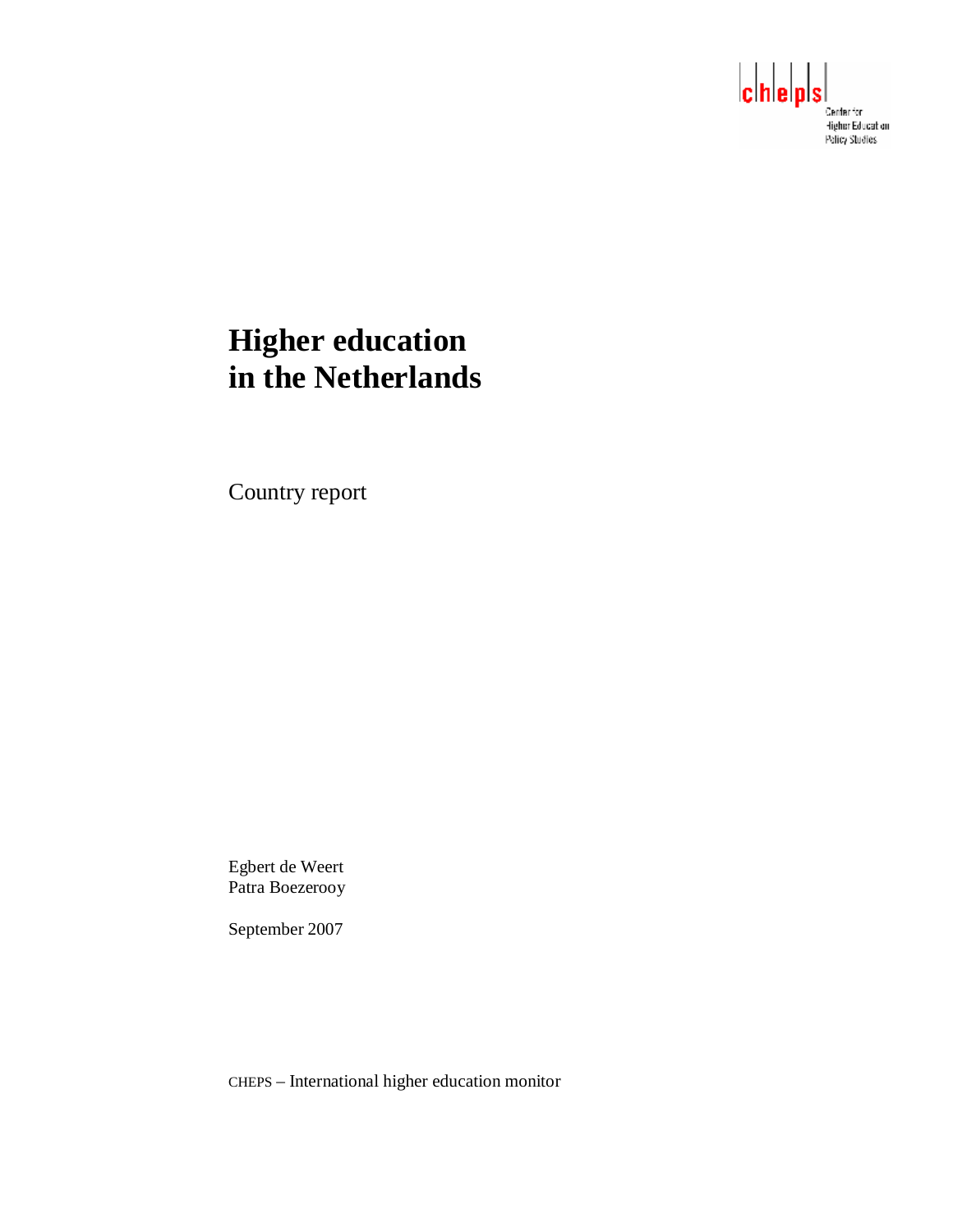

# **Higher education in the Netherlands**

Country report

Egbert de Weert Patra Boezerooy

September 2007

CHEPS – International higher education monitor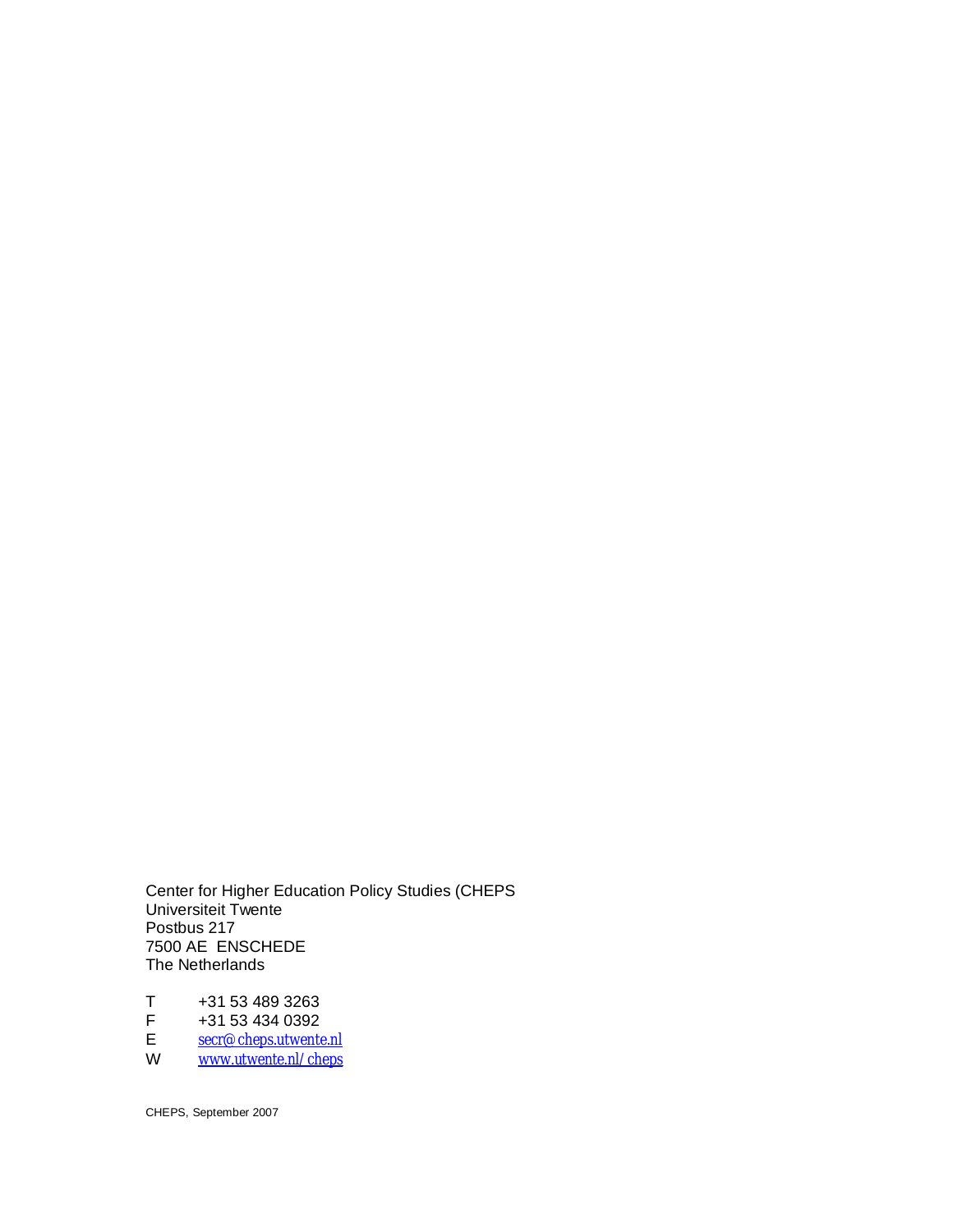Center for Higher Education Policy Studies (CHEPS Universiteit Twente Postbus 217 7500 AE ENSCHEDE The Netherlands

T +31 53 489 3263<br>F +31 53 434 0392  $F$  +31 53 434 0392<br>E secr@cheps.utwenter E [secr@cheps.utwente.nl](mailto:secr@cheps.utwente.nl)

W <u>[www.utwente.nl/cheps](http://www.utwente.nl/cheps)</u>

CHEPS, September 2007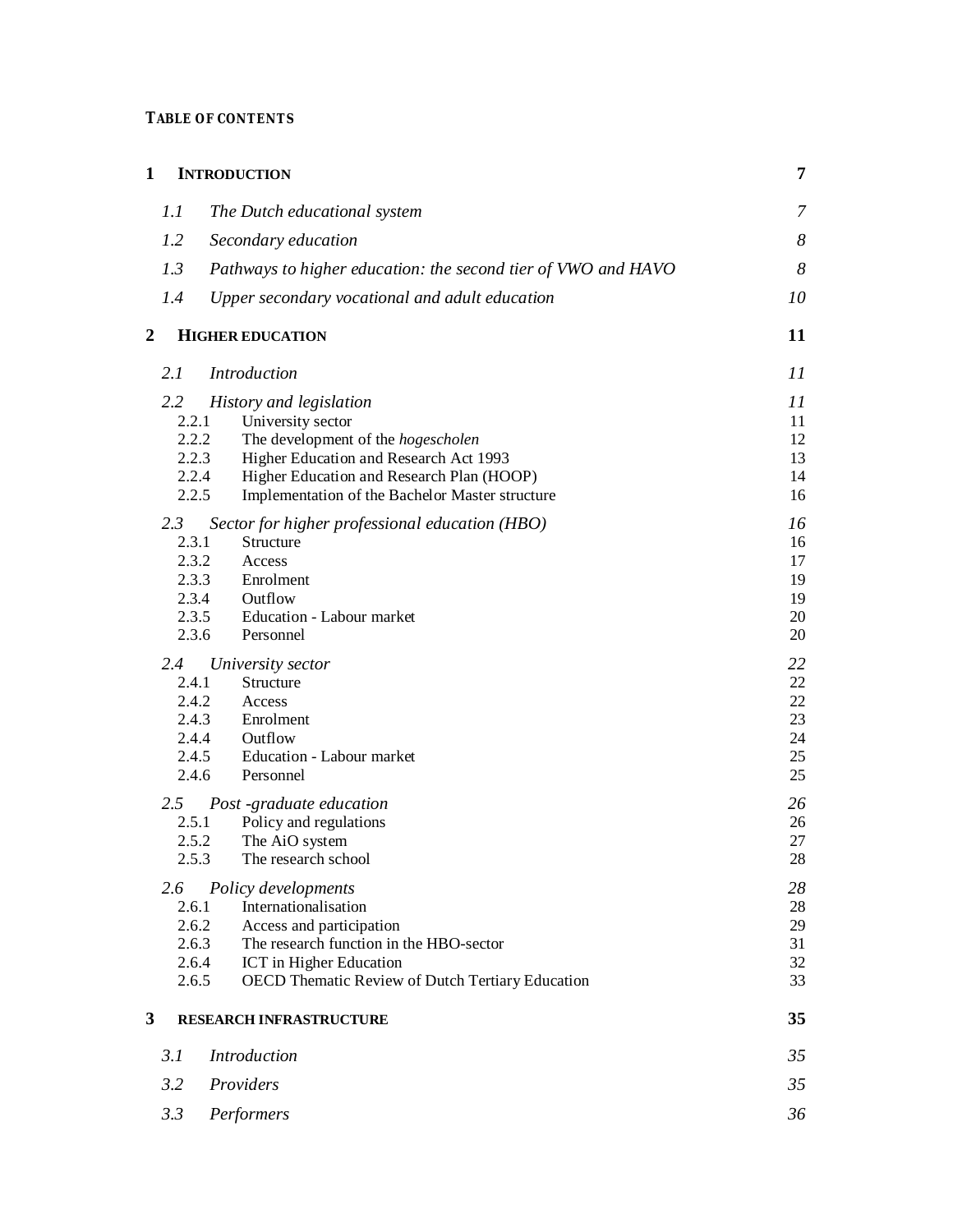## **TABLE OF CONTENTS**

| $\mathbf{1}$   | <b>INTRODUCTION</b>                                           | $\overline{7}$   |
|----------------|---------------------------------------------------------------|------------------|
| 1.1            | The Dutch educational system                                  | 7                |
| 1.2            | Secondary education                                           | $\boldsymbol{8}$ |
| 1.3            | Pathways to higher education: the second tier of VWO and HAVO | 8                |
| 1.4            | Upper secondary vocational and adult education                | 10               |
| $\overline{2}$ | <b>HIGHER EDUCATION</b>                                       | 11               |
| 2.1            | <b>Introduction</b>                                           | 11               |
| 2.2            | History and legislation                                       | 11               |
| 2.2.1          | University sector                                             | 11               |
| 2.2.2          | The development of the hogescholen                            | 12               |
| 2.2.3          | Higher Education and Research Act 1993                        | 13               |
| 2.2.4          | Higher Education and Research Plan (HOOP)                     | 14               |
| 2.2.5          | Implementation of the Bachelor Master structure               | 16               |
| 2.3            | Sector for higher professional education (HBO)                | 16               |
| 2.3.1          | Structure                                                     | 16               |
| 2.3.2          | Access                                                        | 17               |
| 2.3.3          | Enrolment                                                     | 19               |
| 2.3.4          | Outflow                                                       | 19               |
| 2.3.5          | Education - Labour market                                     | 20               |
| 2.3.6          | Personnel                                                     | 20               |
| 2.4            | University sector                                             | 22               |
| 2.4.1          | Structure                                                     | 22               |
| 2.4.2          | Access                                                        | 22               |
| 2.4.3          | Enrolment                                                     | 23               |
| 2.4.4          | Outflow                                                       | 24               |
| 2.4.5          | Education - Labour market                                     | 25               |
| 2.4.6          | Personnel                                                     | 25               |
| 2.5            | Post -graduate education                                      | 26               |
| 2.5.1          | Policy and regulations                                        | 26               |
| 2.5.2          | The AiO system                                                | 27               |
| 2.5.3          | The research school                                           | $28\,$           |
| 2.6            | Policy developments                                           | 28               |
| 2.6.1          | Internationalisation                                          | $28\,$           |
| 2.6.2          | Access and participation                                      | 29               |
| 2.6.3          | The research function in the HBO-sector                       | 31               |
| 2.6.4          | ICT in Higher Education                                       | 32               |
| 2.6.5          | <b>OECD Thematic Review of Dutch Tertiary Education</b>       | 33               |
| 3              | RESEARCH INFRASTRUCTURE                                       | 35               |
| 3.1            | <b>Introduction</b>                                           | 35               |
| 3.2            | Providers                                                     | 35               |
| 3.3            | Performers                                                    | 36               |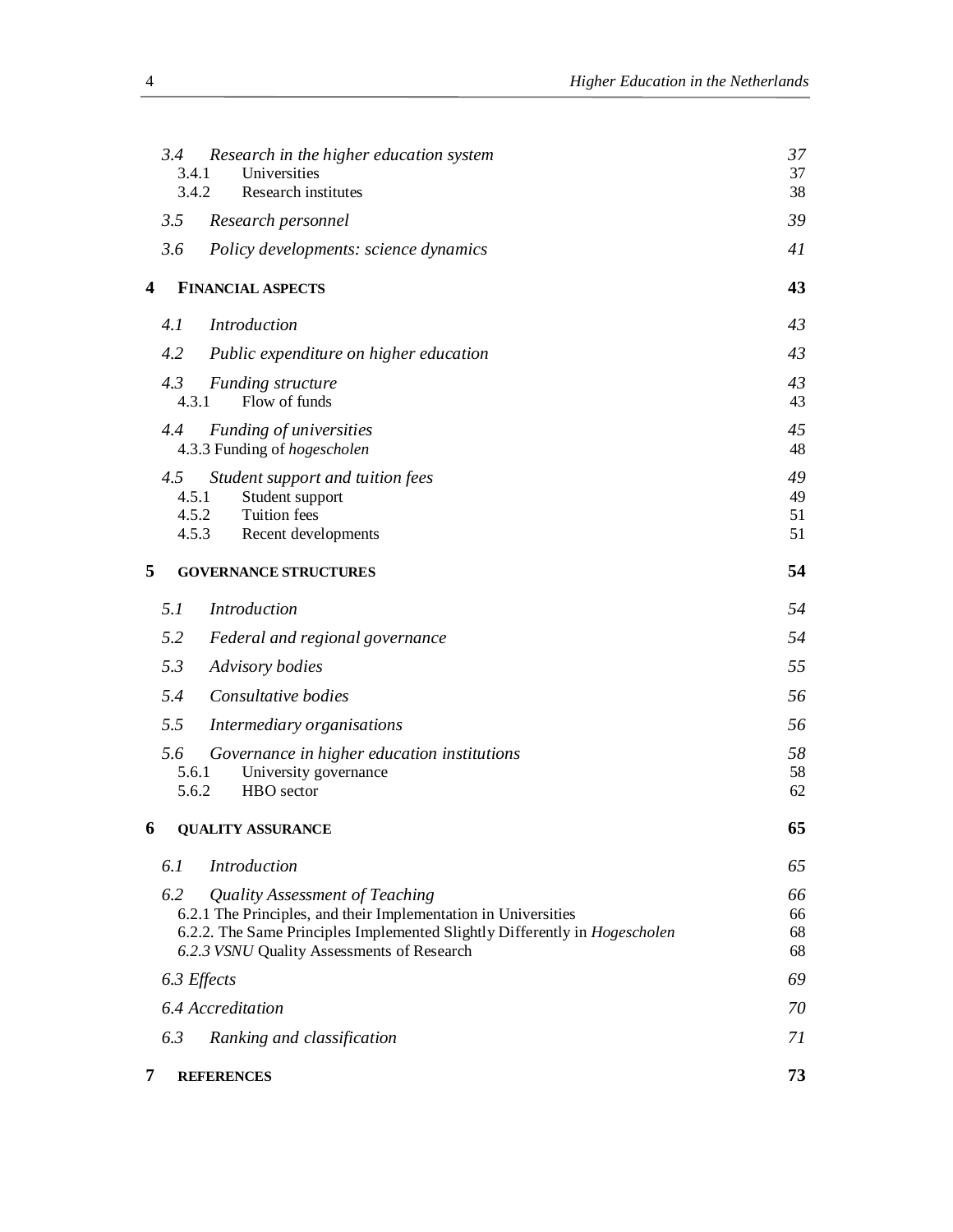|   | 3.4<br>3.4.1          | Research in the higher education system<br>Universities                                                                                                                                                                      | 37<br>37             |
|---|-----------------------|------------------------------------------------------------------------------------------------------------------------------------------------------------------------------------------------------------------------------|----------------------|
|   | 3.4.2                 | Research institutes                                                                                                                                                                                                          | 38                   |
|   | 3.5                   | Research personnel                                                                                                                                                                                                           | 39                   |
|   | 3.6                   | Policy developments: science dynamics                                                                                                                                                                                        | 41                   |
| 4 |                       | <b>FINANCIAL ASPECTS</b>                                                                                                                                                                                                     | 43                   |
|   | 4.1                   | Introduction                                                                                                                                                                                                                 | 43                   |
|   | 4.2                   | Public expenditure on higher education                                                                                                                                                                                       | 43                   |
|   | 4.3<br>4.3.1          | <b>Funding structure</b><br>Flow of funds                                                                                                                                                                                    | 43<br>43             |
|   | 4.4                   | <b>Funding of universities</b><br>4.3.3 Funding of hogescholen                                                                                                                                                               | 45<br>48             |
|   | 4.5<br>4.5.1<br>4.5.3 | Student support and tuition fees<br>Student support<br>4.5.2<br>Tuition fees<br>Recent developments                                                                                                                          | 49<br>49<br>51<br>51 |
| 5 |                       | <b>GOVERNANCE STRUCTURES</b>                                                                                                                                                                                                 | 54                   |
|   | 5.1                   | <b>Introduction</b>                                                                                                                                                                                                          | 54                   |
|   | 5.2                   | Federal and regional governance                                                                                                                                                                                              | 54                   |
|   | 5.3                   | Advisory bodies                                                                                                                                                                                                              | 55                   |
|   | 5.4                   | Consultative bodies                                                                                                                                                                                                          | 56                   |
|   | 5.5                   | Intermediary organisations                                                                                                                                                                                                   | 56                   |
|   | 5.6<br>5.6.1<br>5.6.2 | Governance in higher education institutions<br>University governance<br>HBO sector                                                                                                                                           | 58<br>58<br>62       |
| 6 |                       | <b>QUALITY ASSURANCE</b>                                                                                                                                                                                                     | 65                   |
|   | 6.1                   | <b>Introduction</b>                                                                                                                                                                                                          | 65                   |
|   | 6.2                   | Quality Assessment of Teaching<br>6.2.1 The Principles, and their Implementation in Universities<br>6.2.2. The Same Principles Implemented Slightly Differently in Hogescholen<br>6.2.3 VSNU Quality Assessments of Research | 66<br>66<br>68<br>68 |
|   | 6.3 Effects           |                                                                                                                                                                                                                              | 69                   |
|   |                       | 6.4 Accreditation                                                                                                                                                                                                            | 70                   |
|   | 6.3                   | Ranking and classification                                                                                                                                                                                                   | 71                   |
| 7 |                       | <b>REFERENCES</b>                                                                                                                                                                                                            | 73                   |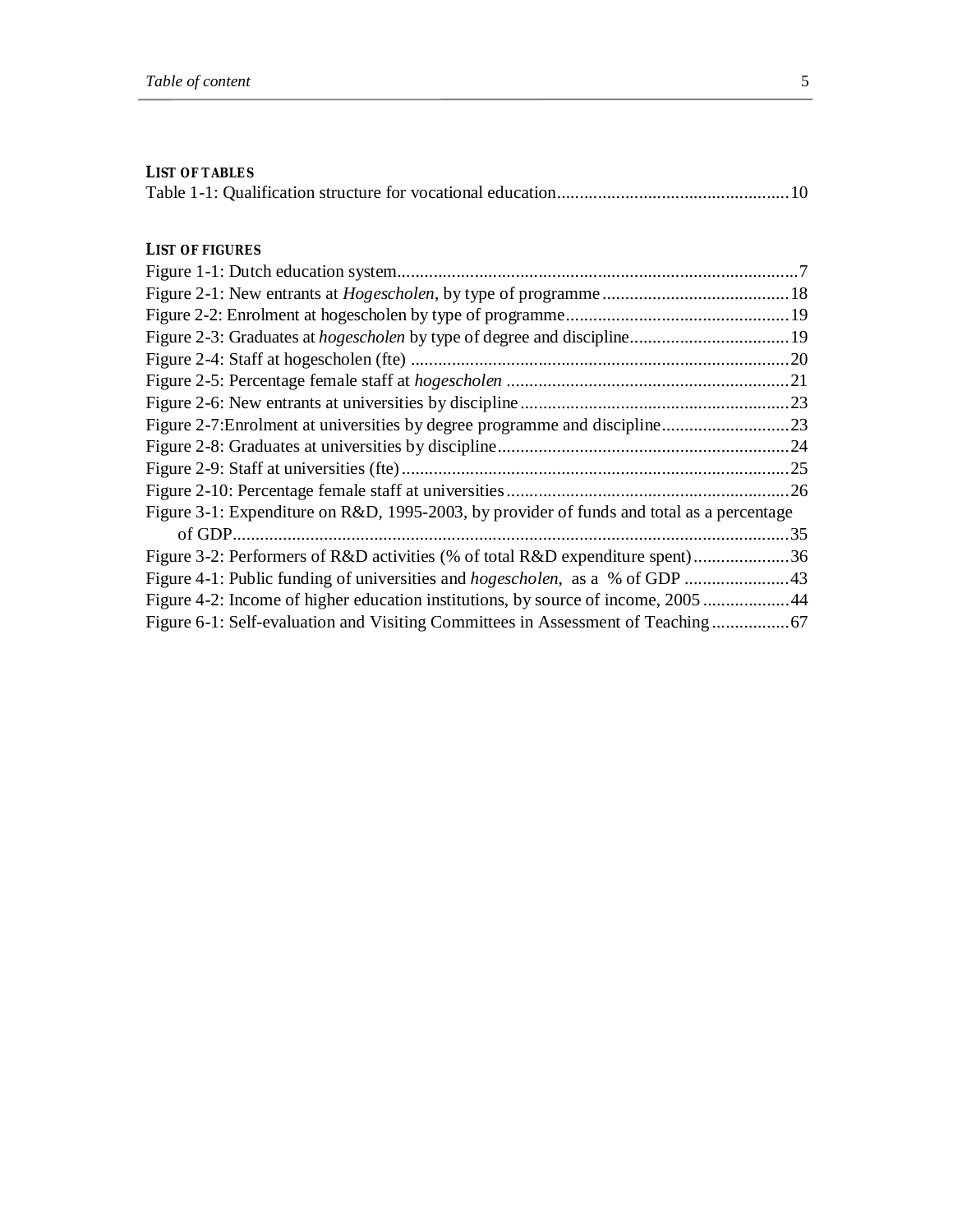#### **LIST OF TABLES**

|--|--|--|

## **LIST OF FIGURES**

| Figure 3-1: Expenditure on R&D, 1995-2003, by provider of funds and total as a percentage |
|-------------------------------------------------------------------------------------------|
| .35                                                                                       |
| Figure 3-2: Performers of R&D activities (% of total R&D expenditure spent)36             |
| Figure 4-1: Public funding of universities and <i>hogescholen</i> , as a % of GDP 43      |
| Figure 4-2: Income of higher education institutions, by source of income, 200544          |
| Figure 6-1: Self-evaluation and Visiting Committees in Assessment of Teaching             |
|                                                                                           |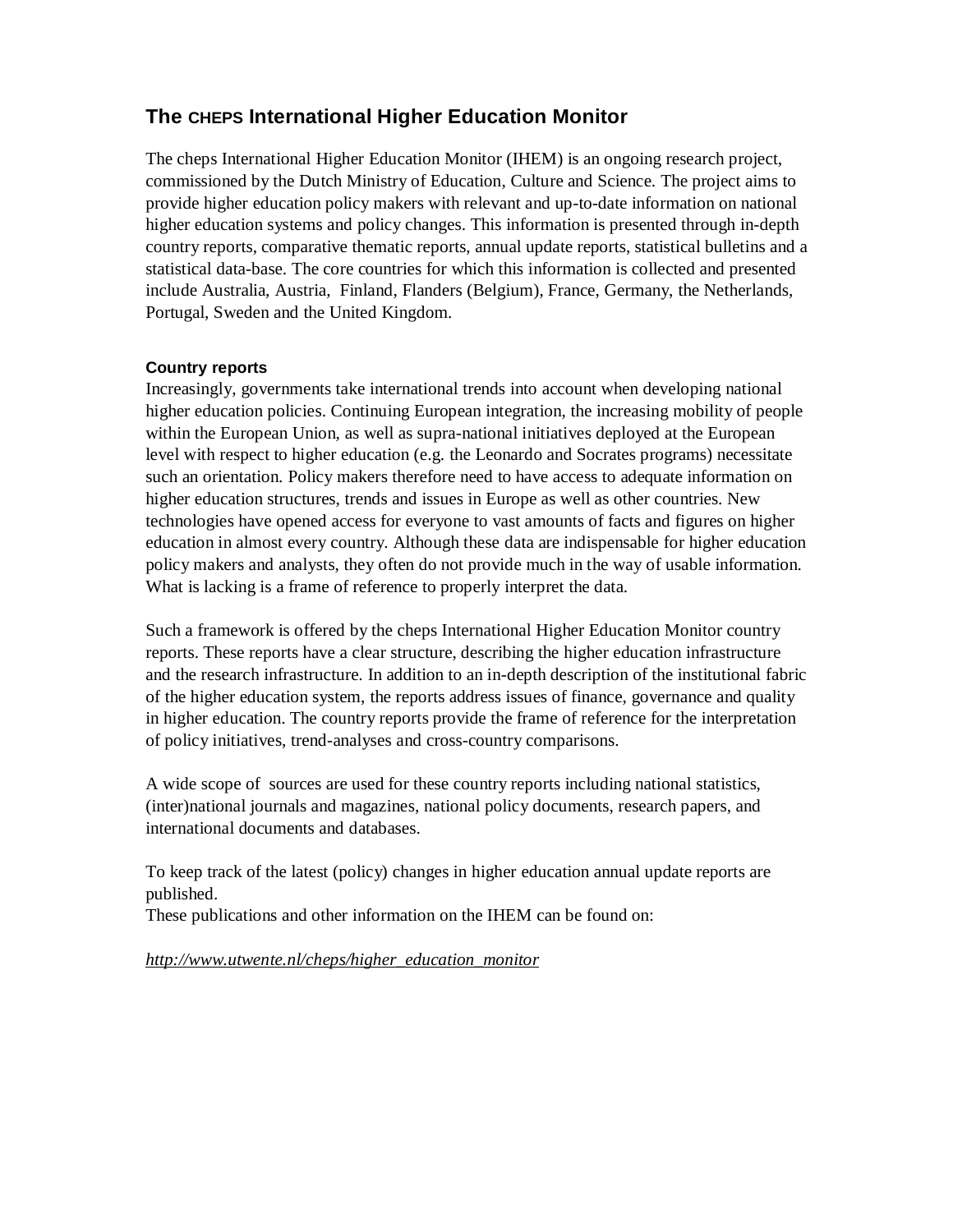# **The CHEPS International Higher Education Monitor**

The cheps International Higher Education Monitor (IHEM) is an ongoing research project, commissioned by the Dutch Ministry of Education, Culture and Science. The project aims to provide higher education policy makers with relevant and up-to-date information on national higher education systems and policy changes. This information is presented through in-depth country reports, comparative thematic reports, annual update reports, statistical bulletins and a statistical data-base. The core countries for which this information is collected and presented include Australia, Austria, Finland, Flanders (Belgium), France, Germany, the Netherlands, Portugal, Sweden and the United Kingdom.

## **Country reports**

Increasingly, governments take international trends into account when developing national higher education policies. Continuing European integration, the increasing mobility of people within the European Union, as well as supra-national initiatives deployed at the European level with respect to higher education (e.g. the Leonardo and Socrates programs) necessitate such an orientation. Policy makers therefore need to have access to adequate information on higher education structures, trends and issues in Europe as well as other countries. New technologies have opened access for everyone to vast amounts of facts and figures on higher education in almost every country. Although these data are indispensable for higher education policy makers and analysts, they often do not provide much in the way of usable information. What is lacking is a frame of reference to properly interpret the data.

Such a framework is offered by the cheps International Higher Education Monitor country reports. These reports have a clear structure, describing the higher education infrastructure and the research infrastructure. In addition to an in-depth description of the institutional fabric of the higher education system, the reports address issues of finance, governance and quality in higher education. The country reports provide the frame of reference for the interpretation of policy initiatives, trend-analyses and cross-country comparisons.

A wide scope of sources are used for these country reports including national statistics, (inter)national journals and magazines, national policy documents, research papers, and international documents and databases.

To keep track of the latest (policy) changes in higher education annual update reports are published.

These publications and other information on the IHEM can be found on:

*[http://www.utwente.nl/cheps/higher\\_education\\_monitor](http://www.utwente.nl/cheps/higher_education_monitor)*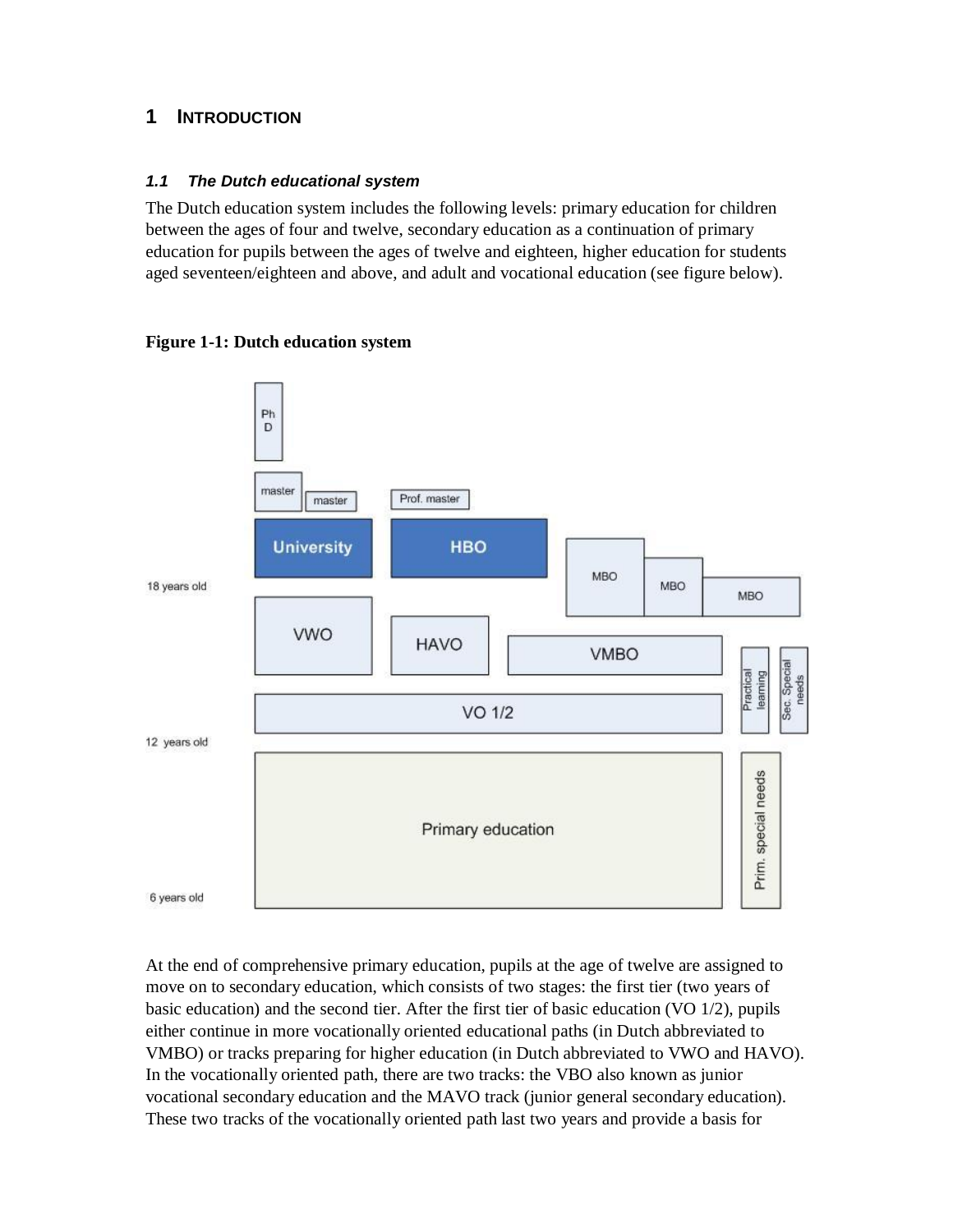# **1 INTRODUCTION**

## *1.1 The Dutch educational system*

The Dutch education system includes the following levels: primary education for children between the ages of four and twelve, secondary education as a continuation of primary education for pupils between the ages of twelve and eighteen, higher education for students aged seventeen/eighteen and above, and adult and vocational education (see figure below).





At the end of comprehensive primary education, pupils at the age of twelve are assigned to move on to secondary education, which consists of two stages: the first tier (two years of basic education) and the second tier. After the first tier of basic education (VO 1/2), pupils either continue in more vocationally oriented educational paths (in Dutch abbreviated to VMBO) or tracks preparing for higher education (in Dutch abbreviated to VWO and HAVO). In the vocationally oriented path, there are two tracks: the VBO also known as junior vocational secondary education and the MAVO track (junior general secondary education). These two tracks of the vocationally oriented path last two years and provide a basis for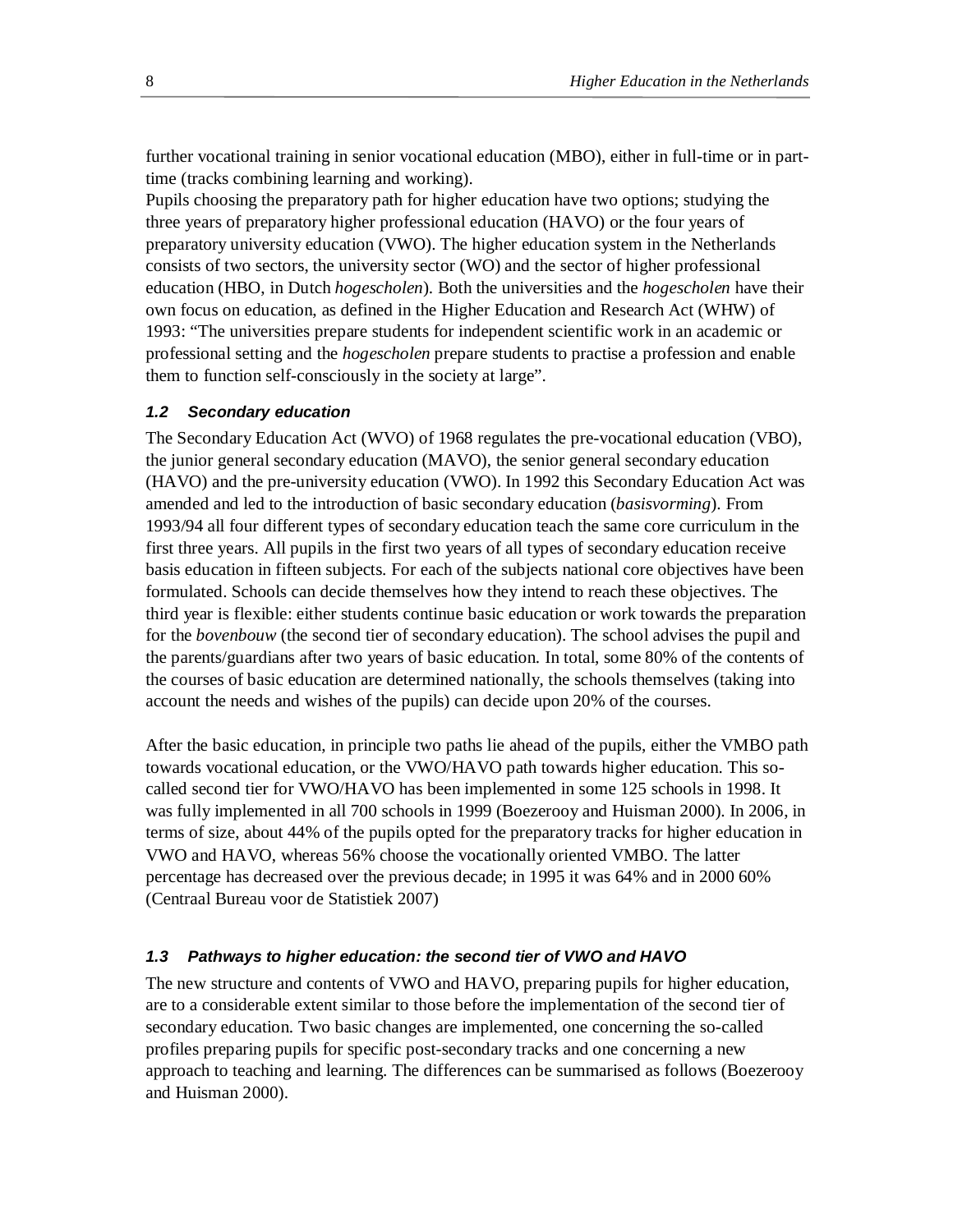further vocational training in senior vocational education (MBO), either in full-time or in parttime (tracks combining learning and working).

Pupils choosing the preparatory path for higher education have two options; studying the three years of preparatory higher professional education (HAVO) or the four years of preparatory university education (VWO). The higher education system in the Netherlands consists of two sectors, the university sector (WO) and the sector of higher professional education (HBO, in Dutch *hogescholen*). Both the universities and the *hogescholen* have their own focus on education, as defined in the Higher Education and Research Act (WHW) of 1993: "The universities prepare students for independent scientific work in an academic or professional setting and the *hogescholen* prepare students to practise a profession and enable them to function self-consciously in the society at large".

#### *1.2 Secondary education*

The Secondary Education Act (WVO) of 1968 regulates the pre-vocational education (VBO), the junior general secondary education (MAVO), the senior general secondary education (HAVO) and the pre-university education (VWO). In 1992 this Secondary Education Act was amended and led to the introduction of basic secondary education (*basisvorming*). From 1993/94 all four different types of secondary education teach the same core curriculum in the first three years. All pupils in the first two years of all types of secondary education receive basis education in fifteen subjects. For each of the subjects national core objectives have been formulated. Schools can decide themselves how they intend to reach these objectives. The third year is flexible: either students continue basic education or work towards the preparation for the *bovenbouw* (the second tier of secondary education). The school advises the pupil and the parents/guardians after two years of basic education. In total, some 80% of the contents of the courses of basic education are determined nationally, the schools themselves (taking into account the needs and wishes of the pupils) can decide upon 20% of the courses.

After the basic education, in principle two paths lie ahead of the pupils, either the VMBO path towards vocational education, or the VWO/HAVO path towards higher education. This socalled second tier for VWO/HAVO has been implemented in some 125 schools in 1998. It was fully implemented in all 700 schools in 1999 (Boezerooy and Huisman 2000). In 2006, in terms of size, about 44% of the pupils opted for the preparatory tracks for higher education in VWO and HAVO, whereas 56% choose the vocationally oriented VMBO. The latter percentage has decreased over the previous decade; in 1995 it was 64% and in 2000 60% (Centraal Bureau voor de Statistiek 2007)

#### *1.3 Pathways to higher education: the second tier of VWO and HAVO*

The new structure and contents of VWO and HAVO, preparing pupils for higher education, are to a considerable extent similar to those before the implementation of the second tier of secondary education. Two basic changes are implemented, one concerning the so-called profiles preparing pupils for specific post-secondary tracks and one concerning a new approach to teaching and learning. The differences can be summarised as follows (Boezerooy and Huisman 2000).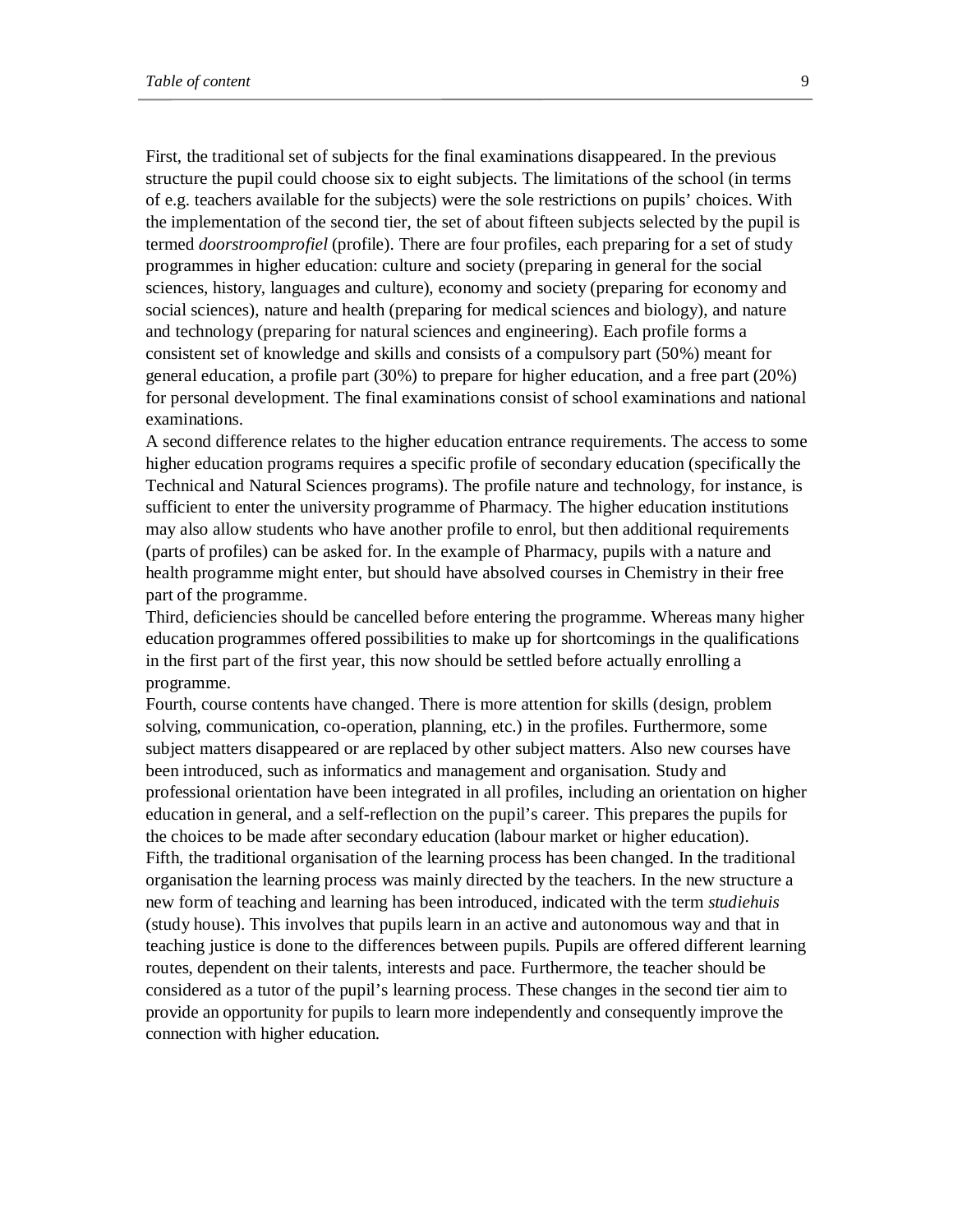First, the traditional set of subjects for the final examinations disappeared. In the previous structure the pupil could choose six to eight subjects. The limitations of the school (in terms of e.g. teachers available for the subjects) were the sole restrictions on pupils' choices. With the implementation of the second tier, the set of about fifteen subjects selected by the pupil is termed *doorstroomprofiel* (profile). There are four profiles, each preparing for a set of study programmes in higher education: culture and society (preparing in general for the social sciences, history, languages and culture), economy and society (preparing for economy and social sciences), nature and health (preparing for medical sciences and biology), and nature and technology (preparing for natural sciences and engineering). Each profile forms a consistent set of knowledge and skills and consists of a compulsory part (50%) meant for general education, a profile part (30%) to prepare for higher education, and a free part (20%) for personal development. The final examinations consist of school examinations and national examinations.

A second difference relates to the higher education entrance requirements. The access to some higher education programs requires a specific profile of secondary education (specifically the Technical and Natural Sciences programs). The profile nature and technology, for instance, is sufficient to enter the university programme of Pharmacy. The higher education institutions may also allow students who have another profile to enrol, but then additional requirements (parts of profiles) can be asked for. In the example of Pharmacy, pupils with a nature and health programme might enter, but should have absolved courses in Chemistry in their free part of the programme.

Third, deficiencies should be cancelled before entering the programme. Whereas many higher education programmes offered possibilities to make up for shortcomings in the qualifications in the first part of the first year, this now should be settled before actually enrolling a programme.

Fourth, course contents have changed. There is more attention for skills (design, problem solving, communication, co-operation, planning, etc.) in the profiles. Furthermore, some subject matters disappeared or are replaced by other subject matters. Also new courses have been introduced, such as informatics and management and organisation. Study and professional orientation have been integrated in all profiles, including an orientation on higher education in general, and a self-reflection on the pupil's career. This prepares the pupils for the choices to be made after secondary education (labour market or higher education). Fifth, the traditional organisation of the learning process has been changed. In the traditional organisation the learning process was mainly directed by the teachers. In the new structure a new form of teaching and learning has been introduced, indicated with the term *studiehuis* (study house). This involves that pupils learn in an active and autonomous way and that in teaching justice is done to the differences between pupils. Pupils are offered different learning routes, dependent on their talents, interests and pace. Furthermore, the teacher should be considered as a tutor of the pupil's learning process. These changes in the second tier aim to provide an opportunity for pupils to learn more independently and consequently improve the connection with higher education.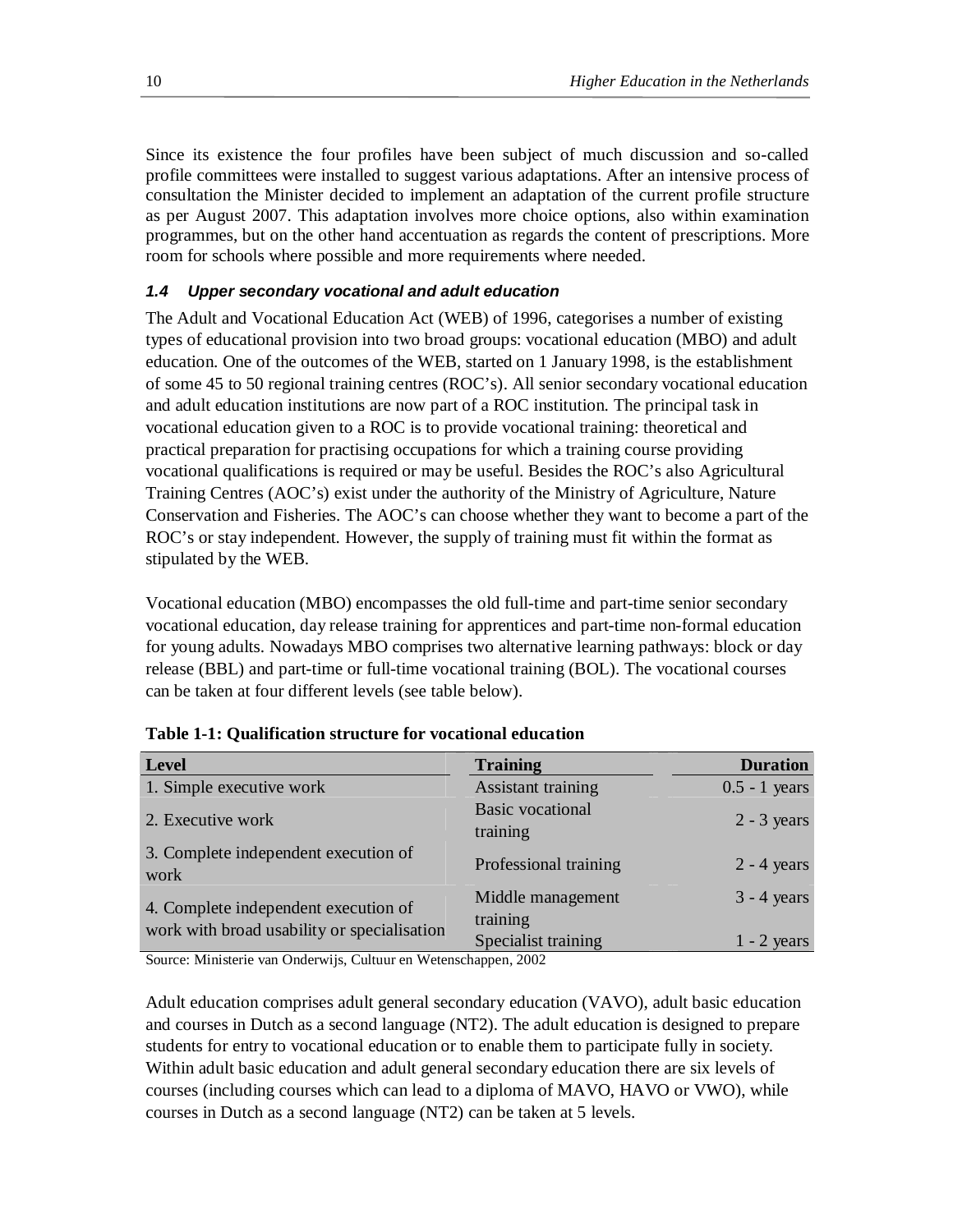Since its existence the four profiles have been subject of much discussion and so-called profile committees were installed to suggest various adaptations. After an intensive process of consultation the Minister decided to implement an adaptation of the current profile structure as per August 2007. This adaptation involves more choice options, also within examination programmes, but on the other hand accentuation as regards the content of prescriptions. More room for schools where possible and more requirements where needed.

## *1.4 Upper secondary vocational and adult education*

The Adult and Vocational Education Act (WEB) of 1996, categorises a number of existing types of educational provision into two broad groups: vocational education (MBO) and adult education. One of the outcomes of the WEB, started on 1 January 1998, is the establishment of some 45 to 50 regional training centres (ROC's). All senior secondary vocational education and adult education institutions are now part of a ROC institution. The principal task in vocational education given to a ROC is to provide vocational training: theoretical and practical preparation for practising occupations for which a training course providing vocational qualifications is required or may be useful. Besides the ROC's also Agricultural Training Centres (AOC's) exist under the authority of the Ministry of Agriculture, Nature Conservation and Fisheries. The AOC's can choose whether they want to become a part of the ROC's or stay independent. However, the supply of training must fit within the format as stipulated by the WEB.

Vocational education (MBO) encompasses the old full-time and part-time senior secondary vocational education, day release training for apprentices and part-time non-formal education for young adults. Nowadays MBO comprises two alternative learning pathways: block or day release (BBL) and part-time or full-time vocational training (BOL). The vocational courses can be taken at four different levels (see table below).

| <b>Level</b>                                 | <b>Training</b>                     | <b>Duration</b> |
|----------------------------------------------|-------------------------------------|-----------------|
| 1. Simple executive work                     | Assistant training                  | $0.5 - 1$ years |
| 2. Executive work                            | <b>Basic</b> vocational<br>training | $2 - 3$ years   |
| 3. Complete independent execution of<br>work | Professional training               | $2 - 4$ years   |
| 4. Complete independent execution of         | Middle management                   | $3 - 4$ years   |
| work with broad usability or specialisation  | training                            |                 |
|                                              | Specialist training                 | $1 - 2$ years   |

Source: Ministerie van Onderwijs, Cultuur en Wetenschappen, 2002

Adult education comprises adult general secondary education (VAVO), adult basic education and courses in Dutch as a second language (NT2). The adult education is designed to prepare students for entry to vocational education or to enable them to participate fully in society. Within adult basic education and adult general secondary education there are six levels of courses (including courses which can lead to a diploma of MAVO, HAVO or VWO), while courses in Dutch as a second language (NT2) can be taken at 5 levels.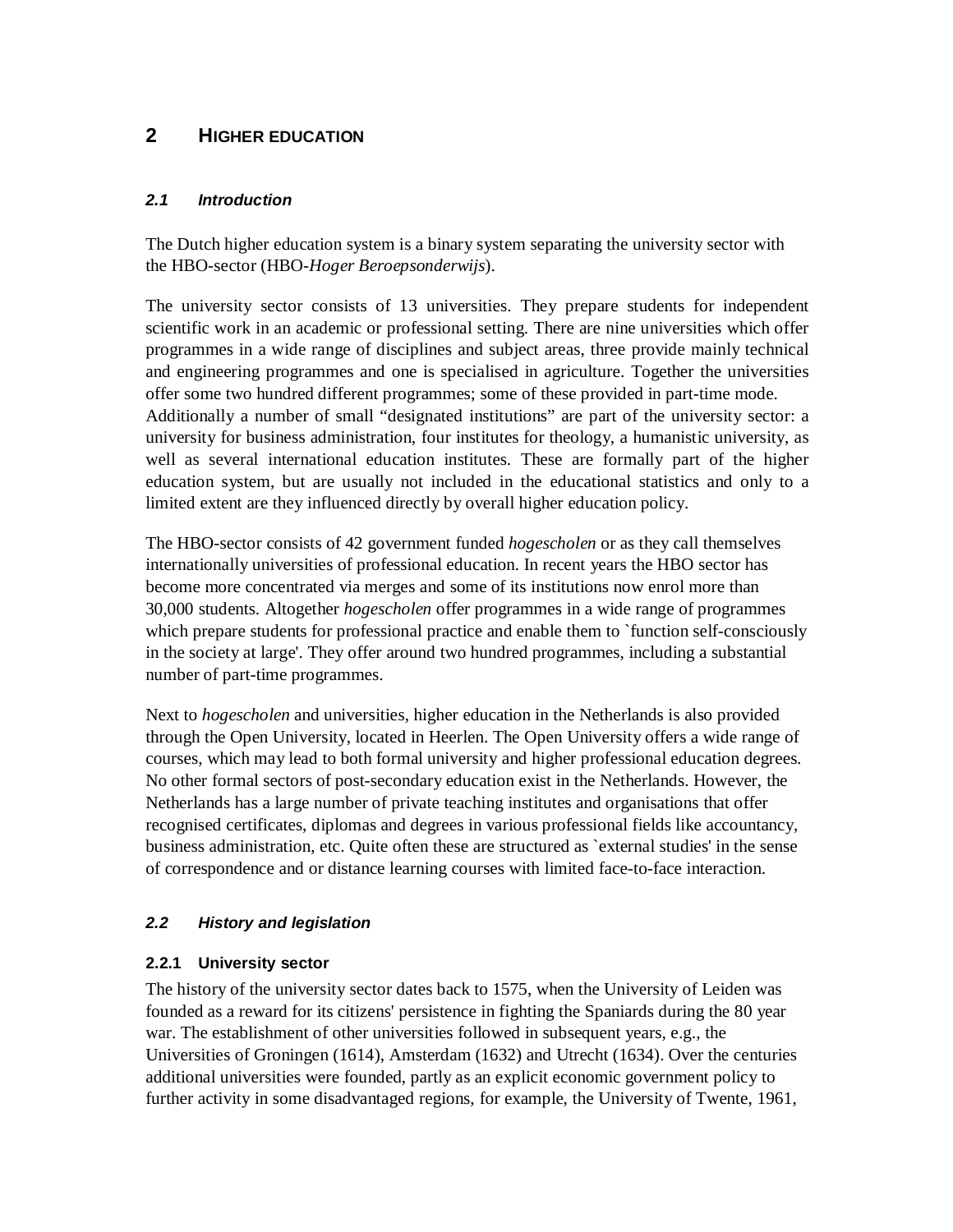# **2 HIGHER EDUCATION**

## *2.1 Introduction*

The Dutch higher education system is a binary system separating the university sector with the HBO-sector (HBO-*Hoger Beroepsonderwijs*).

The university sector consists of 13 universities. They prepare students for independent scientific work in an academic or professional setting. There are nine universities which offer programmes in a wide range of disciplines and subject areas, three provide mainly technical and engineering programmes and one is specialised in agriculture. Together the universities offer some two hundred different programmes; some of these provided in part-time mode. Additionally a number of small "designated institutions" are part of the university sector: a university for business administration, four institutes for theology, a humanistic university, as well as several international education institutes. These are formally part of the higher education system, but are usually not included in the educational statistics and only to a limited extent are they influenced directly by overall higher education policy.

The HBO-sector consists of 42 government funded *hogescholen* or as they call themselves internationally universities of professional education. In recent years the HBO sector has become more concentrated via merges and some of its institutions now enrol more than 30,000 students. Altogether *hogescholen* offer programmes in a wide range of programmes which prepare students for professional practice and enable them to `function self-consciously in the society at large'. They offer around two hundred programmes, including a substantial number of part-time programmes.

Next to *hogescholen* and universities, higher education in the Netherlands is also provided through the Open University, located in Heerlen. The Open University offers a wide range of courses, which may lead to both formal university and higher professional education degrees. No other formal sectors of post-secondary education exist in the Netherlands. However, the Netherlands has a large number of private teaching institutes and organisations that offer recognised certificates, diplomas and degrees in various professional fields like accountancy, business administration, etc. Quite often these are structured as `external studies' in the sense of correspondence and or distance learning courses with limited face-to-face interaction.

# *2.2 History and legislation*

# **2.2.1 University sector**

The history of the university sector dates back to 1575, when the University of Leiden was founded as a reward for its citizens' persistence in fighting the Spaniards during the 80 year war. The establishment of other universities followed in subsequent years, e.g., the Universities of Groningen (1614), Amsterdam (1632) and Utrecht (1634). Over the centuries additional universities were founded, partly as an explicit economic government policy to further activity in some disadvantaged regions, for example, the University of Twente, 1961,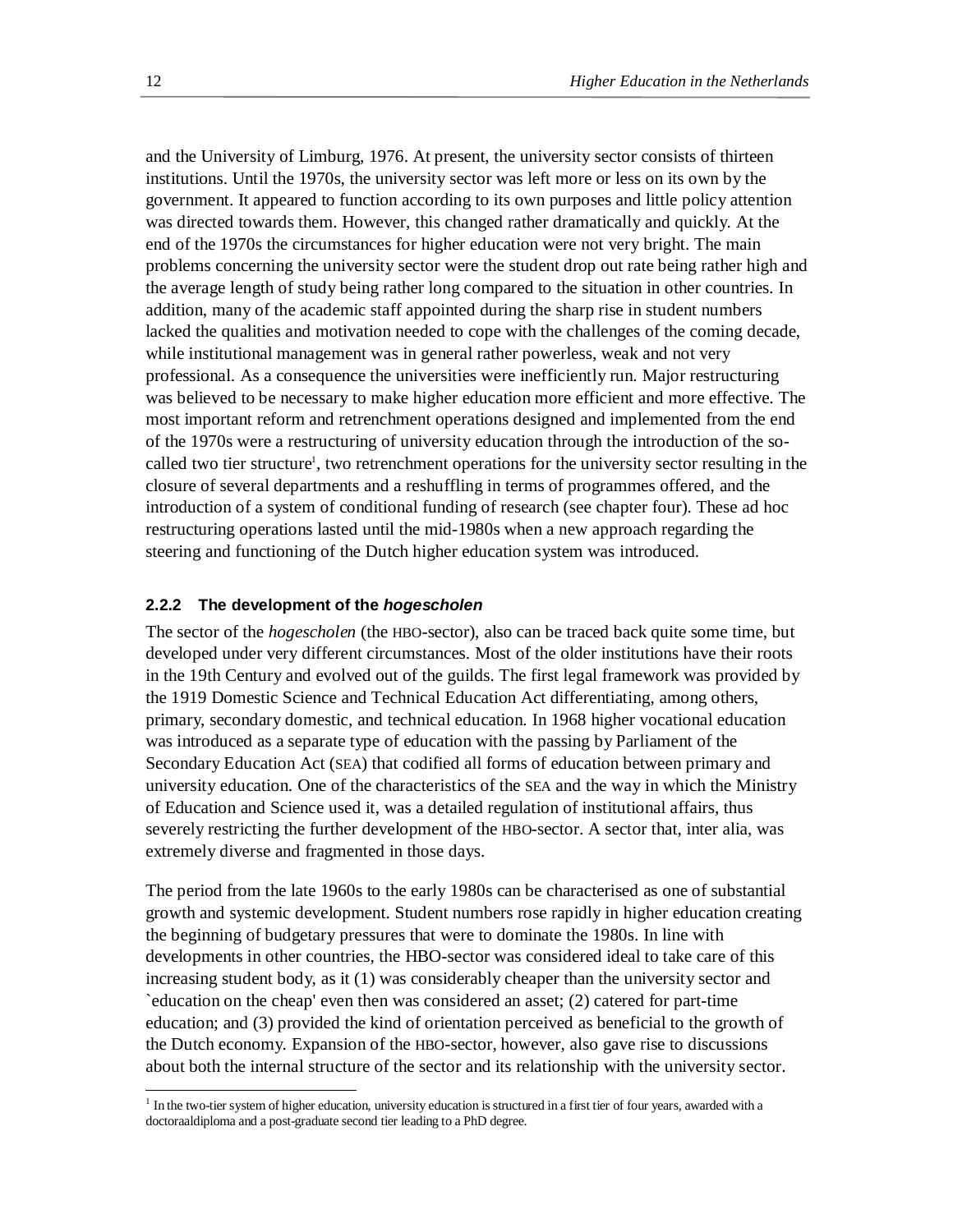and the University of Limburg, 1976. At present, the university sector consists of thirteen institutions. Until the 1970s, the university sector was left more or less on its own by the government. It appeared to function according to its own purposes and little policy attention was directed towards them. However, this changed rather dramatically and quickly. At the end of the 1970s the circumstances for higher education were not very bright. The main problems concerning the university sector were the student drop out rate being rather high and the average length of study being rather long compared to the situation in other countries. In addition, many of the academic staff appointed during the sharp rise in student numbers lacked the qualities and motivation needed to cope with the challenges of the coming decade, while institutional management was in general rather powerless, weak and not very professional. As a consequence the universities were inefficiently run. Major restructuring was believed to be necessary to make higher education more efficient and more effective. The most important reform and retrenchment operations designed and implemented from the end of the 1970s were a restructuring of university education through the introduction of the socalled two tier structure<sup>1</sup>, two retrenchment operations for the university sector resulting in the closure of several departments and a reshuffling in terms of programmes offered, and the introduction of a system of conditional funding of research (see chapter four). These ad hoc restructuring operations lasted until the mid-1980s when a new approach regarding the steering and functioning of the Dutch higher education system was introduced.

#### **2.2.2 The development of the** *hogescholen*

The sector of the *hogescholen* (the HBO-sector), also can be traced back quite some time, but developed under very different circumstances. Most of the older institutions have their roots in the 19th Century and evolved out of the guilds. The first legal framework was provided by the 1919 Domestic Science and Technical Education Act differentiating, among others, primary, secondary domestic, and technical education. In 1968 higher vocational education was introduced as a separate type of education with the passing by Parliament of the Secondary Education Act (SEA) that codified all forms of education between primary and university education. One of the characteristics of the SEA and the way in which the Ministry of Education and Science used it, was a detailed regulation of institutional affairs, thus severely restricting the further development of the HBO-sector. A sector that, inter alia, was extremely diverse and fragmented in those days.

The period from the late 1960s to the early 1980s can be characterised as one of substantial growth and systemic development. Student numbers rose rapidly in higher education creating the beginning of budgetary pressures that were to dominate the 1980s. In line with developments in other countries, the HBO-sector was considered ideal to take care of this increasing student body, as it (1) was considerably cheaper than the university sector and `education on the cheap' even then was considered an asset; (2) catered for part-time education; and (3) provided the kind of orientation perceived as beneficial to the growth of the Dutch economy. Expansion of the HBO-sector, however, also gave rise to discussions about both the internal structure of the sector and its relationship with the university sector.

-

<sup>&</sup>lt;sup>1</sup> In the two-tier system of higher education, university education is structured in a first tier of four years, awarded with a doctoraaldiploma and a post-graduate second tier leading to a PhD degree.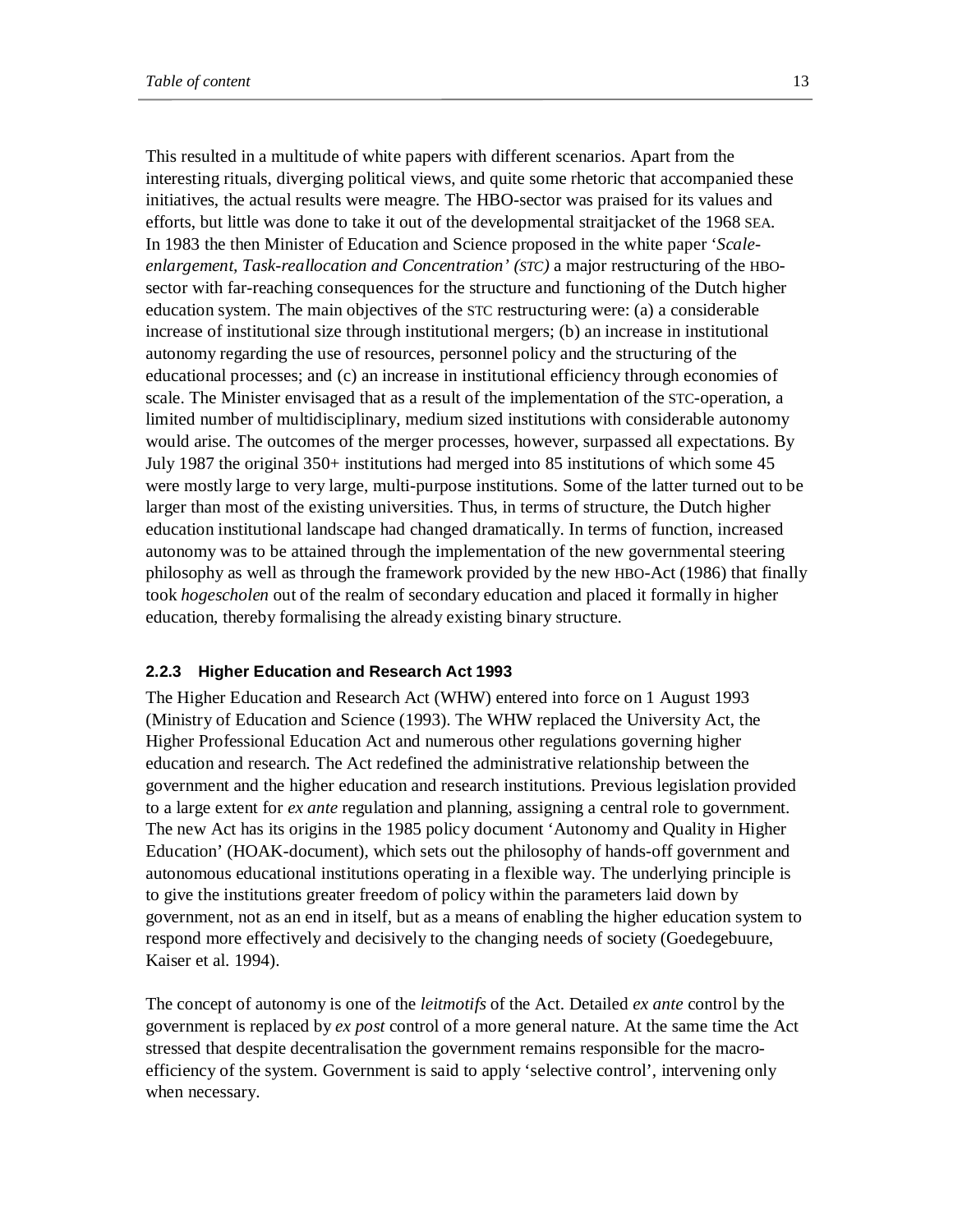This resulted in a multitude of white papers with different scenarios. Apart from the interesting rituals, diverging political views, and quite some rhetoric that accompanied these initiatives, the actual results were meagre. The HBO-sector was praised for its values and efforts, but little was done to take it out of the developmental straitjacket of the 1968 SEA. In 1983 the then Minister of Education and Science proposed in the white paper '*Scaleenlargement, Task-reallocation and Concentration' (STC)* a major restructuring of the HBOsector with far-reaching consequences for the structure and functioning of the Dutch higher education system. The main objectives of the STC restructuring were: (a) a considerable increase of institutional size through institutional mergers; (b) an increase in institutional autonomy regarding the use of resources, personnel policy and the structuring of the educational processes; and (c) an increase in institutional efficiency through economies of scale. The Minister envisaged that as a result of the implementation of the STC-operation, a limited number of multidisciplinary, medium sized institutions with considerable autonomy would arise. The outcomes of the merger processes, however, surpassed all expectations. By July 1987 the original 350+ institutions had merged into 85 institutions of which some 45 were mostly large to very large, multi-purpose institutions. Some of the latter turned out to be larger than most of the existing universities. Thus, in terms of structure, the Dutch higher education institutional landscape had changed dramatically. In terms of function, increased autonomy was to be attained through the implementation of the new governmental steering philosophy as well as through the framework provided by the new HBO-Act (1986) that finally took *hogescholen* out of the realm of secondary education and placed it formally in higher education, thereby formalising the already existing binary structure.

#### **2.2.3 Higher Education and Research Act 1993**

The Higher Education and Research Act (WHW) entered into force on 1 August 1993 (Ministry of Education and Science (1993). The WHW replaced the University Act, the Higher Professional Education Act and numerous other regulations governing higher education and research. The Act redefined the administrative relationship between the government and the higher education and research institutions. Previous legislation provided to a large extent for *ex ante* regulation and planning, assigning a central role to government. The new Act has its origins in the 1985 policy document 'Autonomy and Quality in Higher Education' (HOAK-document), which sets out the philosophy of hands-off government and autonomous educational institutions operating in a flexible way. The underlying principle is to give the institutions greater freedom of policy within the parameters laid down by government, not as an end in itself, but as a means of enabling the higher education system to respond more effectively and decisively to the changing needs of society (Goedegebuure, Kaiser et al. 1994).

The concept of autonomy is one of the *leitmotifs* of the Act. Detailed *ex ante* control by the government is replaced by *ex post* control of a more general nature. At the same time the Act stressed that despite decentralisation the government remains responsible for the macroefficiency of the system. Government is said to apply 'selective control', intervening only when necessary.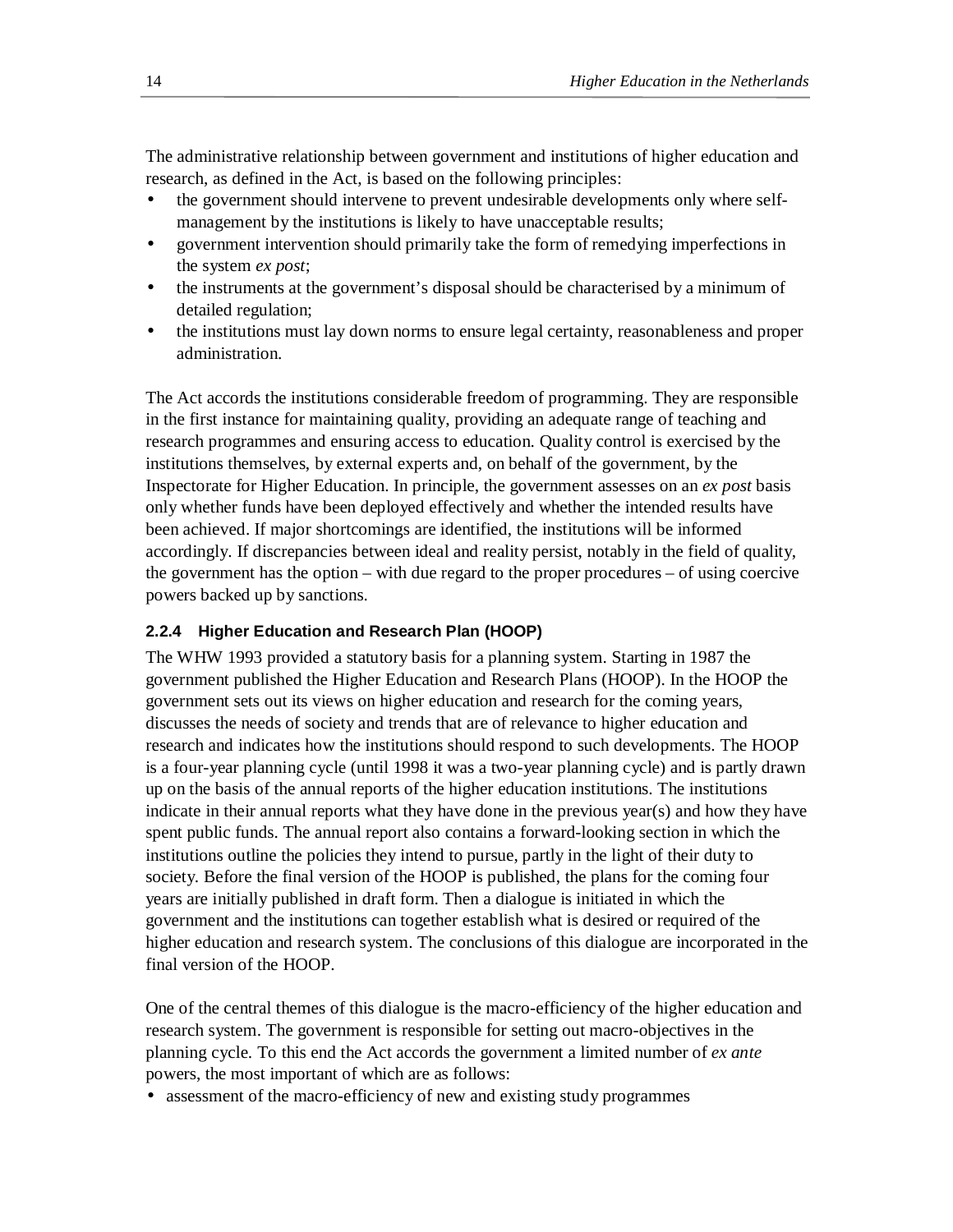The administrative relationship between government and institutions of higher education and research, as defined in the Act, is based on the following principles:

- the government should intervene to prevent undesirable developments only where selfmanagement by the institutions is likely to have unacceptable results;
- government intervention should primarily take the form of remedying imperfections in the system *ex post*;
- the instruments at the government's disposal should be characterised by a minimum of detailed regulation;
- the institutions must lay down norms to ensure legal certainty, reasonableness and proper administration.

The Act accords the institutions considerable freedom of programming. They are responsible in the first instance for maintaining quality, providing an adequate range of teaching and research programmes and ensuring access to education. Quality control is exercised by the institutions themselves, by external experts and, on behalf of the government, by the Inspectorate for Higher Education. In principle, the government assesses on an *ex post* basis only whether funds have been deployed effectively and whether the intended results have been achieved. If major shortcomings are identified, the institutions will be informed accordingly. If discrepancies between ideal and reality persist, notably in the field of quality, the government has the option – with due regard to the proper procedures – of using coercive powers backed up by sanctions.

# **2.2.4 Higher Education and Research Plan (HOOP)**

The WHW 1993 provided a statutory basis for a planning system. Starting in 1987 the government published the Higher Education and Research Plans (HOOP). In the HOOP the government sets out its views on higher education and research for the coming years, discusses the needs of society and trends that are of relevance to higher education and research and indicates how the institutions should respond to such developments. The HOOP is a four-year planning cycle (until 1998 it was a two-year planning cycle) and is partly drawn up on the basis of the annual reports of the higher education institutions. The institutions indicate in their annual reports what they have done in the previous year(s) and how they have spent public funds. The annual report also contains a forward-looking section in which the institutions outline the policies they intend to pursue, partly in the light of their duty to society. Before the final version of the HOOP is published, the plans for the coming four years are initially published in draft form. Then a dialogue is initiated in which the government and the institutions can together establish what is desired or required of the higher education and research system. The conclusions of this dialogue are incorporated in the final version of the HOOP.

One of the central themes of this dialogue is the macro-efficiency of the higher education and research system. The government is responsible for setting out macro-objectives in the planning cycle. To this end the Act accords the government a limited number of *ex ante* powers, the most important of which are as follows:

• assessment of the macro-efficiency of new and existing study programmes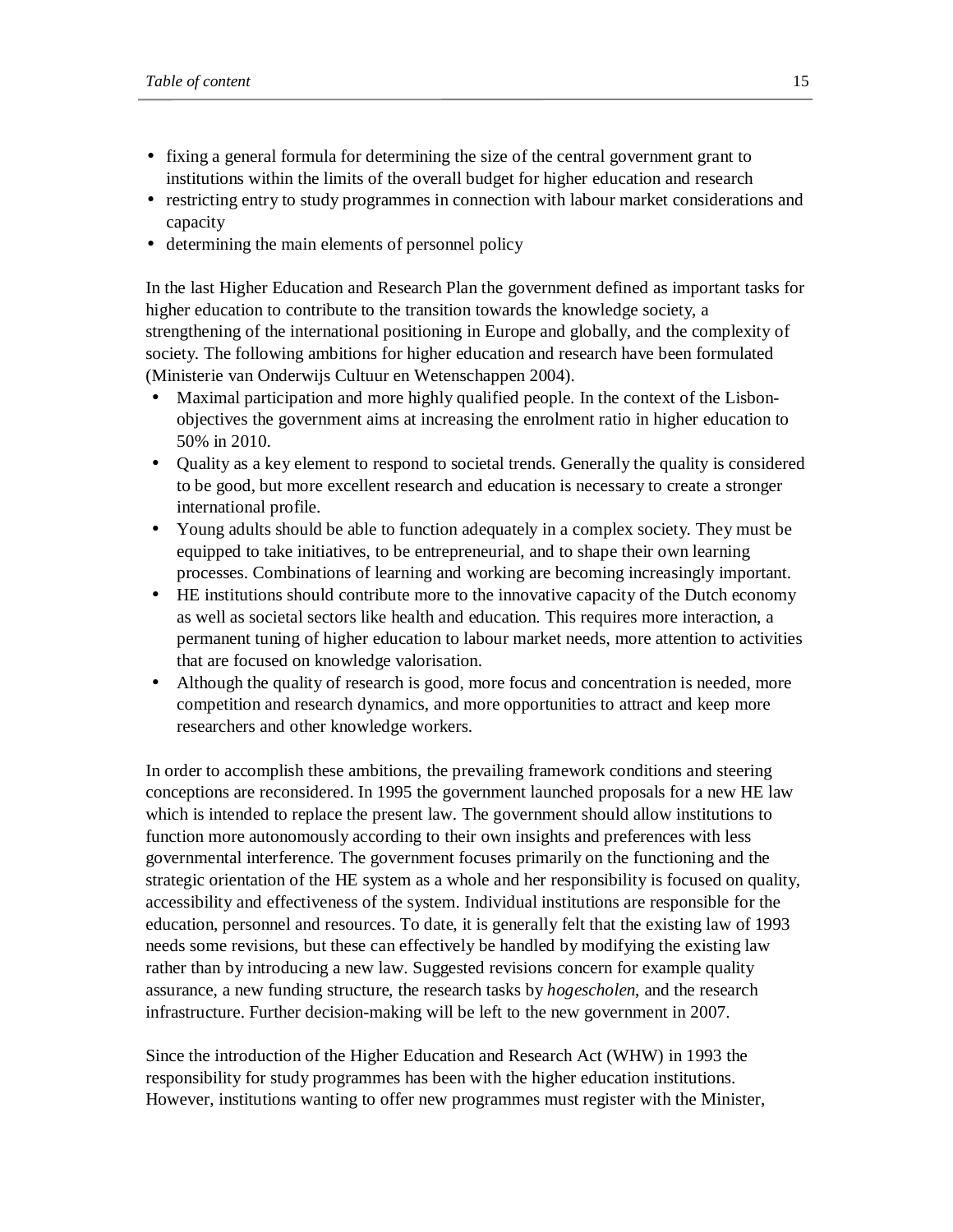- fixing a general formula for determining the size of the central government grant to institutions within the limits of the overall budget for higher education and research
- restricting entry to study programmes in connection with labour market considerations and capacity
- determining the main elements of personnel policy

In the last Higher Education and Research Plan the government defined as important tasks for higher education to contribute to the transition towards the knowledge society, a strengthening of the international positioning in Europe and globally, and the complexity of society. The following ambitions for higher education and research have been formulated (Ministerie van Onderwijs Cultuur en Wetenschappen 2004).

- Maximal participation and more highly qualified people. In the context of the Lisbonobjectives the government aims at increasing the enrolment ratio in higher education to 50% in 2010.
- Quality as a key element to respond to societal trends. Generally the quality is considered to be good, but more excellent research and education is necessary to create a stronger international profile.
- Young adults should be able to function adequately in a complex society. They must be equipped to take initiatives, to be entrepreneurial, and to shape their own learning processes. Combinations of learning and working are becoming increasingly important.
- HE institutions should contribute more to the innovative capacity of the Dutch economy as well as societal sectors like health and education. This requires more interaction, a permanent tuning of higher education to labour market needs, more attention to activities that are focused on knowledge valorisation.
- Although the quality of research is good, more focus and concentration is needed, more competition and research dynamics, and more opportunities to attract and keep more researchers and other knowledge workers.

In order to accomplish these ambitions, the prevailing framework conditions and steering conceptions are reconsidered. In 1995 the government launched proposals for a new HE law which is intended to replace the present law. The government should allow institutions to function more autonomously according to their own insights and preferences with less governmental interference. The government focuses primarily on the functioning and the strategic orientation of the HE system as a whole and her responsibility is focused on quality, accessibility and effectiveness of the system. Individual institutions are responsible for the education, personnel and resources. To date, it is generally felt that the existing law of 1993 needs some revisions, but these can effectively be handled by modifying the existing law rather than by introducing a new law. Suggested revisions concern for example quality assurance, a new funding structure, the research tasks by *hogescholen*, and the research infrastructure. Further decision-making will be left to the new government in 2007.

Since the introduction of the Higher Education and Research Act (WHW) in 1993 the responsibility for study programmes has been with the higher education institutions. However, institutions wanting to offer new programmes must register with the Minister,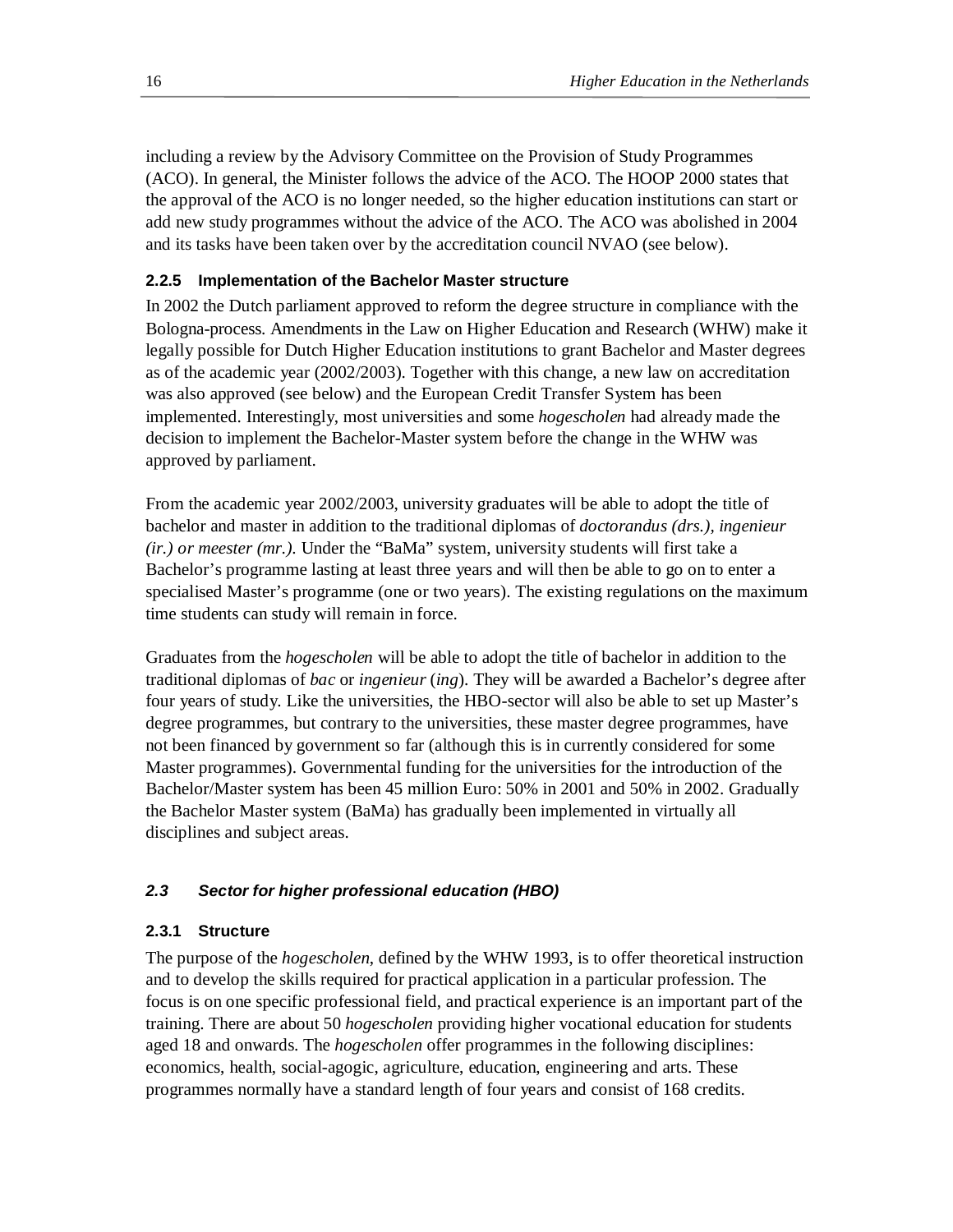including a review by the Advisory Committee on the Provision of Study Programmes (ACO). In general, the Minister follows the advice of the ACO. The HOOP 2000 states that the approval of the ACO is no longer needed, so the higher education institutions can start or add new study programmes without the advice of the ACO. The ACO was abolished in 2004 and its tasks have been taken over by the accreditation council NVAO (see below).

# **2.2.5 Implementation of the Bachelor Master structure**

In 2002 the Dutch parliament approved to reform the degree structure in compliance with the Bologna-process. Amendments in the Law on Higher Education and Research (WHW) make it legally possible for Dutch Higher Education institutions to grant Bachelor and Master degrees as of the academic year (2002/2003). Together with this change, a new law on accreditation was also approved (see below) and the European Credit Transfer System has been implemented. Interestingly, most universities and some *hogescholen* had already made the decision to implement the Bachelor-Master system before the change in the WHW was approved by parliament.

From the academic year 2002/2003, university graduates will be able to adopt the title of bachelor and master in addition to the traditional diplomas of *doctorandus (drs.), ingenieur (ir.) or meester (mr.).* Under the "BaMa" system, university students will first take a Bachelor's programme lasting at least three years and will then be able to go on to enter a specialised Master's programme (one or two years). The existing regulations on the maximum time students can study will remain in force.

Graduates from the *hogescholen* will be able to adopt the title of bachelor in addition to the traditional diplomas of *bac* or *ingenieur* (*ing*). They will be awarded a Bachelor's degree after four years of study. Like the universities, the HBO-sector will also be able to set up Master's degree programmes, but contrary to the universities, these master degree programmes, have not been financed by government so far (although this is in currently considered for some Master programmes). Governmental funding for the universities for the introduction of the Bachelor/Master system has been 45 million Euro: 50% in 2001 and 50% in 2002. Gradually the Bachelor Master system (BaMa) has gradually been implemented in virtually all disciplines and subject areas.

# *2.3 Sector for higher professional education (HBO)*

## **2.3.1 Structure**

The purpose of the *hogescholen*, defined by the WHW 1993, is to offer theoretical instruction and to develop the skills required for practical application in a particular profession. The focus is on one specific professional field, and practical experience is an important part of the training. There are about 50 *hogescholen* providing higher vocational education for students aged 18 and onwards. The *hogescholen* offer programmes in the following disciplines: economics, health, social-agogic, agriculture, education, engineering and arts. These programmes normally have a standard length of four years and consist of 168 credits.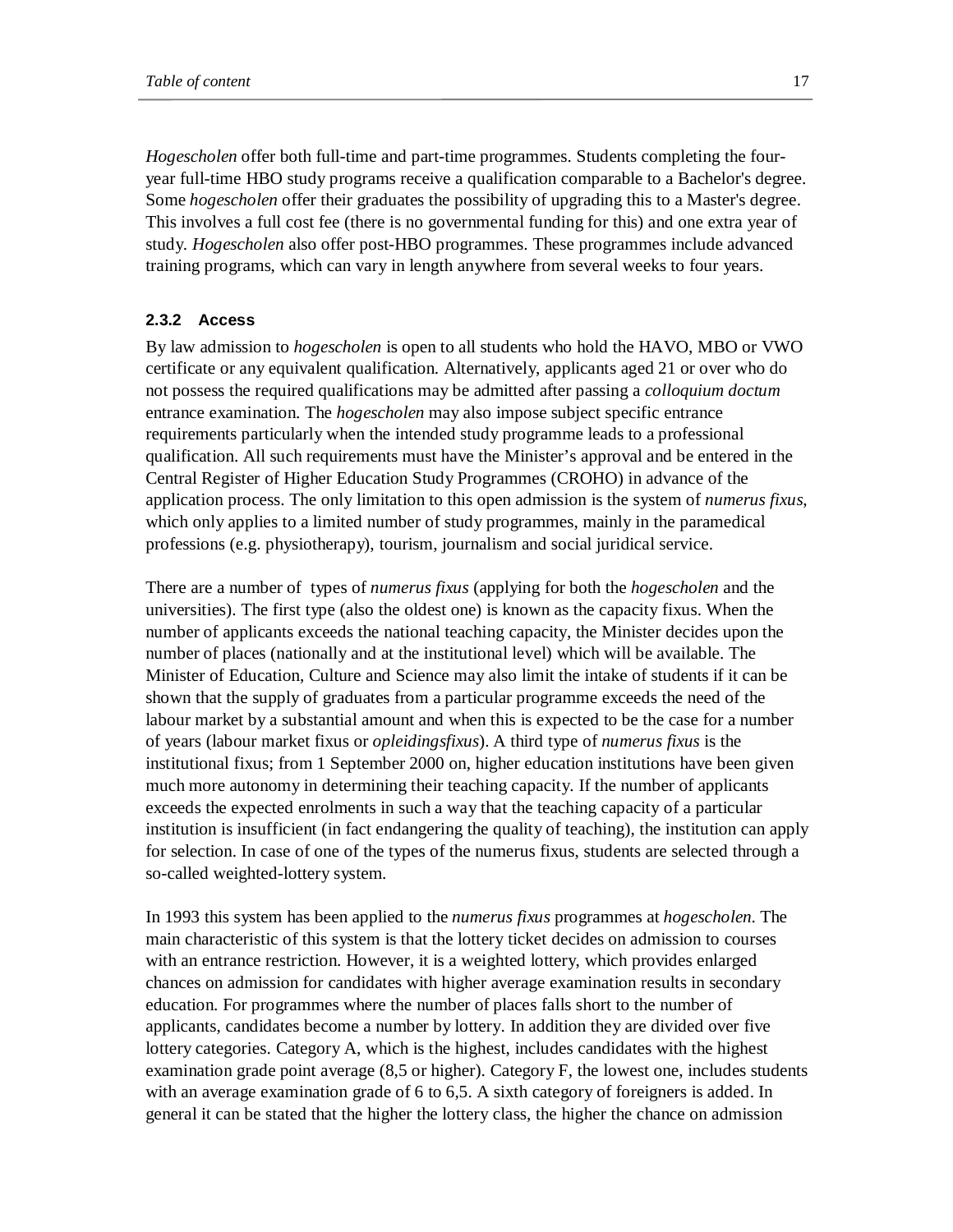*Hogescholen* offer both full-time and part-time programmes. Students completing the fouryear full-time HBO study programs receive a qualification comparable to a Bachelor's degree. Some *hogescholen* offer their graduates the possibility of upgrading this to a Master's degree. This involves a full cost fee (there is no governmental funding for this) and one extra year of study. *Hogescholen* also offer post-HBO programmes. These programmes include advanced training programs, which can vary in length anywhere from several weeks to four years.

#### **2.3.2 Access**

By law admission to *hogescholen* is open to all students who hold the HAVO, MBO or VWO certificate or any equivalent qualification. Alternatively, applicants aged 21 or over who do not possess the required qualifications may be admitted after passing a *colloquium doctum* entrance examination. The *hogescholen* may also impose subject specific entrance requirements particularly when the intended study programme leads to a professional qualification. All such requirements must have the Minister's approval and be entered in the Central Register of Higher Education Study Programmes (CROHO) in advance of the application process. The only limitation to this open admission is the system of *numerus fixus*, which only applies to a limited number of study programmes, mainly in the paramedical professions (e.g. physiotherapy), tourism, journalism and social juridical service.

There are a number of types of *numerus fixus* (applying for both the *hogescholen* and the universities). The first type (also the oldest one) is known as the capacity fixus. When the number of applicants exceeds the national teaching capacity, the Minister decides upon the number of places (nationally and at the institutional level) which will be available. The Minister of Education, Culture and Science may also limit the intake of students if it can be shown that the supply of graduates from a particular programme exceeds the need of the labour market by a substantial amount and when this is expected to be the case for a number of years (labour market fixus or *opleidingsfixus*). A third type of *numerus fixus* is the institutional fixus; from 1 September 2000 on, higher education institutions have been given much more autonomy in determining their teaching capacity. If the number of applicants exceeds the expected enrolments in such a way that the teaching capacity of a particular institution is insufficient (in fact endangering the quality of teaching), the institution can apply for selection. In case of one of the types of the numerus fixus, students are selected through a so-called weighted-lottery system.

In 1993 this system has been applied to the *numerus fixus* programmes at *hogescholen*. The main characteristic of this system is that the lottery ticket decides on admission to courses with an entrance restriction. However, it is a weighted lottery, which provides enlarged chances on admission for candidates with higher average examination results in secondary education. For programmes where the number of places falls short to the number of applicants, candidates become a number by lottery. In addition they are divided over five lottery categories. Category A, which is the highest, includes candidates with the highest examination grade point average (8,5 or higher). Category F, the lowest one, includes students with an average examination grade of 6 to 6,5. A sixth category of foreigners is added. In general it can be stated that the higher the lottery class, the higher the chance on admission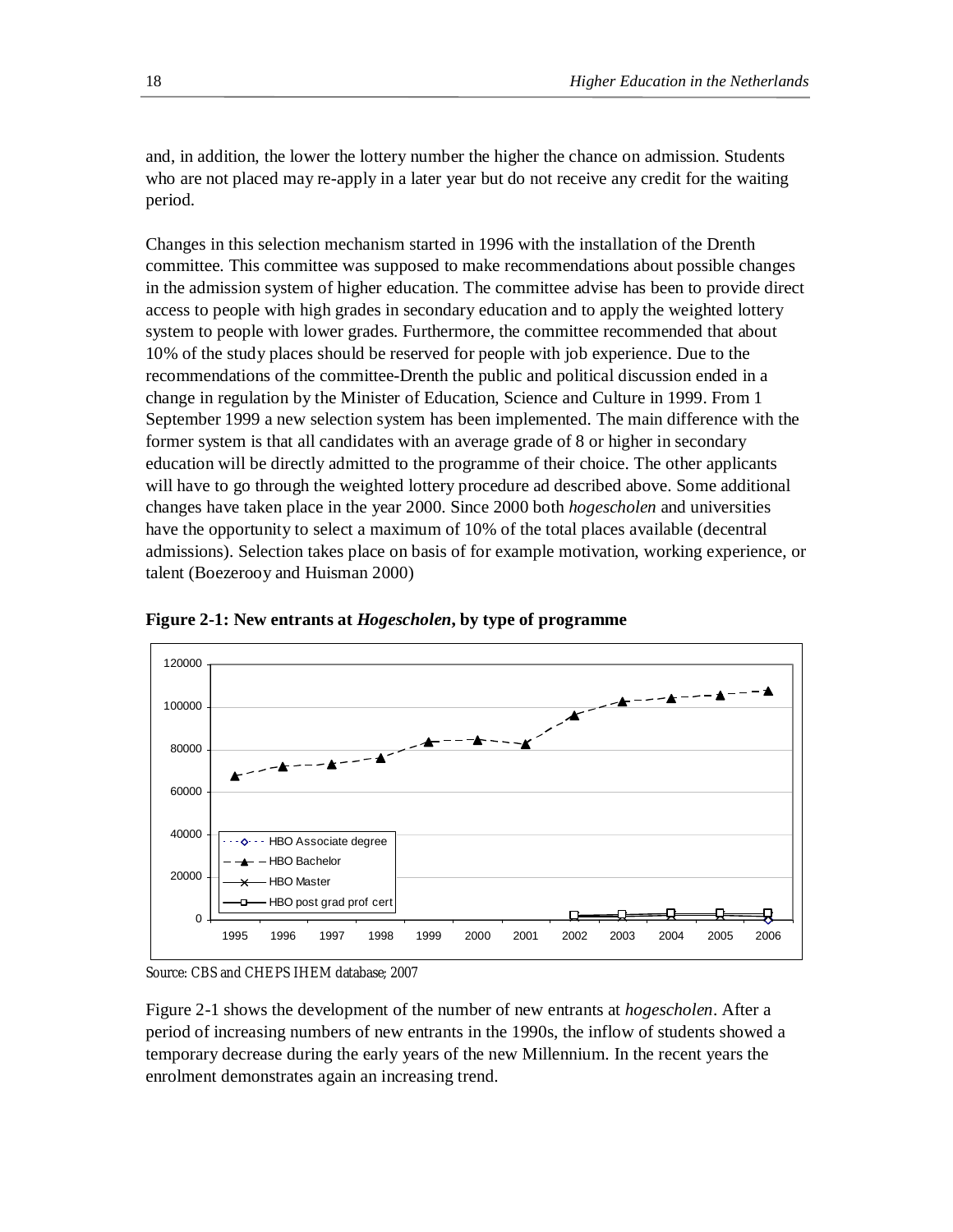and, in addition, the lower the lottery number the higher the chance on admission. Students who are not placed may re-apply in a later year but do not receive any credit for the waiting period.

Changes in this selection mechanism started in 1996 with the installation of the Drenth committee. This committee was supposed to make recommendations about possible changes in the admission system of higher education. The committee advise has been to provide direct access to people with high grades in secondary education and to apply the weighted lottery system to people with lower grades. Furthermore, the committee recommended that about 10% of the study places should be reserved for people with job experience. Due to the recommendations of the committee-Drenth the public and political discussion ended in a change in regulation by the Minister of Education, Science and Culture in 1999. From 1 September 1999 a new selection system has been implemented. The main difference with the former system is that all candidates with an average grade of 8 or higher in secondary education will be directly admitted to the programme of their choice. The other applicants will have to go through the weighted lottery procedure ad described above. Some additional changes have taken place in the year 2000. Since 2000 both *hogescholen* and universities have the opportunity to select a maximum of 10% of the total places available (decentral admissions). Selection takes place on basis of for example motivation, working experience, or talent (Boezerooy and Huisman 2000)



**Figure 2-1: New entrants at** *Hogescholen***, by type of programme** 

Figure 2-1 shows the development of the number of new entrants at *hogescholen*. After a period of increasing numbers of new entrants in the 1990s, the inflow of students showed a temporary decrease during the early years of the new Millennium. In the recent years the enrolment demonstrates again an increasing trend.

Source: CBS and CHEPS IHEM database; 2007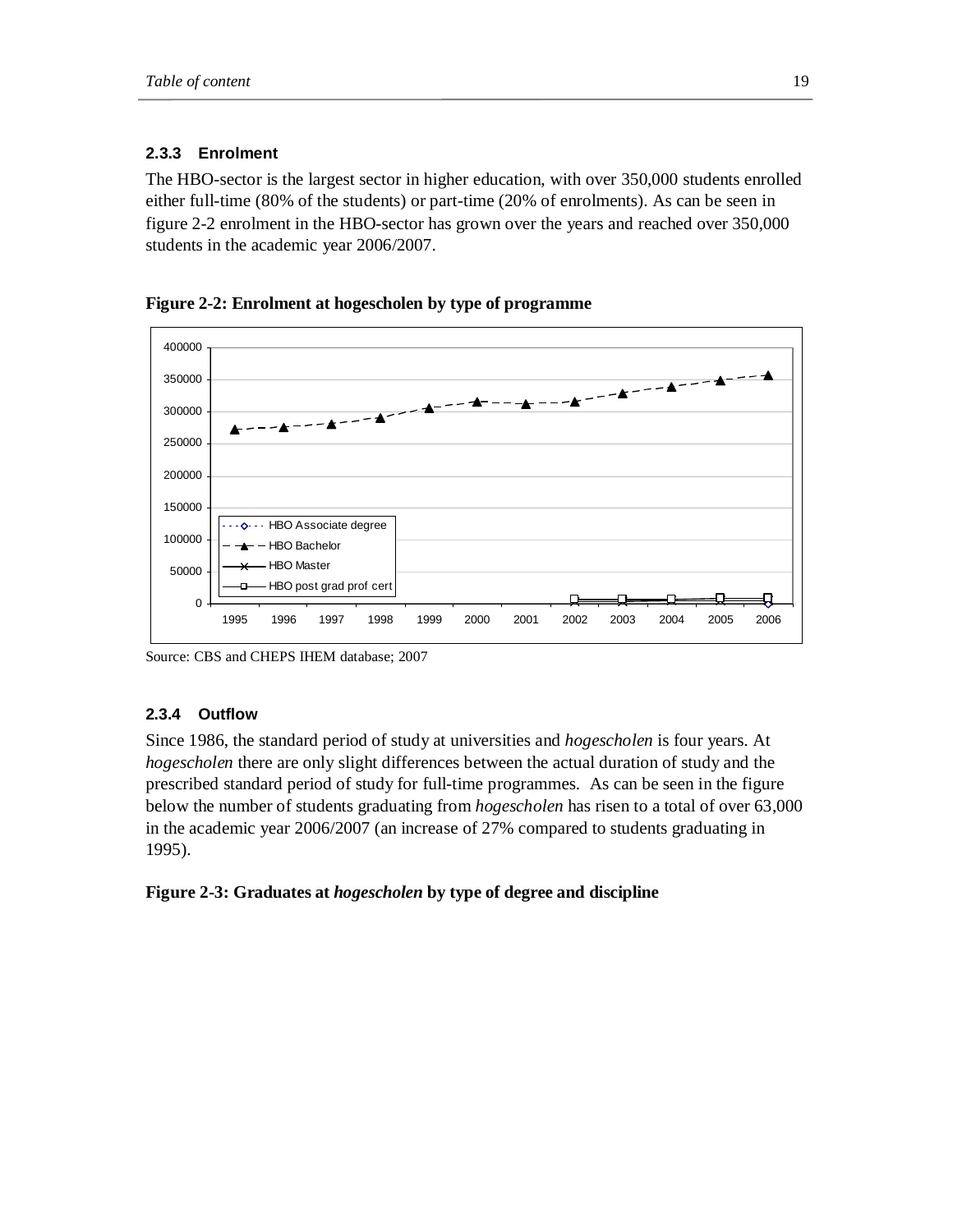# **2.3.3 Enrolment**

The HBO-sector is the largest sector in higher education, with over 350,000 students enrolled either full-time (80% of the students) or part-time (20% of enrolments). As can be seen in figure 2-2 enrolment in the HBO-sector has grown over the years and reached over 350,000 students in the academic year 2006/2007.





Source: CBS and CHEPS IHEM database; 2007

# **2.3.4 Outflow**

Since 1986, the standard period of study at universities and *hogescholen* is four years. At *hogescholen* there are only slight differences between the actual duration of study and the prescribed standard period of study for full-time programmes. As can be seen in the figure below the number of students graduating from *hogescholen* has risen to a total of over 63,000 in the academic year 2006/2007 (an increase of 27% compared to students graduating in 1995).

## **Figure 2-3: Graduates at** *hogescholen* **by type of degree and discipline**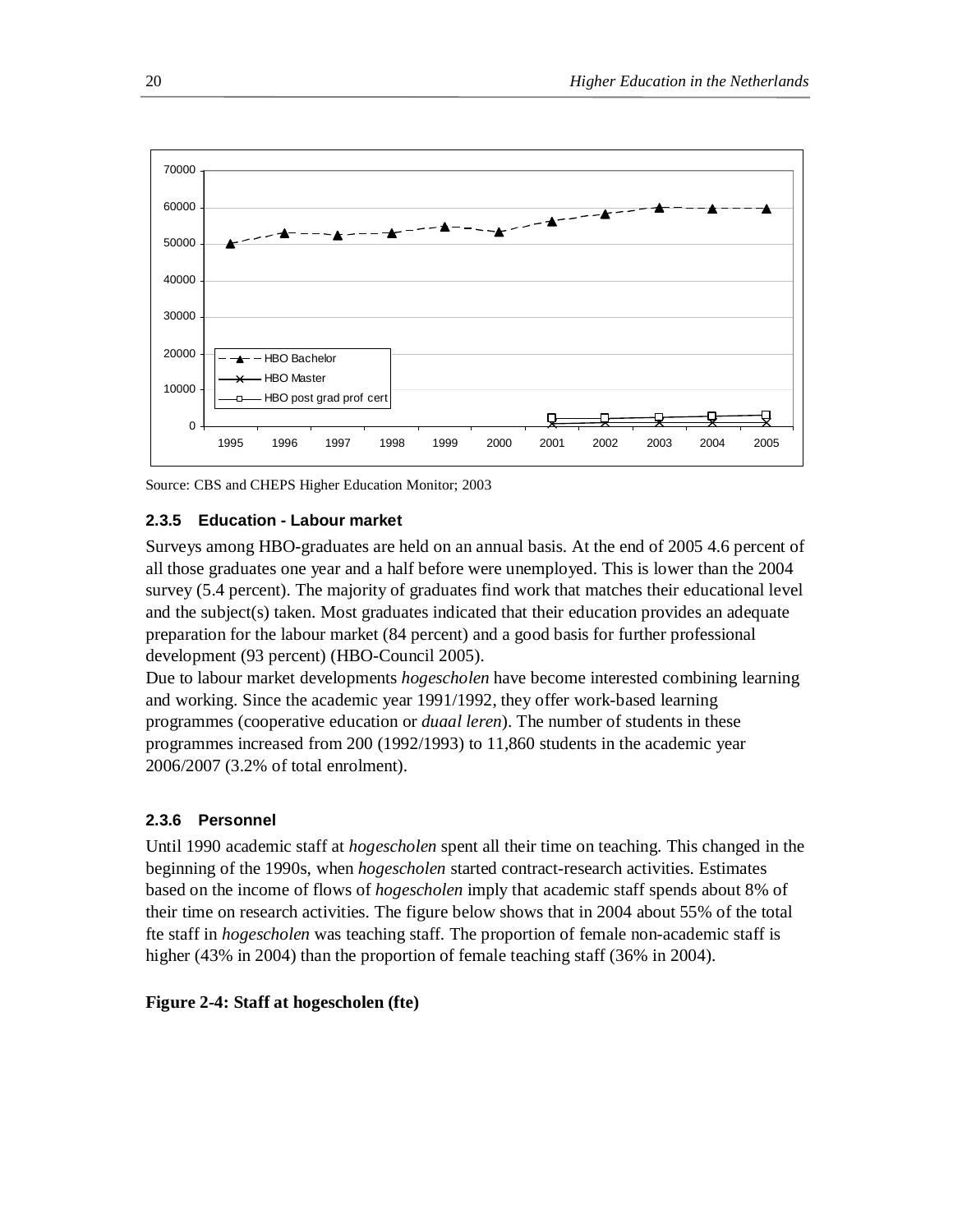

Source: CBS and CHEPS Higher Education Monitor; 2003

## **2.3.5 Education - Labour market**

Surveys among HBO-graduates are held on an annual basis. At the end of 2005 4.6 percent of all those graduates one year and a half before were unemployed. This is lower than the 2004 survey (5.4 percent). The majority of graduates find work that matches their educational level and the subject(s) taken. Most graduates indicated that their education provides an adequate preparation for the labour market (84 percent) and a good basis for further professional development (93 percent) (HBO-Council 2005).

Due to labour market developments *hogescholen* have become interested combining learning and working. Since the academic year 1991/1992, they offer work-based learning programmes (cooperative education or *duaal leren*). The number of students in these programmes increased from 200 (1992/1993) to 11,860 students in the academic year 2006/2007 (3.2% of total enrolment).

## **2.3.6 Personnel**

Until 1990 academic staff at *hogescholen* spent all their time on teaching. This changed in the beginning of the 1990s, when *hogescholen* started contract-research activities. Estimates based on the income of flows of *hogescholen* imply that academic staff spends about 8% of their time on research activities. The figure below shows that in 2004 about 55% of the total fte staff in *hogescholen* was teaching staff. The proportion of female non-academic staff is higher (43% in 2004) than the proportion of female teaching staff (36% in 2004).

#### **Figure 2-4: Staff at hogescholen (fte)**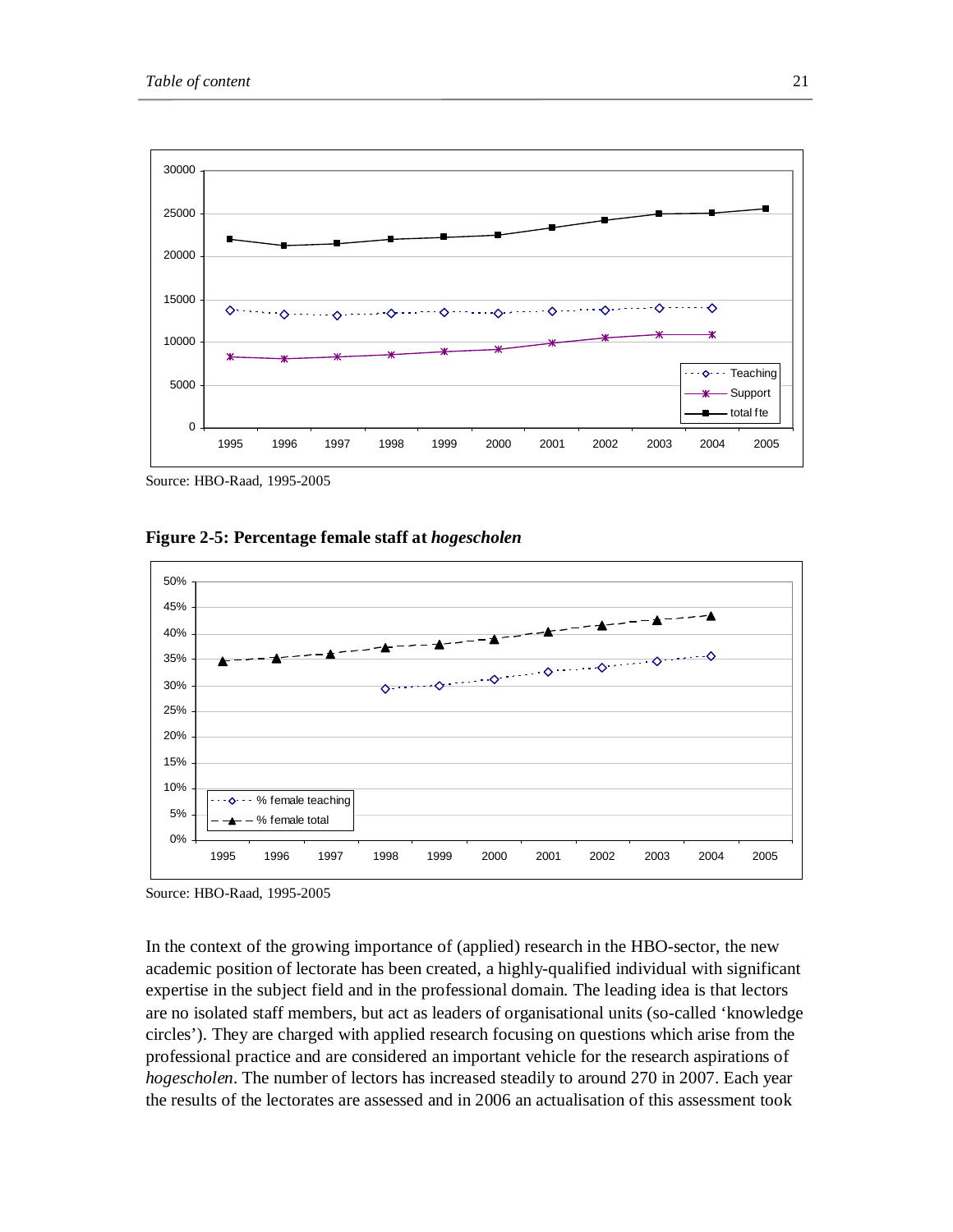

Source: HBO-Raad, 1995-2005

**Figure 2-5: Percentage female staff at** *hogescholen* 



Source: HBO-Raad, 1995-2005

In the context of the growing importance of (applied) research in the HBO-sector, the new academic position of lectorate has been created, a highly-qualified individual with significant expertise in the subject field and in the professional domain. The leading idea is that lectors are no isolated staff members, but act as leaders of organisational units (so-called 'knowledge circles'). They are charged with applied research focusing on questions which arise from the professional practice and are considered an important vehicle for the research aspirations of *hogescholen*. The number of lectors has increased steadily to around 270 in 2007. Each year the results of the lectorates are assessed and in 2006 an actualisation of this assessment took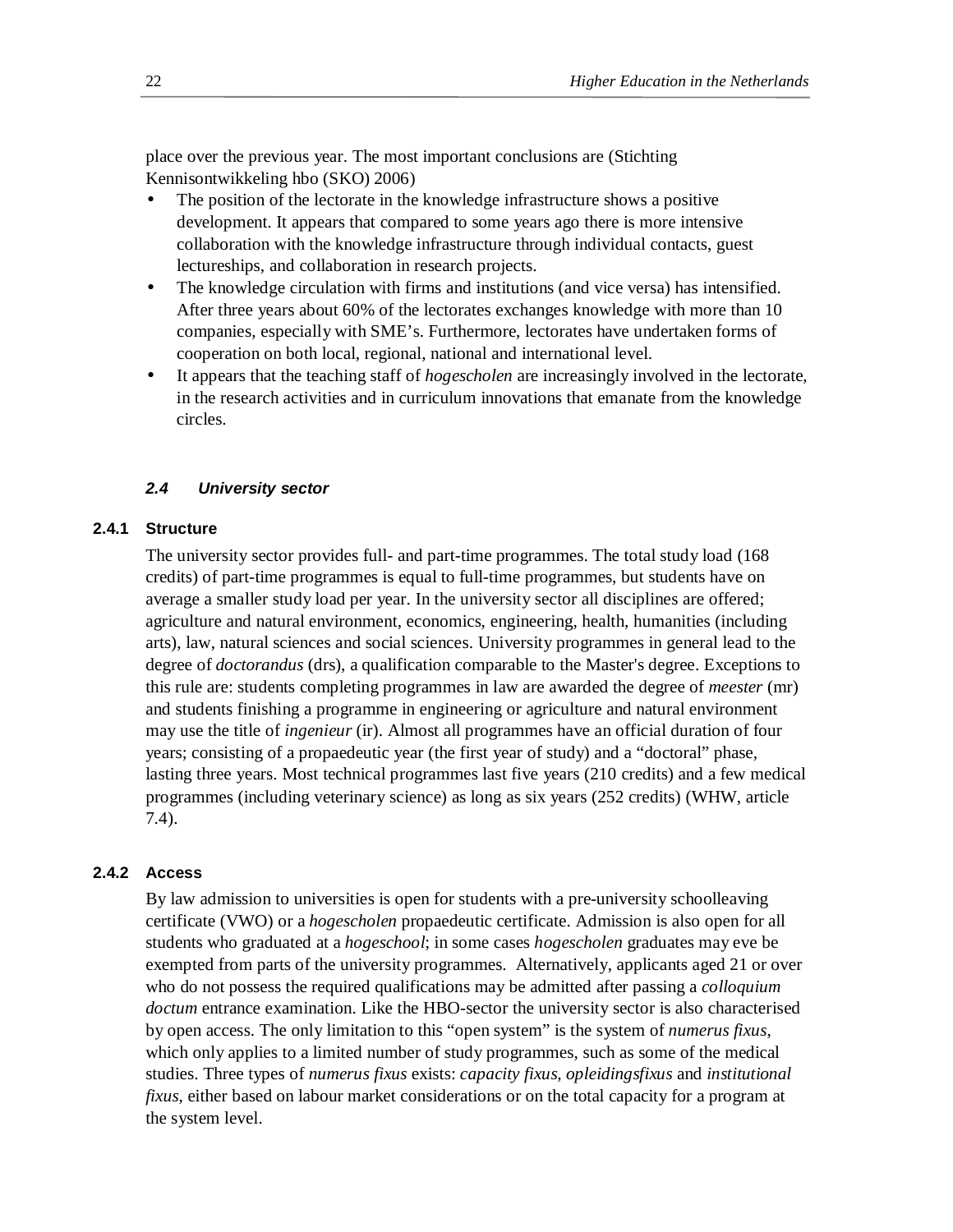place over the previous year. The most important conclusions are (Stichting Kennisontwikkeling hbo (SKO) 2006)

- The position of the lectorate in the knowledge infrastructure shows a positive development. It appears that compared to some years ago there is more intensive collaboration with the knowledge infrastructure through individual contacts, guest lectureships, and collaboration in research projects.
- The knowledge circulation with firms and institutions (and vice versa) has intensified. After three years about 60% of the lectorates exchanges knowledge with more than 10 companies, especially with SME's. Furthermore, lectorates have undertaken forms of cooperation on both local, regional, national and international level.
- It appears that the teaching staff of *hogescholen* are increasingly involved in the lectorate, in the research activities and in curriculum innovations that emanate from the knowledge circles.

## *2.4 University sector*

## **2.4.1 Structure**

The university sector provides full- and part-time programmes. The total study load (168 credits) of part-time programmes is equal to full-time programmes, but students have on average a smaller study load per year. In the university sector all disciplines are offered; agriculture and natural environment, economics, engineering, health, humanities (including arts), law, natural sciences and social sciences. University programmes in general lead to the degree of *doctorandus* (drs), a qualification comparable to the Master's degree. Exceptions to this rule are: students completing programmes in law are awarded the degree of *meester* (mr) and students finishing a programme in engineering or agriculture and natural environment may use the title of *ingenieur* (ir). Almost all programmes have an official duration of four years; consisting of a propaedeutic year (the first year of study) and a "doctoral" phase, lasting three years. Most technical programmes last five years (210 credits) and a few medical programmes (including veterinary science) as long as six years (252 credits) (WHW, article 7.4).

## **2.4.2 Access**

By law admission to universities is open for students with a pre-university schoolleaving certificate (VWO) or a *hogescholen* propaedeutic certificate. Admission is also open for all students who graduated at a *hogeschool*; in some cases *hogescholen* graduates may eve be exempted from parts of the university programmes. Alternatively, applicants aged 21 or over who do not possess the required qualifications may be admitted after passing a *colloquium doctum* entrance examination. Like the HBO-sector the university sector is also characterised by open access. The only limitation to this "open system" is the system of *numerus fixus*, which only applies to a limited number of study programmes, such as some of the medical studies. Three types of *numerus fixus* exists: *capacity fixus, opleidingsfixus* and *institutional fixus*, either based on labour market considerations or on the total capacity for a program at the system level.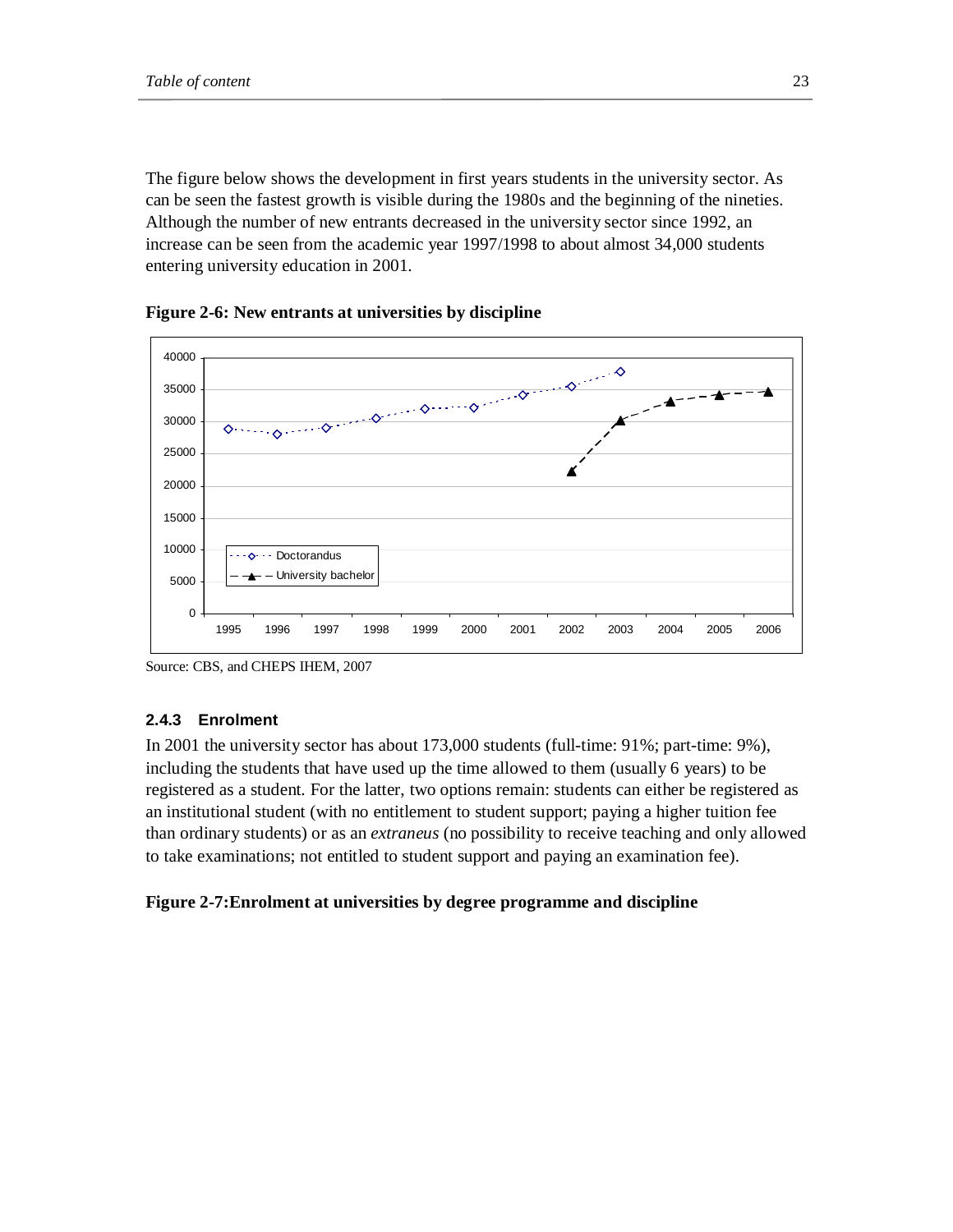The figure below shows the development in first years students in the university sector. As can be seen the fastest growth is visible during the 1980s and the beginning of the nineties. Although the number of new entrants decreased in the university sector since 1992, an increase can be seen from the academic year 1997/1998 to about almost 34,000 students entering university education in 2001.



**Figure 2-6: New entrants at universities by discipline** 

## **2.4.3 Enrolment**

In 2001 the university sector has about 173,000 students (full-time: 91%; part-time: 9%), including the students that have used up the time allowed to them (usually 6 years) to be registered as a student. For the latter, two options remain: students can either be registered as an institutional student (with no entitlement to student support; paying a higher tuition fee than ordinary students) or as an *extraneus* (no possibility to receive teaching and only allowed to take examinations; not entitled to student support and paying an examination fee).

# **Figure 2-7:Enrolment at universities by degree programme and discipline**

Source: CBS, and CHEPS IHEM, 2007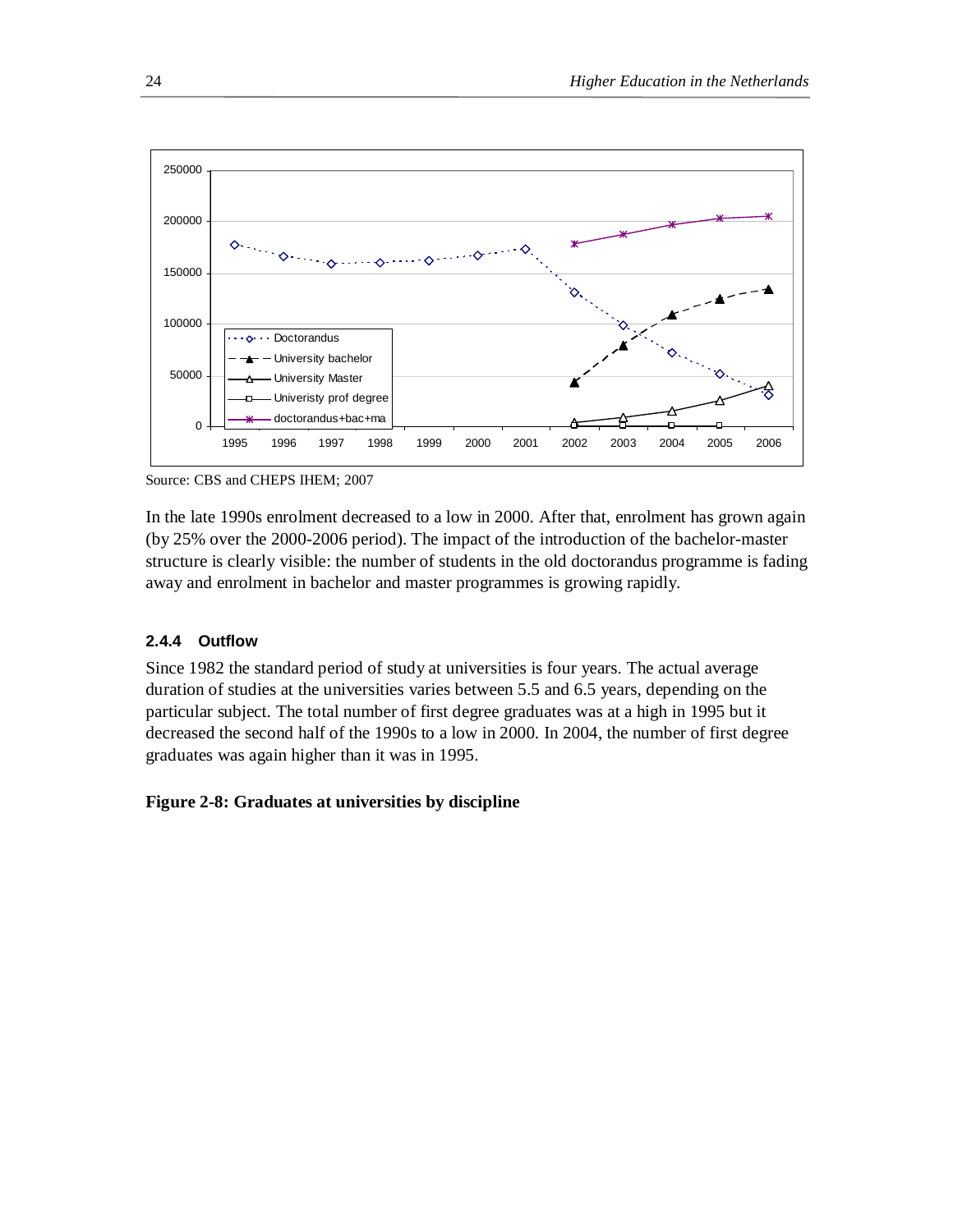

Source: CBS and CHEPS IHEM; 2007

In the late 1990s enrolment decreased to a low in 2000. After that, enrolment has grown again (by 25% over the 2000-2006 period). The impact of the introduction of the bachelor-master structure is clearly visible: the number of students in the old doctorandus programme is fading away and enrolment in bachelor and master programmes is growing rapidly.

# **2.4.4 Outflow**

Since 1982 the standard period of study at universities is four years. The actual average duration of studies at the universities varies between 5.5 and 6.5 years, depending on the particular subject. The total number of first degree graduates was at a high in 1995 but it decreased the second half of the 1990s to a low in 2000. In 2004, the number of first degree graduates was again higher than it was in 1995.

# **Figure 2-8: Graduates at universities by discipline**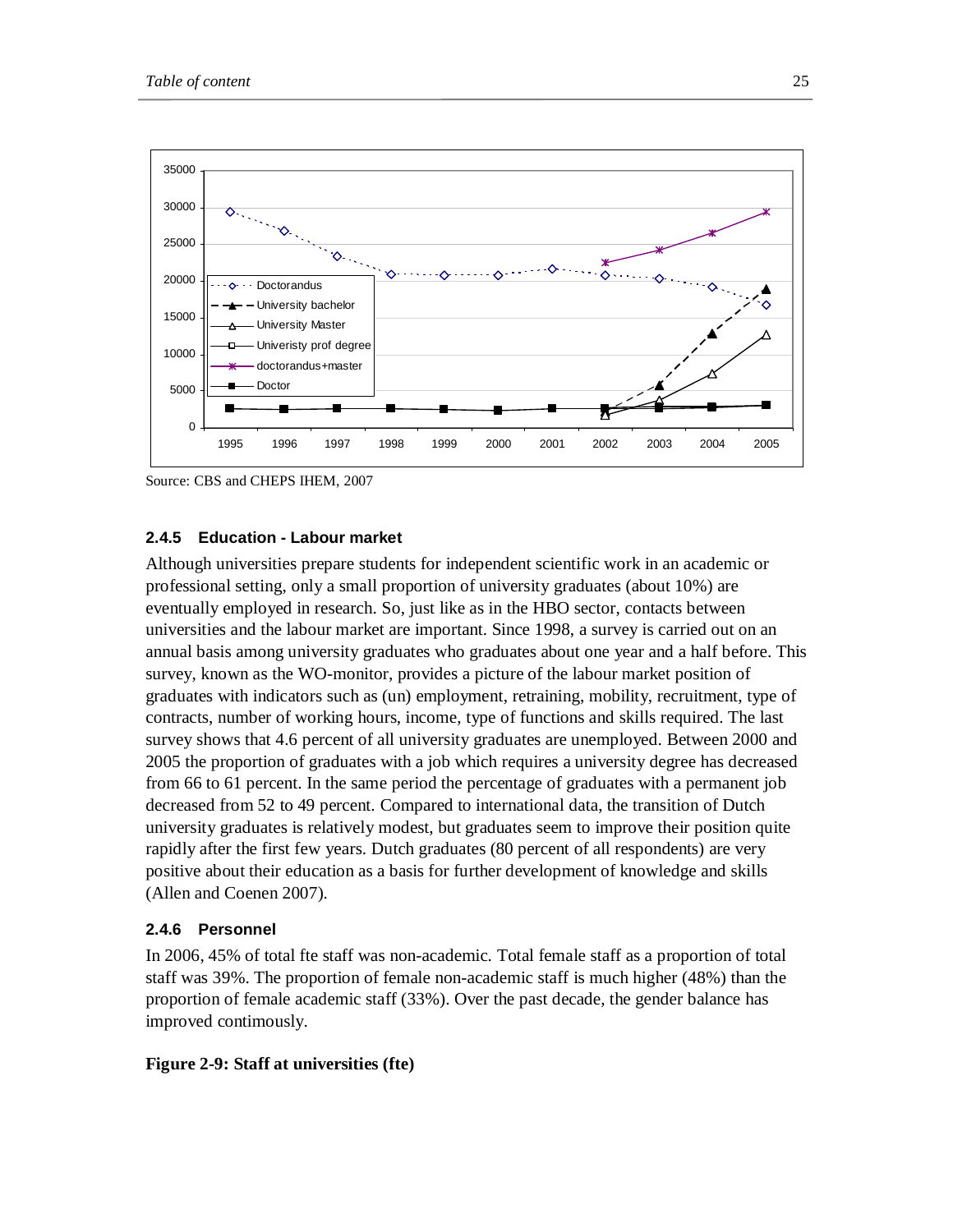

Source: CBS and CHEPS IHEM, 2007

#### **2.4.5 Education - Labour market**

Although universities prepare students for independent scientific work in an academic or professional setting, only a small proportion of university graduates (about 10%) are eventually employed in research. So, just like as in the HBO sector, contacts between universities and the labour market are important. Since 1998, a survey is carried out on an annual basis among university graduates who graduates about one year and a half before. This survey, known as the WO-monitor, provides a picture of the labour market position of graduates with indicators such as (un) employment, retraining, mobility, recruitment, type of contracts, number of working hours, income, type of functions and skills required. The last survey shows that 4.6 percent of all university graduates are unemployed. Between 2000 and 2005 the proportion of graduates with a job which requires a university degree has decreased from 66 to 61 percent. In the same period the percentage of graduates with a permanent job decreased from 52 to 49 percent. Compared to international data, the transition of Dutch university graduates is relatively modest, but graduates seem to improve their position quite rapidly after the first few years. Dutch graduates (80 percent of all respondents) are very positive about their education as a basis for further development of knowledge and skills (Allen and Coenen 2007).

#### **2.4.6 Personnel**

In 2006, 45% of total fte staff was non-academic. Total female staff as a proportion of total staff was 39%. The proportion of female non-academic staff is much higher (48%) than the proportion of female academic staff (33%). Over the past decade, the gender balance has improved contimously.

#### **Figure 2-9: Staff at universities (fte)**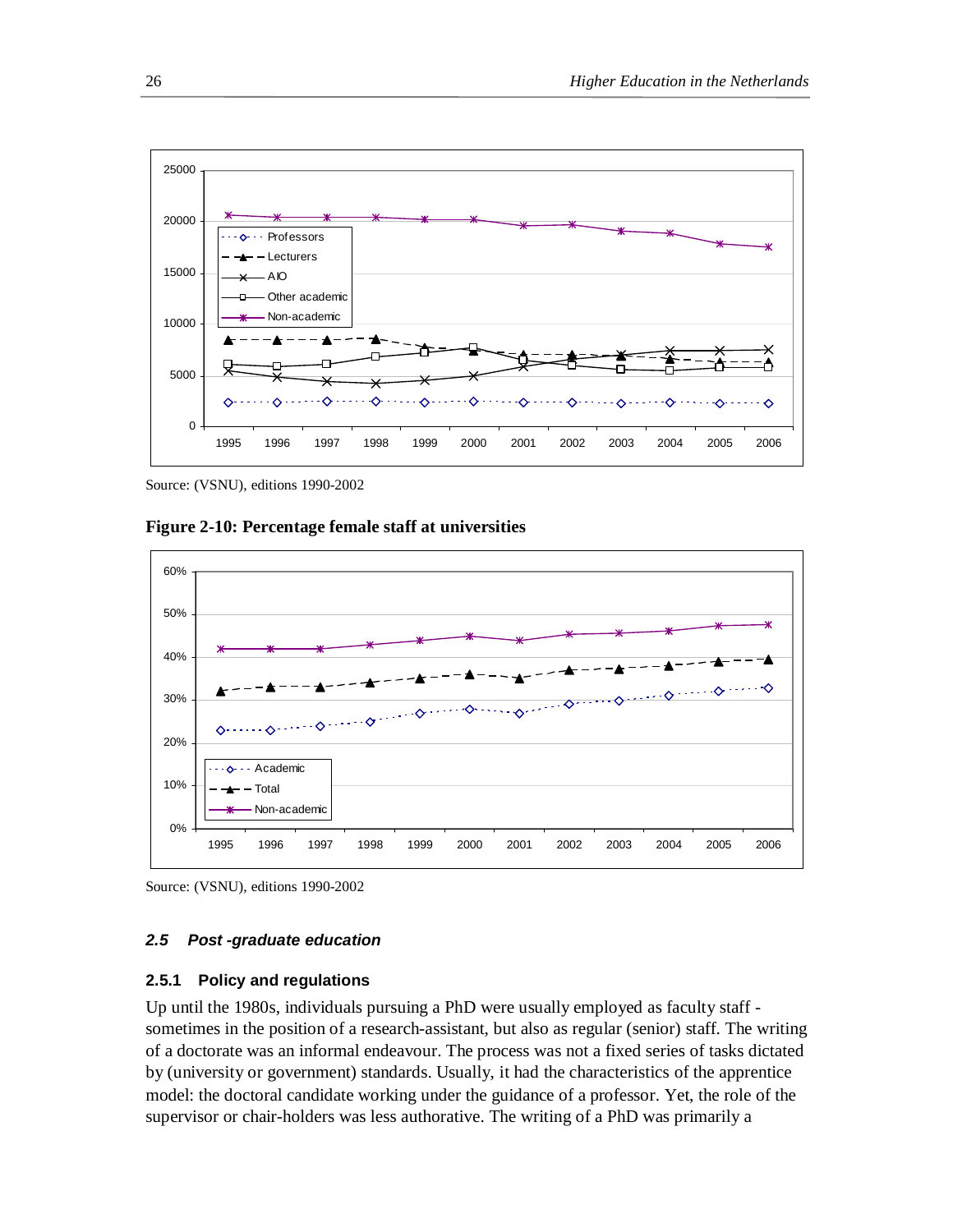

Source: (VSNU), editions 1990-2002





Source: (VSNU), editions 1990-2002

#### *2.5 Post -graduate education*

#### **2.5.1 Policy and regulations**

Up until the 1980s, individuals pursuing a PhD were usually employed as faculty staff sometimes in the position of a research-assistant, but also as regular (senior) staff. The writing of a doctorate was an informal endeavour. The process was not a fixed series of tasks dictated by (university or government) standards. Usually, it had the characteristics of the apprentice model: the doctoral candidate working under the guidance of a professor. Yet, the role of the supervisor or chair-holders was less authorative. The writing of a PhD was primarily a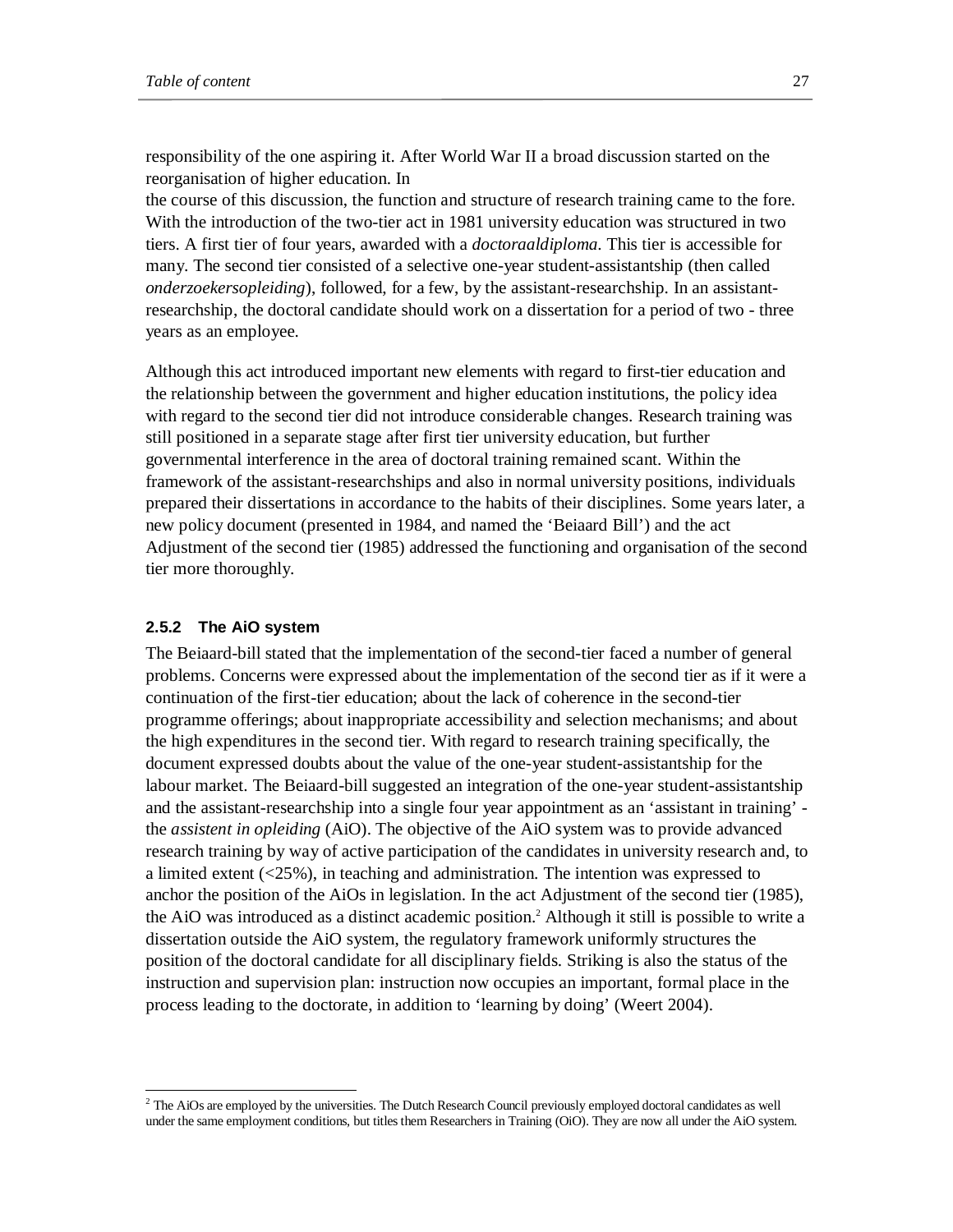responsibility of the one aspiring it. After World War II a broad discussion started on the reorganisation of higher education. In

the course of this discussion, the function and structure of research training came to the fore. With the introduction of the two-tier act in 1981 university education was structured in two tiers. A first tier of four years, awarded with a *doctoraaldiploma.* This tier is accessible for many. The second tier consisted of a selective one-year student-assistantship (then called *onderzoekersopleiding*), followed, for a few, by the assistant-researchship. In an assistantresearchship, the doctoral candidate should work on a dissertation for a period of two - three years as an employee.

Although this act introduced important new elements with regard to first-tier education and the relationship between the government and higher education institutions, the policy idea with regard to the second tier did not introduce considerable changes. Research training was still positioned in a separate stage after first tier university education, but further governmental interference in the area of doctoral training remained scant. Within the framework of the assistant-researchships and also in normal university positions, individuals prepared their dissertations in accordance to the habits of their disciplines. Some years later, a new policy document (presented in 1984, and named the 'Beiaard Bill') and the act Adjustment of the second tier (1985) addressed the functioning and organisation of the second tier more thoroughly.

#### **2.5.2 The AiO system**

-

The Beiaard-bill stated that the implementation of the second-tier faced a number of general problems. Concerns were expressed about the implementation of the second tier as if it were a continuation of the first-tier education; about the lack of coherence in the second-tier programme offerings; about inappropriate accessibility and selection mechanisms; and about the high expenditures in the second tier. With regard to research training specifically, the document expressed doubts about the value of the one-year student-assistantship for the labour market. The Beiaard-bill suggested an integration of the one-year student-assistantship and the assistant-researchship into a single four year appointment as an 'assistant in training' the *assistent in opleiding* (AiO). The objective of the AiO system was to provide advanced research training by way of active participation of the candidates in university research and, to a limited extent (<25%), in teaching and administration. The intention was expressed to anchor the position of the AiOs in legislation. In the act Adjustment of the second tier (1985), the AiO was introduced as a distinct academic position.<sup>2</sup> Although it still is possible to write a dissertation outside the AiO system, the regulatory framework uniformly structures the position of the doctoral candidate for all disciplinary fields. Striking is also the status of the instruction and supervision plan: instruction now occupies an important, formal place in the process leading to the doctorate, in addition to 'learning by doing' (Weert 2004).

 $<sup>2</sup>$  The AiOs are employed by the universities. The Dutch Research Council previously employed doctoral candidates as well</sup> under the same employment conditions, but titles them Researchers in Training (OiO). They are now all under the AiO system.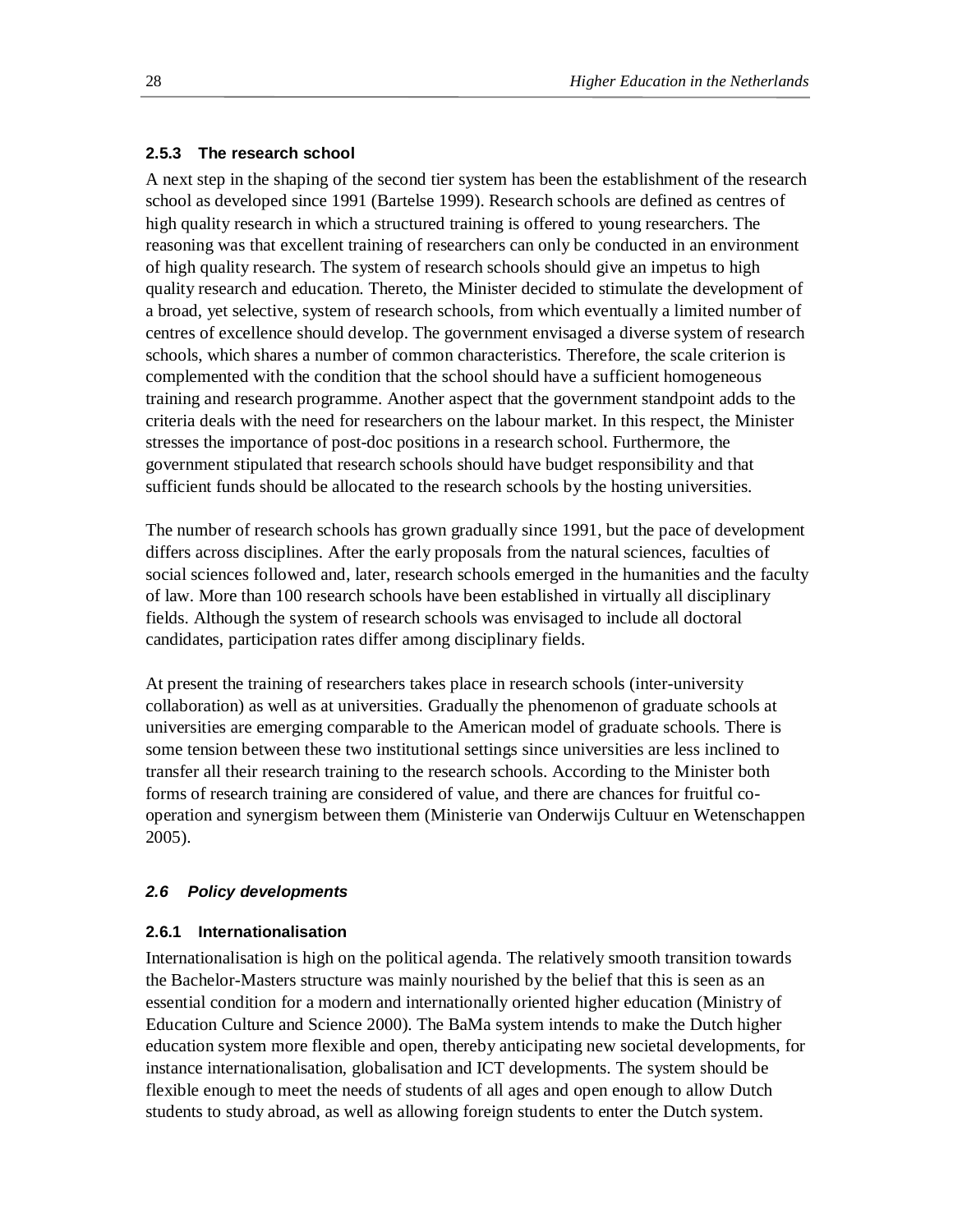## **2.5.3 The research school**

A next step in the shaping of the second tier system has been the establishment of the research school as developed since 1991 (Bartelse 1999). Research schools are defined as centres of high quality research in which a structured training is offered to young researchers. The reasoning was that excellent training of researchers can only be conducted in an environment of high quality research. The system of research schools should give an impetus to high quality research and education. Thereto, the Minister decided to stimulate the development of a broad, yet selective, system of research schools, from which eventually a limited number of centres of excellence should develop. The government envisaged a diverse system of research schools, which shares a number of common characteristics. Therefore, the scale criterion is complemented with the condition that the school should have a sufficient homogeneous training and research programme. Another aspect that the government standpoint adds to the criteria deals with the need for researchers on the labour market. In this respect, the Minister stresses the importance of post-doc positions in a research school. Furthermore, the government stipulated that research schools should have budget responsibility and that sufficient funds should be allocated to the research schools by the hosting universities.

The number of research schools has grown gradually since 1991, but the pace of development differs across disciplines. After the early proposals from the natural sciences, faculties of social sciences followed and, later, research schools emerged in the humanities and the faculty of law. More than 100 research schools have been established in virtually all disciplinary fields. Although the system of research schools was envisaged to include all doctoral candidates, participation rates differ among disciplinary fields.

At present the training of researchers takes place in research schools (inter-university collaboration) as well as at universities. Gradually the phenomenon of graduate schools at universities are emerging comparable to the American model of graduate schools. There is some tension between these two institutional settings since universities are less inclined to transfer all their research training to the research schools. According to the Minister both forms of research training are considered of value, and there are chances for fruitful cooperation and synergism between them (Ministerie van Onderwijs Cultuur en Wetenschappen 2005).

## *2.6 Policy developments*

## **2.6.1 Internationalisation**

Internationalisation is high on the political agenda. The relatively smooth transition towards the Bachelor-Masters structure was mainly nourished by the belief that this is seen as an essential condition for a modern and internationally oriented higher education (Ministry of Education Culture and Science 2000). The BaMa system intends to make the Dutch higher education system more flexible and open, thereby anticipating new societal developments, for instance internationalisation, globalisation and ICT developments. The system should be flexible enough to meet the needs of students of all ages and open enough to allow Dutch students to study abroad, as well as allowing foreign students to enter the Dutch system.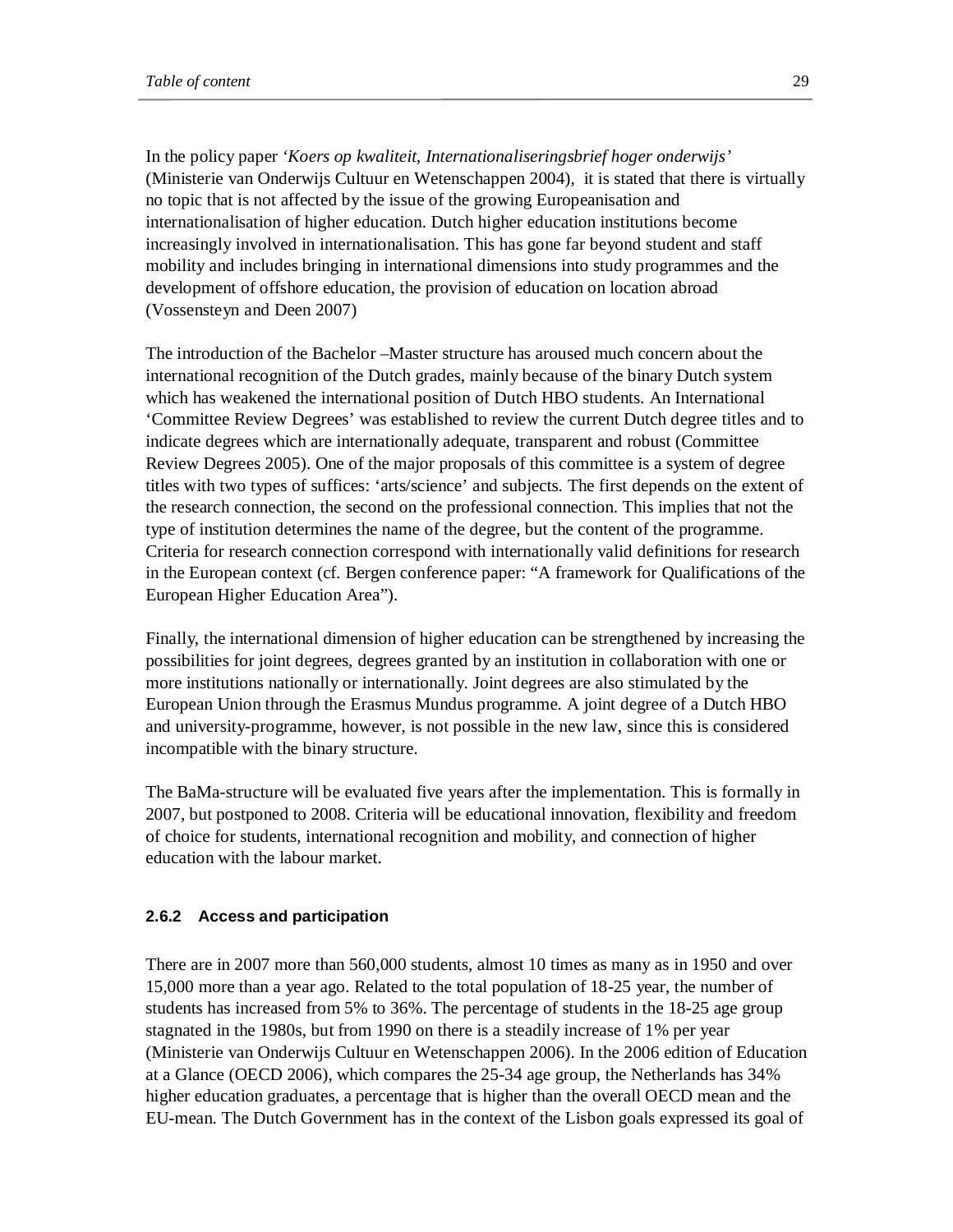In the policy paper *'Koers op kwaliteit, Internationaliseringsbrief hoger onderwijs'*  (Ministerie van Onderwijs Cultuur en Wetenschappen 2004), it is stated that there is virtually no topic that is not affected by the issue of the growing Europeanisation and internationalisation of higher education. Dutch higher education institutions become increasingly involved in internationalisation. This has gone far beyond student and staff mobility and includes bringing in international dimensions into study programmes and the development of offshore education, the provision of education on location abroad (Vossensteyn and Deen 2007)

The introduction of the Bachelor –Master structure has aroused much concern about the international recognition of the Dutch grades, mainly because of the binary Dutch system which has weakened the international position of Dutch HBO students. An International 'Committee Review Degrees' was established to review the current Dutch degree titles and to indicate degrees which are internationally adequate, transparent and robust (Committee Review Degrees 2005). One of the major proposals of this committee is a system of degree titles with two types of suffices: 'arts/science' and subjects. The first depends on the extent of the research connection, the second on the professional connection. This implies that not the type of institution determines the name of the degree, but the content of the programme. Criteria for research connection correspond with internationally valid definitions for research in the European context (cf. Bergen conference paper: "A framework for Qualifications of the European Higher Education Area").

Finally, the international dimension of higher education can be strengthened by increasing the possibilities for joint degrees, degrees granted by an institution in collaboration with one or more institutions nationally or internationally. Joint degrees are also stimulated by the European Union through the Erasmus Mundus programme. A joint degree of a Dutch HBO and university-programme, however, is not possible in the new law, since this is considered incompatible with the binary structure.

The BaMa-structure will be evaluated five years after the implementation. This is formally in 2007, but postponed to 2008. Criteria will be educational innovation, flexibility and freedom of choice for students, international recognition and mobility, and connection of higher education with the labour market.

#### **2.6.2 Access and participation**

There are in 2007 more than 560,000 students, almost 10 times as many as in 1950 and over 15,000 more than a year ago. Related to the total population of 18-25 year, the number of students has increased from 5% to 36%. The percentage of students in the 18-25 age group stagnated in the 1980s, but from 1990 on there is a steadily increase of 1% per year (Ministerie van Onderwijs Cultuur en Wetenschappen 2006). In the 2006 edition of Education at a Glance (OECD 2006), which compares the 25-34 age group, the Netherlands has 34% higher education graduates, a percentage that is higher than the overall OECD mean and the EU-mean. The Dutch Government has in the context of the Lisbon goals expressed its goal of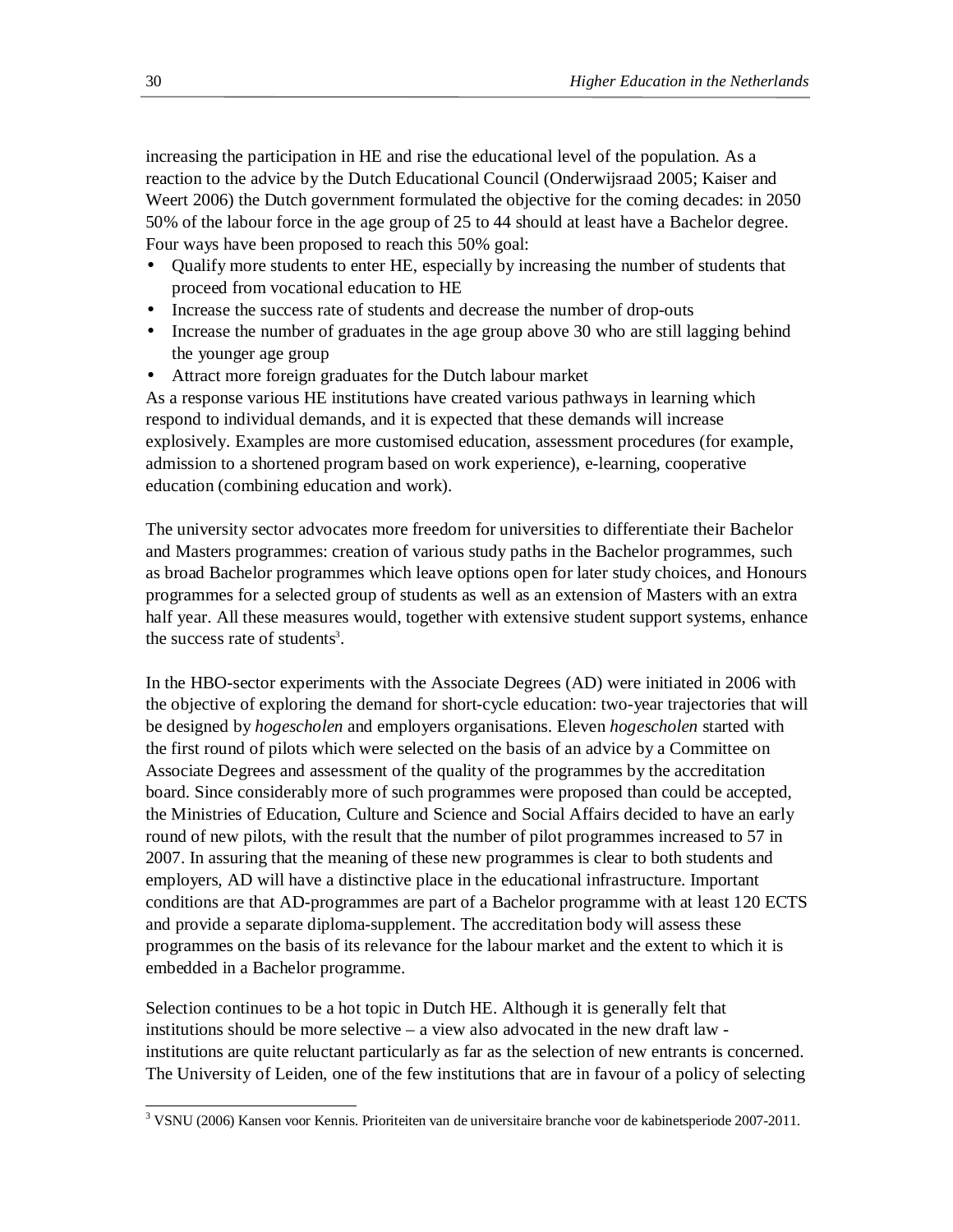increasing the participation in HE and rise the educational level of the population. As a reaction to the advice by the Dutch Educational Council (Onderwijsraad 2005; Kaiser and Weert 2006) the Dutch government formulated the objective for the coming decades: in 2050 50% of the labour force in the age group of 25 to 44 should at least have a Bachelor degree. Four ways have been proposed to reach this 50% goal:

- Qualify more students to enter HE, especially by increasing the number of students that proceed from vocational education to HE
- Increase the success rate of students and decrease the number of drop-outs
- Increase the number of graduates in the age group above 30 who are still lagging behind the younger age group
- Attract more foreign graduates for the Dutch labour market

As a response various HE institutions have created various pathways in learning which respond to individual demands, and it is expected that these demands will increase explosively. Examples are more customised education, assessment procedures (for example, admission to a shortened program based on work experience), e-learning, cooperative education (combining education and work).

The university sector advocates more freedom for universities to differentiate their Bachelor and Masters programmes: creation of various study paths in the Bachelor programmes, such as broad Bachelor programmes which leave options open for later study choices, and Honours programmes for a selected group of students as well as an extension of Masters with an extra half year. All these measures would, together with extensive student support systems, enhance the success rate of students<sup>3</sup>.

In the HBO-sector experiments with the Associate Degrees (AD) were initiated in 2006 with the objective of exploring the demand for short-cycle education: two-year trajectories that will be designed by *hogescholen* and employers organisations. Eleven *hogescholen* started with the first round of pilots which were selected on the basis of an advice by a Committee on Associate Degrees and assessment of the quality of the programmes by the accreditation board. Since considerably more of such programmes were proposed than could be accepted, the Ministries of Education, Culture and Science and Social Affairs decided to have an early round of new pilots, with the result that the number of pilot programmes increased to 57 in 2007. In assuring that the meaning of these new programmes is clear to both students and employers, AD will have a distinctive place in the educational infrastructure. Important conditions are that AD-programmes are part of a Bachelor programme with at least 120 ECTS and provide a separate diploma-supplement. The accreditation body will assess these programmes on the basis of its relevance for the labour market and the extent to which it is embedded in a Bachelor programme.

Selection continues to be a hot topic in Dutch HE. Although it is generally felt that institutions should be more selective – a view also advocated in the new draft law institutions are quite reluctant particularly as far as the selection of new entrants is concerned. The University of Leiden, one of the few institutions that are in favour of a policy of selecting

 $\overline{a}$ <sup>3</sup> VSNU (2006) Kansen voor Kennis. Prioriteiten van de universitaire branche voor de kabinetsperiode 2007-2011.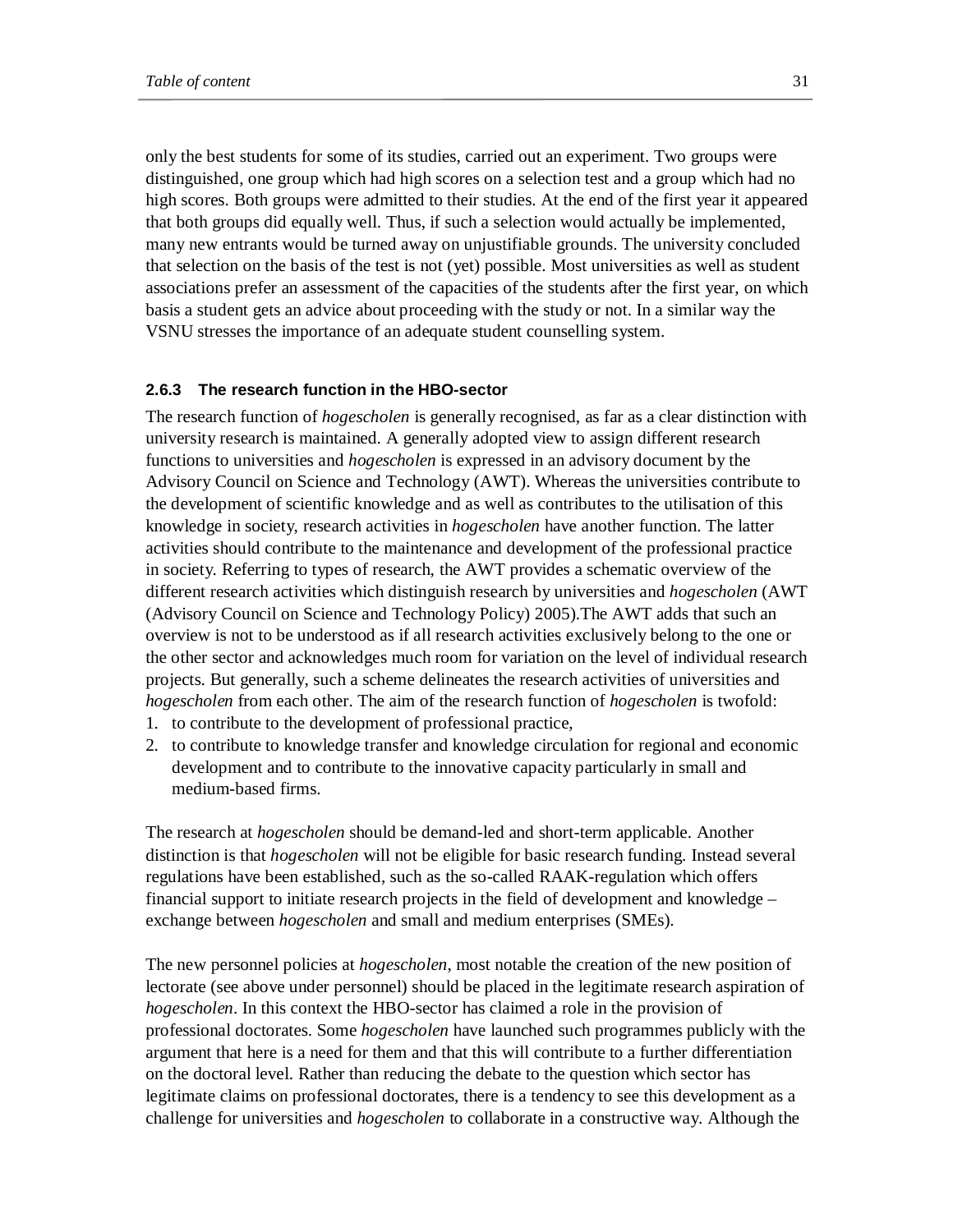only the best students for some of its studies, carried out an experiment. Two groups were distinguished, one group which had high scores on a selection test and a group which had no high scores. Both groups were admitted to their studies. At the end of the first year it appeared that both groups did equally well. Thus, if such a selection would actually be implemented, many new entrants would be turned away on unjustifiable grounds. The university concluded that selection on the basis of the test is not (yet) possible. Most universities as well as student associations prefer an assessment of the capacities of the students after the first year, on which basis a student gets an advice about proceeding with the study or not. In a similar way the VSNU stresses the importance of an adequate student counselling system.

#### **2.6.3 The research function in the HBO-sector**

The research function of *hogescholen* is generally recognised, as far as a clear distinction with university research is maintained. A generally adopted view to assign different research functions to universities and *hogescholen* is expressed in an advisory document by the Advisory Council on Science and Technology (AWT). Whereas the universities contribute to the development of scientific knowledge and as well as contributes to the utilisation of this knowledge in society, research activities in *hogescholen* have another function. The latter activities should contribute to the maintenance and development of the professional practice in society. Referring to types of research, the AWT provides a schematic overview of the different research activities which distinguish research by universities and *hogescholen* (AWT (Advisory Council on Science and Technology Policy) 2005).The AWT adds that such an overview is not to be understood as if all research activities exclusively belong to the one or the other sector and acknowledges much room for variation on the level of individual research projects. But generally, such a scheme delineates the research activities of universities and *hogescholen* from each other. The aim of the research function of *hogescholen* is twofold:

- 1. to contribute to the development of professional practice,
- 2. to contribute to knowledge transfer and knowledge circulation for regional and economic development and to contribute to the innovative capacity particularly in small and medium-based firms.

The research at *hogescholen* should be demand-led and short-term applicable. Another distinction is that *hogescholen* will not be eligible for basic research funding. Instead several regulations have been established, such as the so-called RAAK-regulation which offers financial support to initiate research projects in the field of development and knowledge – exchange between *hogescholen* and small and medium enterprises (SMEs).

The new personnel policies at *hogescholen*, most notable the creation of the new position of lectorate (see above under personnel) should be placed in the legitimate research aspiration of *hogescholen*. In this context the HBO-sector has claimed a role in the provision of professional doctorates. Some *hogescholen* have launched such programmes publicly with the argument that here is a need for them and that this will contribute to a further differentiation on the doctoral level. Rather than reducing the debate to the question which sector has legitimate claims on professional doctorates, there is a tendency to see this development as a challenge for universities and *hogescholen* to collaborate in a constructive way. Although the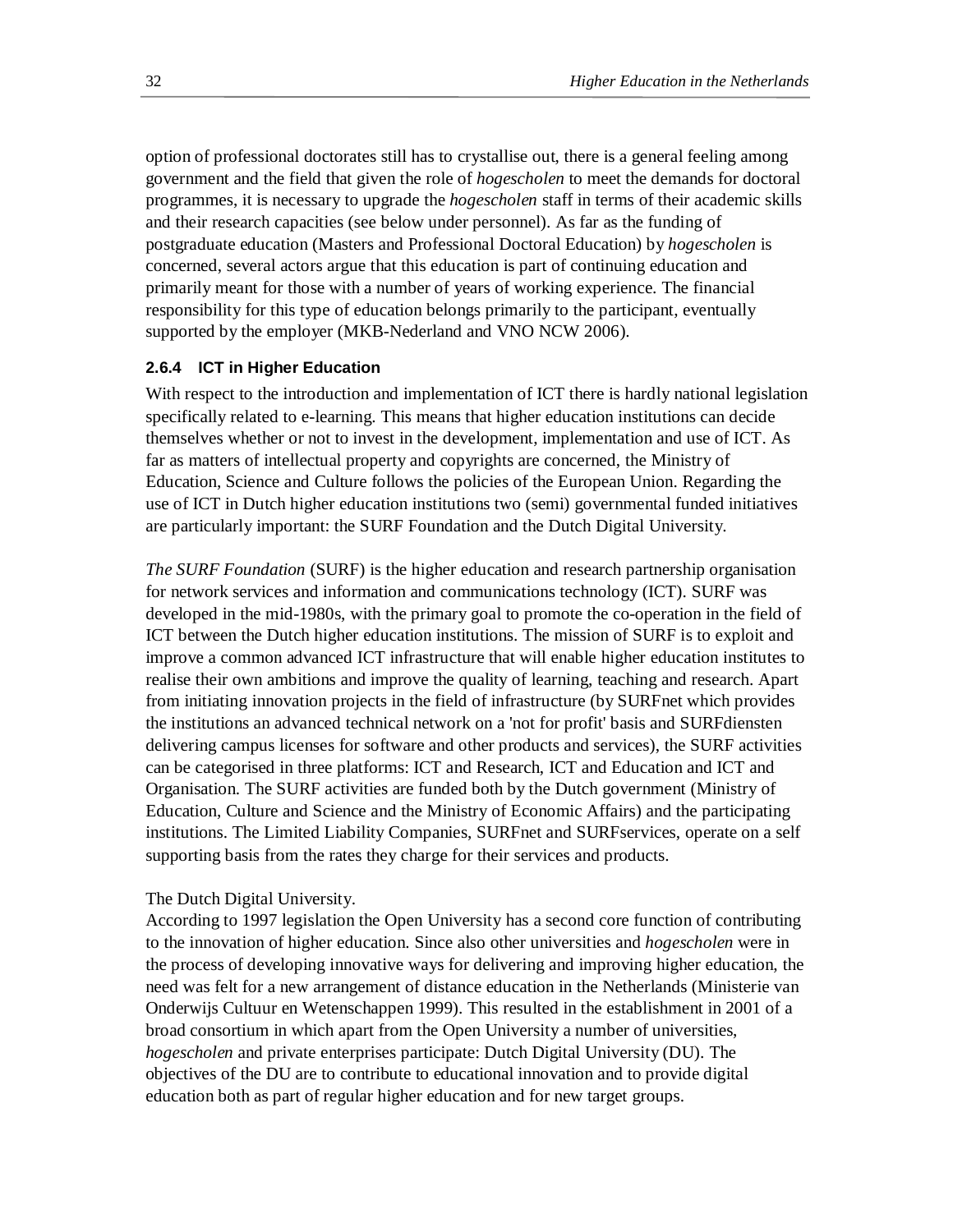option of professional doctorates still has to crystallise out, there is a general feeling among government and the field that given the role of *hogescholen* to meet the demands for doctoral programmes, it is necessary to upgrade the *hogescholen* staff in terms of their academic skills and their research capacities (see below under personnel). As far as the funding of postgraduate education (Masters and Professional Doctoral Education) by *hogescholen* is concerned, several actors argue that this education is part of continuing education and primarily meant for those with a number of years of working experience. The financial responsibility for this type of education belongs primarily to the participant, eventually supported by the employer (MKB-Nederland and VNO NCW 2006).

## **2.6.4 ICT in Higher Education**

With respect to the introduction and implementation of ICT there is hardly national legislation specifically related to e-learning. This means that higher education institutions can decide themselves whether or not to invest in the development, implementation and use of ICT. As far as matters of intellectual property and copyrights are concerned, the Ministry of Education, Science and Culture follows the policies of the European Union. Regarding the use of ICT in Dutch higher education institutions two (semi) governmental funded initiatives are particularly important: the SURF Foundation and the Dutch Digital University.

*The SURF Foundation* (SURF) is the higher education and research partnership organisation for network services and information and communications technology (ICT). SURF was developed in the mid-1980s, with the primary goal to promote the co-operation in the field of ICT between the Dutch higher education institutions. The mission of SURF is to exploit and improve a common advanced ICT infrastructure that will enable higher education institutes to realise their own ambitions and improve the quality of learning, teaching and research. Apart from initiating innovation projects in the field of infrastructure (by SURFnet which provides the institutions an advanced technical network on a 'not for profit' basis and SURFdiensten delivering campus licenses for software and other products and services), the SURF activities can be categorised in three platforms: ICT and Research, ICT and Education and ICT and Organisation. The SURF activities are funded both by the Dutch government (Ministry of Education, Culture and Science and the Ministry of Economic Affairs) and the participating institutions. The Limited Liability Companies, SURFnet and SURFservices, operate on a self supporting basis from the rates they charge for their services and products.

## The Dutch Digital University.

According to 1997 legislation the Open University has a second core function of contributing to the innovation of higher education. Since also other universities and *hogescholen* were in the process of developing innovative ways for delivering and improving higher education, the need was felt for a new arrangement of distance education in the Netherlands (Ministerie van Onderwijs Cultuur en Wetenschappen 1999). This resulted in the establishment in 2001 of a broad consortium in which apart from the Open University a number of universities, *hogescholen* and private enterprises participate: Dutch Digital University (DU). The objectives of the DU are to contribute to educational innovation and to provide digital education both as part of regular higher education and for new target groups.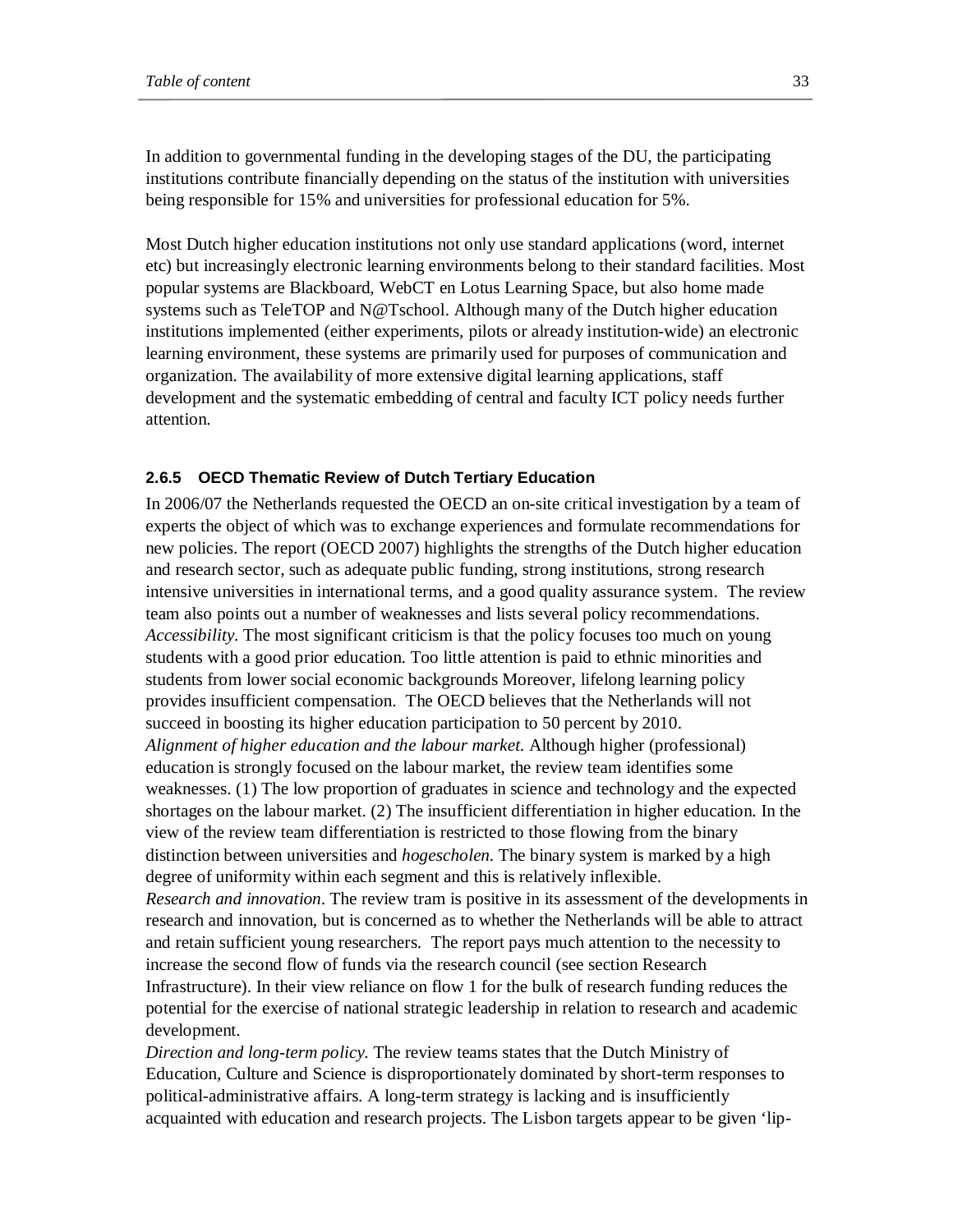In addition to governmental funding in the developing stages of the DU, the participating institutions contribute financially depending on the status of the institution with universities being responsible for 15% and universities for professional education for 5%.

Most Dutch higher education institutions not only use standard applications (word, internet etc) but increasingly electronic learning environments belong to their standard facilities. Most popular systems are Blackboard, WebCT en Lotus Learning Space, but also home made systems such as TeleTOP and N@Tschool. Although many of the Dutch higher education institutions implemented (either experiments, pilots or already institution-wide) an electronic learning environment, these systems are primarily used for purposes of communication and organization. The availability of more extensive digital learning applications, staff development and the systematic embedding of central and faculty ICT policy needs further attention.

#### **2.6.5 OECD Thematic Review of Dutch Tertiary Education**

In 2006/07 the Netherlands requested the OECD an on-site critical investigation by a team of experts the object of which was to exchange experiences and formulate recommendations for new policies. The report (OECD 2007) highlights the strengths of the Dutch higher education and research sector, such as adequate public funding, strong institutions, strong research intensive universities in international terms, and a good quality assurance system. The review team also points out a number of weaknesses and lists several policy recommendations. *Accessibility.* The most significant criticism is that the policy focuses too much on young students with a good prior education. Too little attention is paid to ethnic minorities and students from lower social economic backgrounds Moreover, lifelong learning policy provides insufficient compensation. The OECD believes that the Netherlands will not succeed in boosting its higher education participation to 50 percent by 2010. *Alignment of higher education and the labour market.* Although higher (professional) education is strongly focused on the labour market, the review team identifies some weaknesses. (1) The low proportion of graduates in science and technology and the expected shortages on the labour market. (2) The insufficient differentiation in higher education. In the view of the review team differentiation is restricted to those flowing from the binary distinction between universities and *hogescholen.* The binary system is marked by a high degree of uniformity within each segment and this is relatively inflexible. *Research and innovation*. The review tram is positive in its assessment of the developments in research and innovation, but is concerned as to whether the Netherlands will be able to attract and retain sufficient young researchers. The report pays much attention to the necessity to increase the second flow of funds via the research council (see section Research Infrastructure). In their view reliance on flow 1 for the bulk of research funding reduces the potential for the exercise of national strategic leadership in relation to research and academic development.

*Direction and long-term policy.* The review teams states that the Dutch Ministry of Education, Culture and Science is disproportionately dominated by short-term responses to political-administrative affairs. A long-term strategy is lacking and is insufficiently acquainted with education and research projects. The Lisbon targets appear to be given 'lip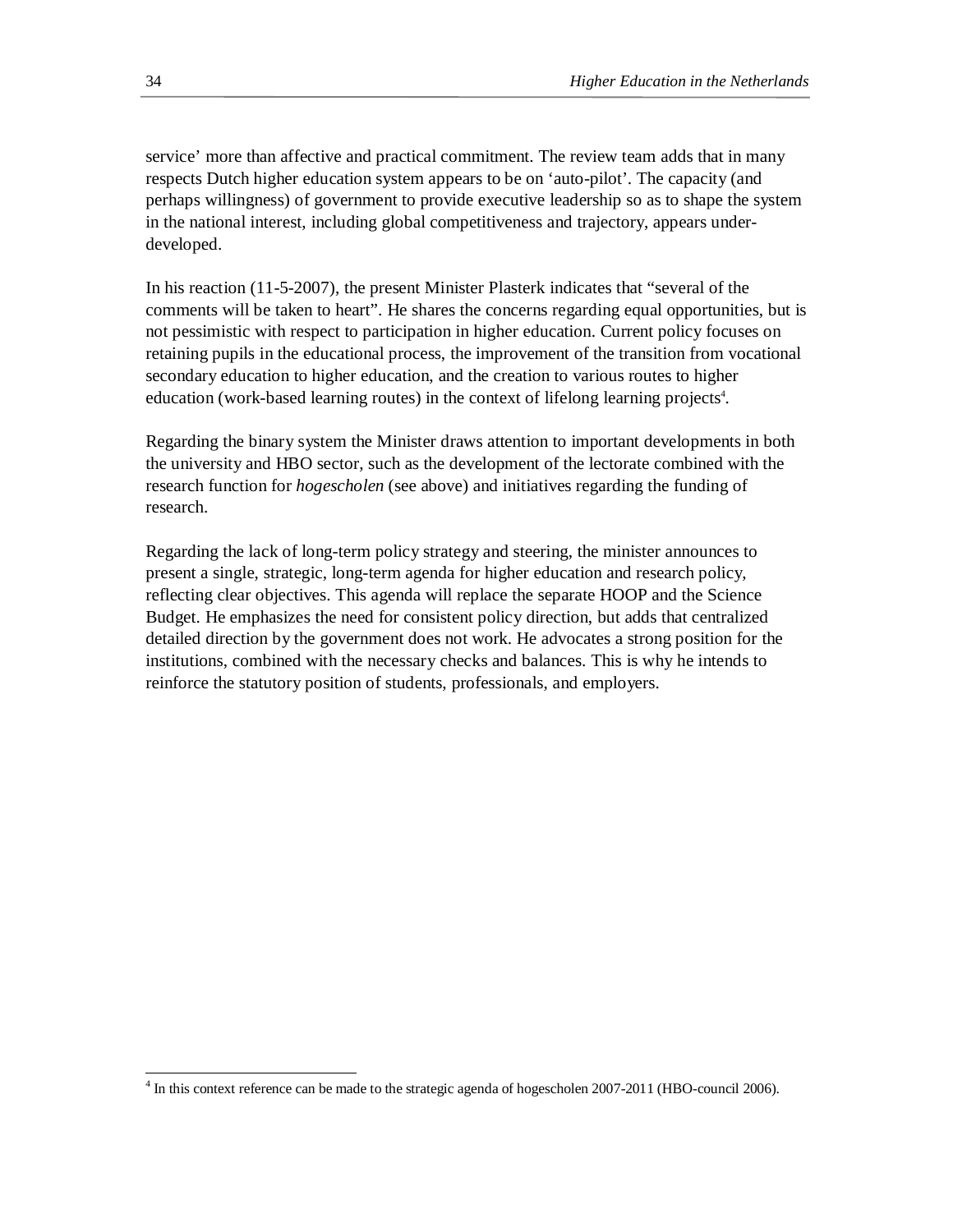service' more than affective and practical commitment. The review team adds that in many respects Dutch higher education system appears to be on 'auto-pilot'. The capacity (and perhaps willingness) of government to provide executive leadership so as to shape the system in the national interest, including global competitiveness and trajectory, appears underdeveloped.

In his reaction (11-5-2007), the present Minister Plasterk indicates that "several of the comments will be taken to heart". He shares the concerns regarding equal opportunities, but is not pessimistic with respect to participation in higher education. Current policy focuses on retaining pupils in the educational process, the improvement of the transition from vocational secondary education to higher education, and the creation to various routes to higher education (work-based learning routes) in the context of lifelong learning projects<sup>4</sup>.

Regarding the binary system the Minister draws attention to important developments in both the university and HBO sector, such as the development of the lectorate combined with the research function for *hogescholen* (see above) and initiatives regarding the funding of research.

Regarding the lack of long-term policy strategy and steering, the minister announces to present a single, strategic, long-term agenda for higher education and research policy, reflecting clear objectives. This agenda will replace the separate HOOP and the Science Budget. He emphasizes the need for consistent policy direction, but adds that centralized detailed direction by the government does not work. He advocates a strong position for the institutions, combined with the necessary checks and balances. This is why he intends to reinforce the statutory position of students, professionals, and employers.

 4 In this context reference can be made to the strategic agenda of hogescholen 2007-2011 (HBO-council 2006).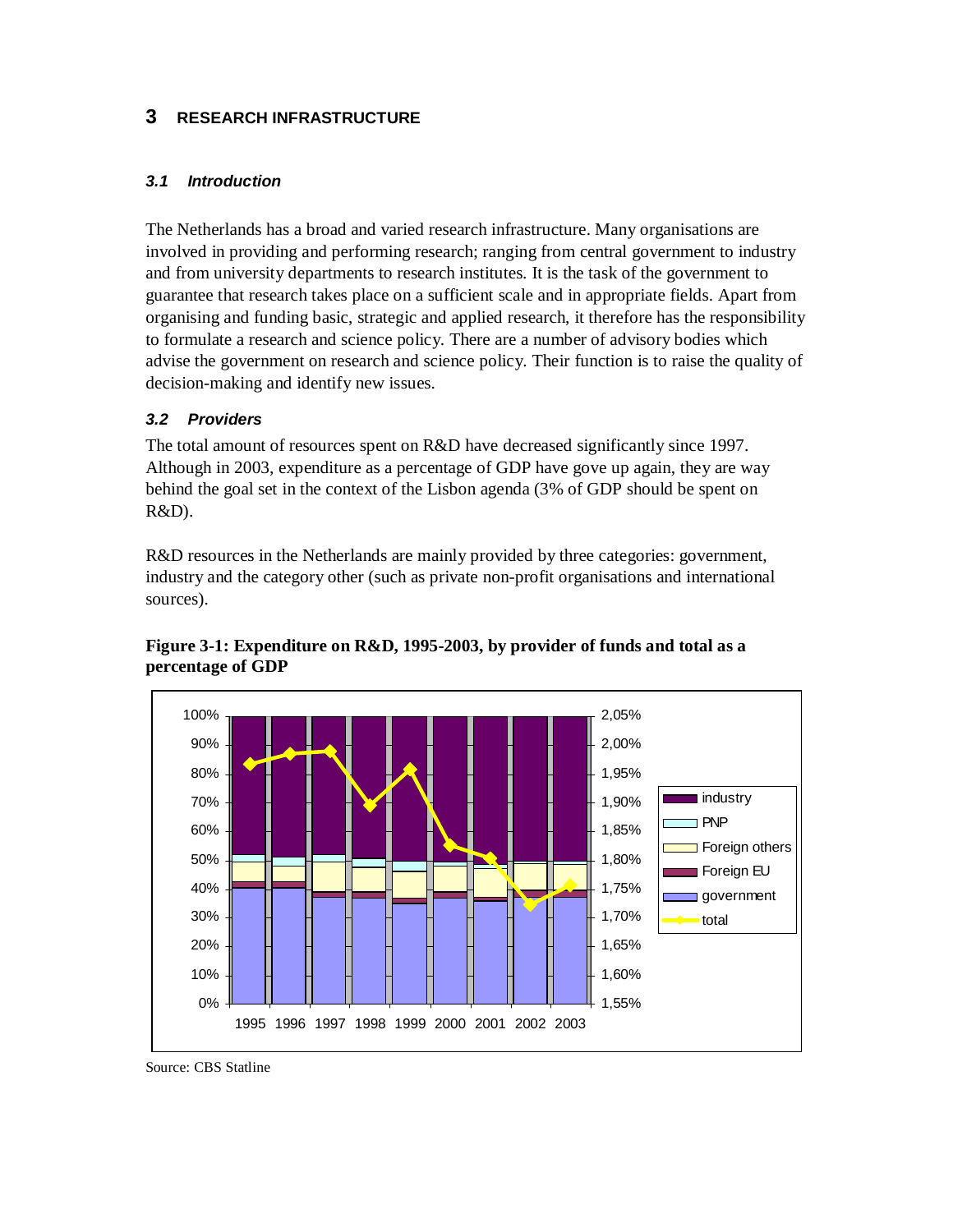# **3 RESEARCH INFRASTRUCTURE**

# *3.1 Introduction*

The Netherlands has a broad and varied research infrastructure. Many organisations are involved in providing and performing research; ranging from central government to industry and from university departments to research institutes. It is the task of the government to guarantee that research takes place on a sufficient scale and in appropriate fields. Apart from organising and funding basic, strategic and applied research, it therefore has the responsibility to formulate a research and science policy. There are a number of advisory bodies which advise the government on research and science policy. Their function is to raise the quality of decision-making and identify new issues.

# *3.2 Providers*

The total amount of resources spent on R&D have decreased significantly since 1997. Although in 2003, expenditure as a percentage of GDP have gove up again, they are way behind the goal set in the context of the Lisbon agenda (3% of GDP should be spent on R&D).

R&D resources in the Netherlands are mainly provided by three categories: government, industry and the category other (such as private non-profit organisations and international sources).



**Figure 3-1: Expenditure on R&D, 1995-2003, by provider of funds and total as a percentage of GDP** 

Source: CBS Statline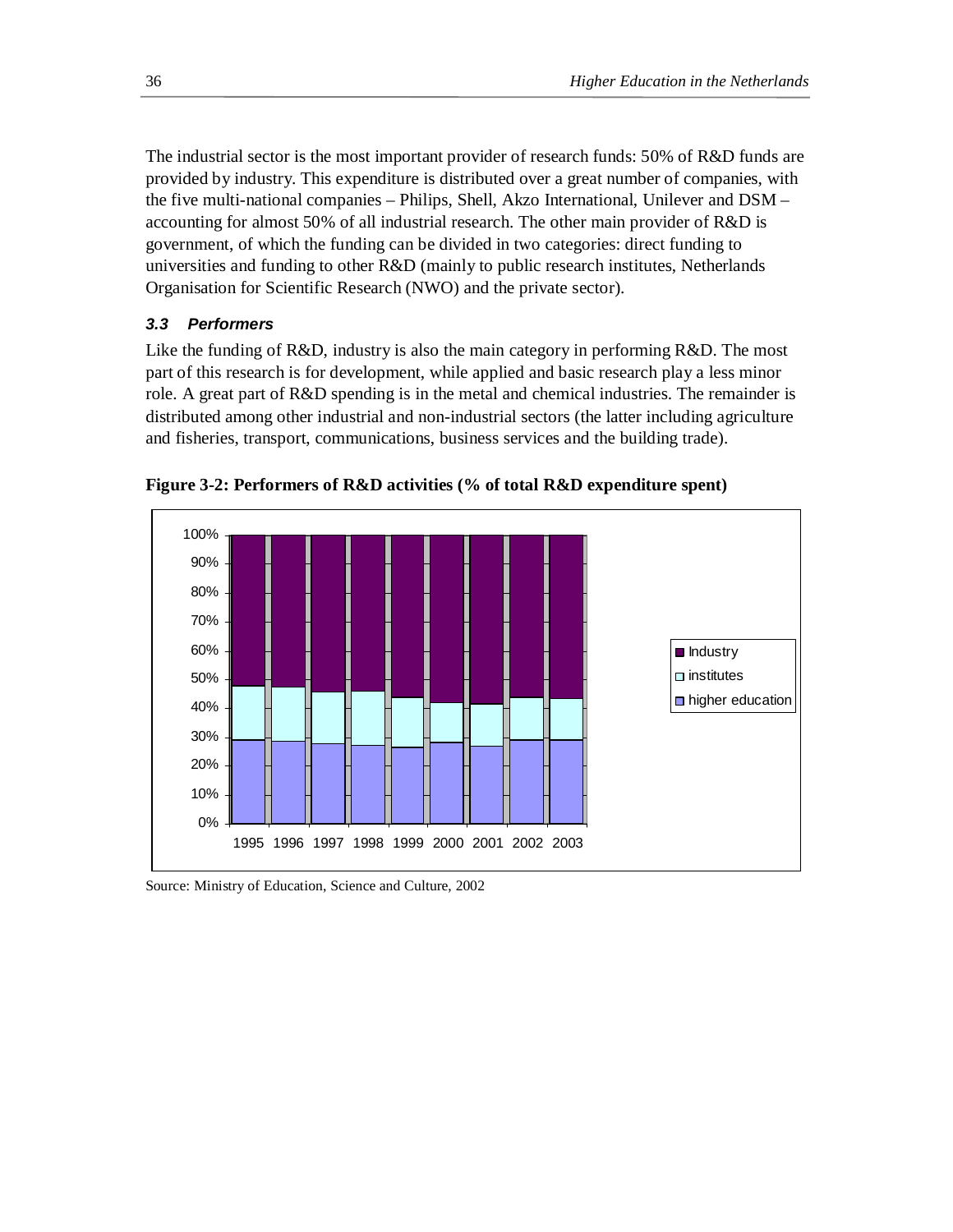The industrial sector is the most important provider of research funds: 50% of R&D funds are provided by industry. This expenditure is distributed over a great number of companies, with the five multi-national companies – Philips, Shell, Akzo International, Unilever and DSM – accounting for almost 50% of all industrial research. The other main provider of R&D is government, of which the funding can be divided in two categories: direct funding to universities and funding to other  $R&D$  (mainly to public research institutes, Netherlands Organisation for Scientific Research (NWO) and the private sector).

## *3.3 Performers*

Like the funding of  $R&D$ , industry is also the main category in performing  $R&D$ . The most part of this research is for development, while applied and basic research play a less minor role. A great part of R&D spending is in the metal and chemical industries. The remainder is distributed among other industrial and non-industrial sectors (the latter including agriculture and fisheries, transport, communications, business services and the building trade).



**Figure 3-2: Performers of R&D activities (% of total R&D expenditure spent)** 

Source: Ministry of Education, Science and Culture, 2002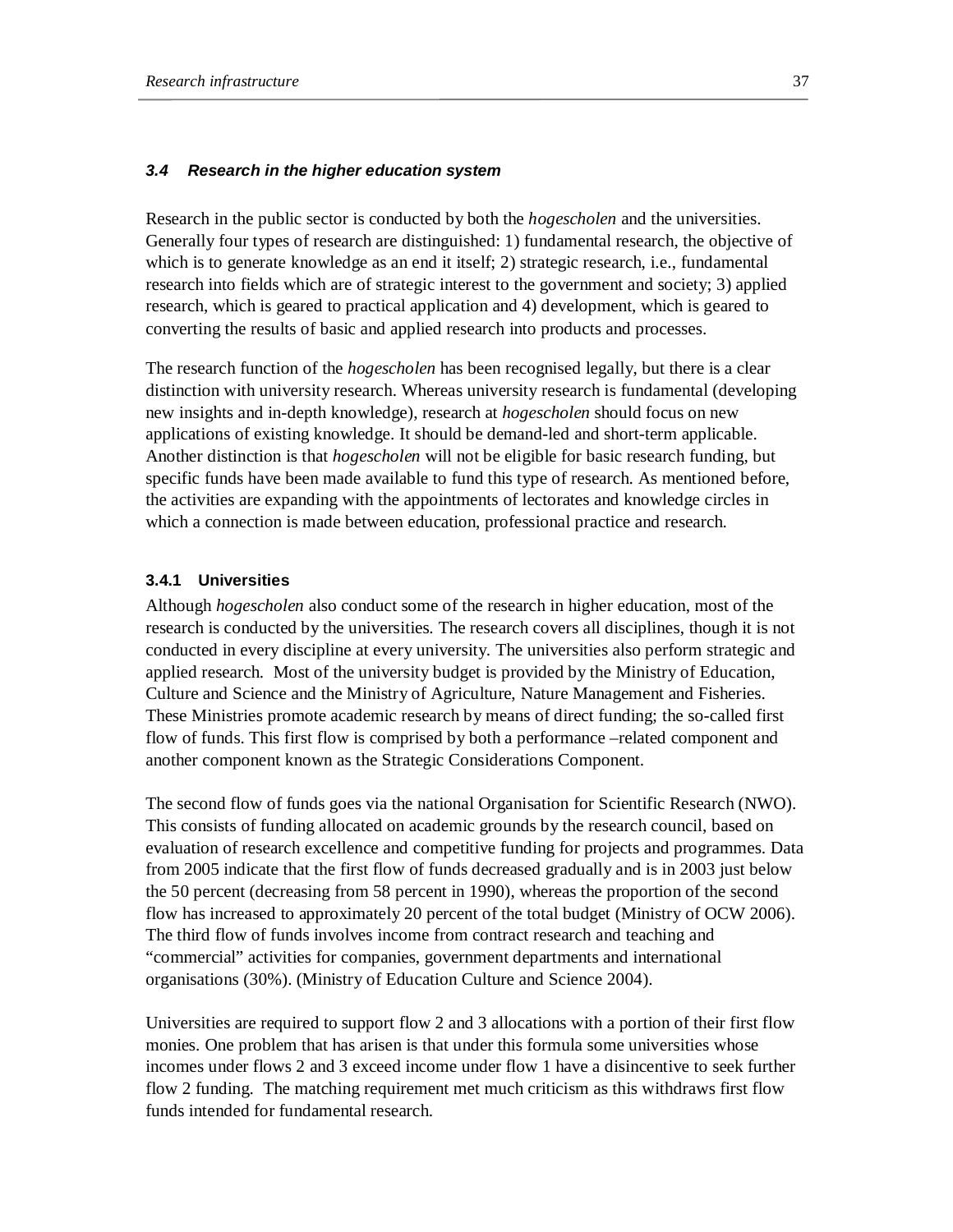### *3.4 Research in the higher education system*

Research in the public sector is conducted by both the *hogescholen* and the universities. Generally four types of research are distinguished: 1) fundamental research, the objective of which is to generate knowledge as an end it itself; 2) strategic research, i.e., fundamental research into fields which are of strategic interest to the government and society; 3) applied research, which is geared to practical application and 4) development, which is geared to converting the results of basic and applied research into products and processes.

The research function of the *hogescholen* has been recognised legally, but there is a clear distinction with university research. Whereas university research is fundamental (developing new insights and in-depth knowledge), research at *hogescholen* should focus on new applications of existing knowledge. It should be demand-led and short-term applicable. Another distinction is that *hogescholen* will not be eligible for basic research funding, but specific funds have been made available to fund this type of research. As mentioned before, the activities are expanding with the appointments of lectorates and knowledge circles in which a connection is made between education, professional practice and research.

### **3.4.1 Universities**

Although *hogescholen* also conduct some of the research in higher education, most of the research is conducted by the universities. The research covers all disciplines, though it is not conducted in every discipline at every university. The universities also perform strategic and applied research. Most of the university budget is provided by the Ministry of Education, Culture and Science and the Ministry of Agriculture, Nature Management and Fisheries. These Ministries promote academic research by means of direct funding; the so-called first flow of funds. This first flow is comprised by both a performance –related component and another component known as the Strategic Considerations Component.

The second flow of funds goes via the national Organisation for Scientific Research (NWO). This consists of funding allocated on academic grounds by the research council, based on evaluation of research excellence and competitive funding for projects and programmes. Data from 2005 indicate that the first flow of funds decreased gradually and is in 2003 just below the 50 percent (decreasing from 58 percent in 1990), whereas the proportion of the second flow has increased to approximately 20 percent of the total budget (Ministry of OCW 2006). The third flow of funds involves income from contract research and teaching and "commercial" activities for companies, government departments and international organisations (30%). (Ministry of Education Culture and Science 2004).

Universities are required to support flow 2 and 3 allocations with a portion of their first flow monies. One problem that has arisen is that under this formula some universities whose incomes under flows 2 and 3 exceed income under flow 1 have a disincentive to seek further flow 2 funding. The matching requirement met much criticism as this withdraws first flow funds intended for fundamental research.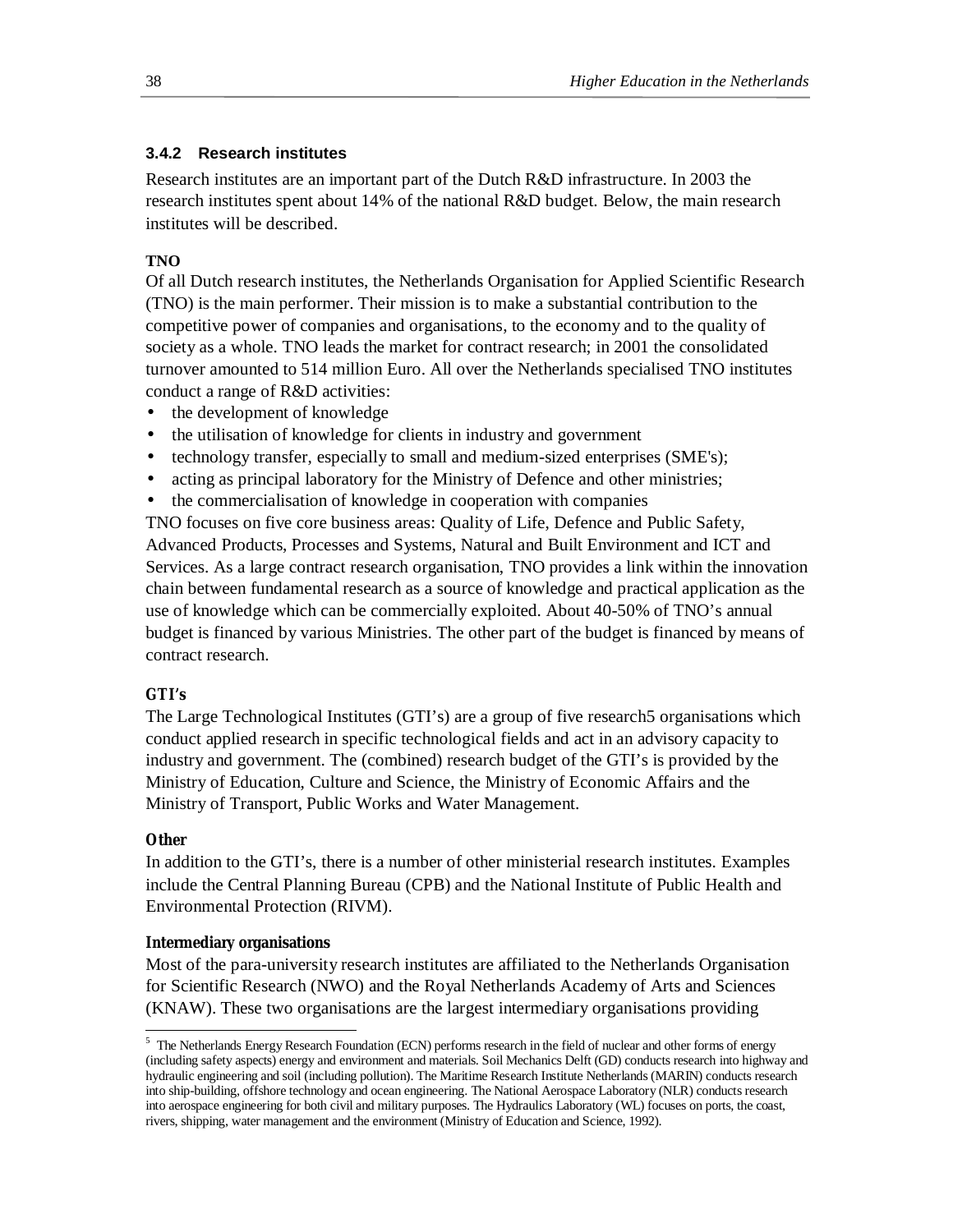## **3.4.2 Research institutes**

Research institutes are an important part of the Dutch R&D infrastructure. In 2003 the research institutes spent about 14% of the national R&D budget. Below, the main research institutes will be described.

## **TNO**

Of all Dutch research institutes, the Netherlands Organisation for Applied Scientific Research (TNO) is the main performer. Their mission is to make a substantial contribution to the competitive power of companies and organisations, to the economy and to the quality of society as a whole. TNO leads the market for contract research; in 2001 the consolidated turnover amounted to 514 million Euro. All over the Netherlands specialised TNO institutes conduct a range of R&D activities:

- the development of knowledge
- the utilisation of knowledge for clients in industry and government
- technology transfer, especially to small and medium-sized enterprises (SME's);
- acting as principal laboratory for the Ministry of Defence and other ministries;
- the commercialisation of knowledge in cooperation with companies

TNO focuses on five core business areas: Quality of Life, Defence and Public Safety, Advanced Products, Processes and Systems, Natural and Built Environment and ICT and Services. As a large contract research organisation, TNO provides a link within the innovation chain between fundamental research as a source of knowledge and practical application as the use of knowledge which can be commercially exploited. About 40-50% of TNO's annual budget is financed by various Ministries. The other part of the budget is financed by means of contract research.

## **GTI's**

The Large Technological Institutes (GTI's) are a group of five research5 organisations which conduct applied research in specific technological fields and act in an advisory capacity to industry and government. The (combined) research budget of the GTI's is provided by the Ministry of Education, Culture and Science, the Ministry of Economic Affairs and the Ministry of Transport, Public Works and Water Management.

## **Other**

-

In addition to the GTI's, there is a number of other ministerial research institutes. Examples include the Central Planning Bureau (CPB) and the National Institute of Public Health and Environmental Protection (RIVM).

### **Intermediary organisations**

Most of the para-university research institutes are affiliated to the Netherlands Organisation for Scientific Research (NWO) and the Royal Netherlands Academy of Arts and Sciences (KNAW). These two organisations are the largest intermediary organisations providing

 $5$  The Netherlands Energy Research Foundation (ECN) performs research in the field of nuclear and other forms of energy (including safety aspects) energy and environment and materials. Soil Mechanics Delft (GD) conducts research into highway and hydraulic engineering and soil (including pollution). The Maritime Research Institute Netherlands (MARIN) conducts research into ship-building, offshore technology and ocean engineering. The National Aerospace Laboratory (NLR) conducts research into aerospace engineering for both civil and military purposes. The Hydraulics Laboratory (WL) focuses on ports, the coast, rivers, shipping, water management and the environment (Ministry of Education and Science, 1992).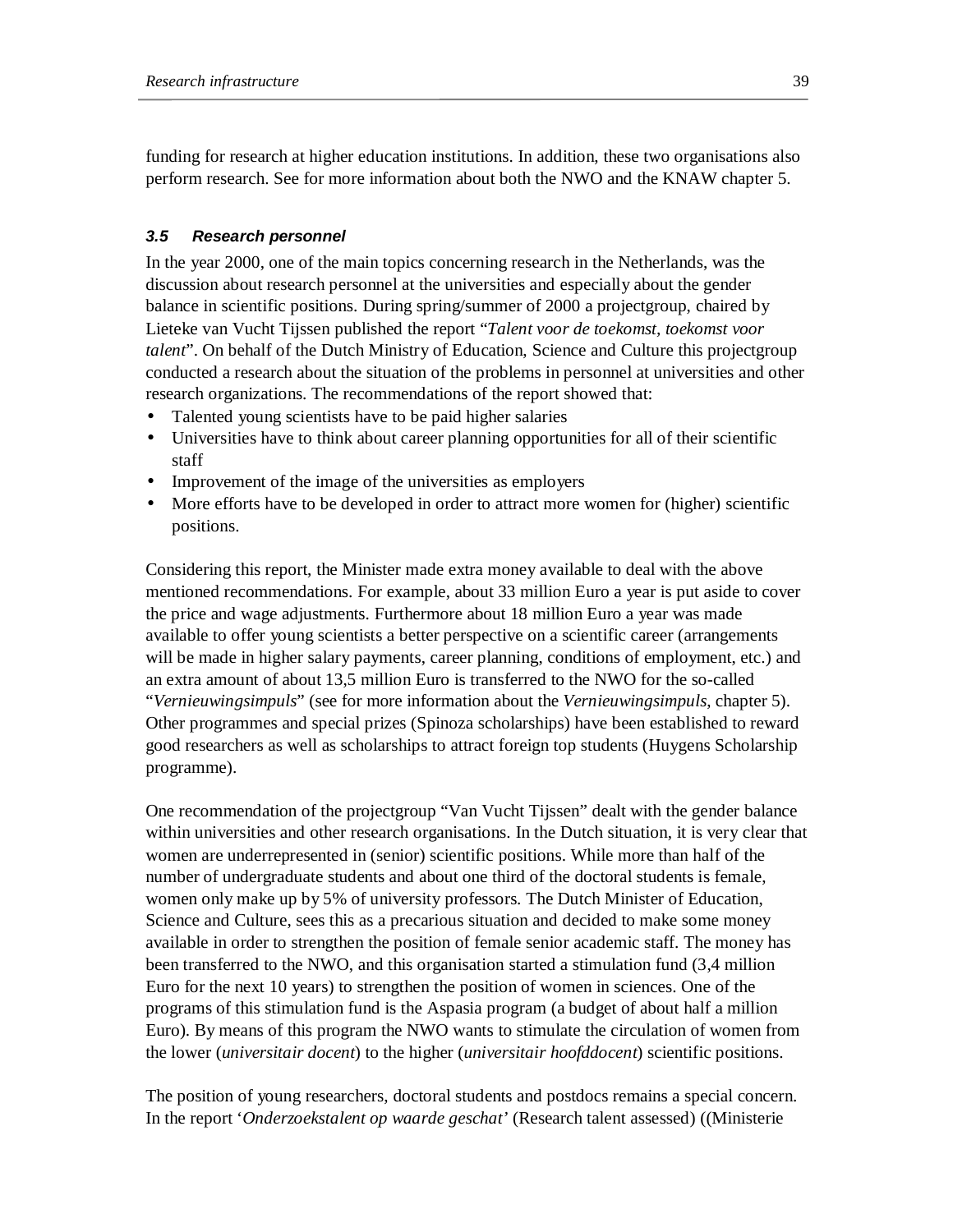funding for research at higher education institutions. In addition, these two organisations also perform research. See for more information about both the NWO and the KNAW chapter 5.

## *3.5 Research personnel*

In the year 2000, one of the main topics concerning research in the Netherlands, was the discussion about research personnel at the universities and especially about the gender balance in scientific positions. During spring/summer of 2000 a projectgroup, chaired by Lieteke van Vucht Tijssen published the report "*Talent voor de toekomst, toekomst voor talent*". On behalf of the Dutch Ministry of Education, Science and Culture this projectgroup conducted a research about the situation of the problems in personnel at universities and other research organizations. The recommendations of the report showed that:

- Talented young scientists have to be paid higher salaries
- Universities have to think about career planning opportunities for all of their scientific staff
- Improvement of the image of the universities as employers
- More efforts have to be developed in order to attract more women for (higher) scientific positions.

Considering this report, the Minister made extra money available to deal with the above mentioned recommendations. For example, about 33 million Euro a year is put aside to cover the price and wage adjustments. Furthermore about 18 million Euro a year was made available to offer young scientists a better perspective on a scientific career (arrangements will be made in higher salary payments, career planning, conditions of employment, etc.) and an extra amount of about 13,5 million Euro is transferred to the NWO for the so-called "*Vernieuwingsimpuls*" (see for more information about the *Vernieuwingsimpuls*, chapter 5). Other programmes and special prizes (Spinoza scholarships) have been established to reward good researchers as well as scholarships to attract foreign top students (Huygens Scholarship programme).

One recommendation of the projectgroup "Van Vucht Tijssen" dealt with the gender balance within universities and other research organisations. In the Dutch situation, it is very clear that women are underrepresented in (senior) scientific positions. While more than half of the number of undergraduate students and about one third of the doctoral students is female, women only make up by 5% of university professors. The Dutch Minister of Education, Science and Culture, sees this as a precarious situation and decided to make some money available in order to strengthen the position of female senior academic staff. The money has been transferred to the NWO, and this organisation started a stimulation fund (3,4 million Euro for the next 10 years) to strengthen the position of women in sciences. One of the programs of this stimulation fund is the Aspasia program (a budget of about half a million Euro). By means of this program the NWO wants to stimulate the circulation of women from the lower (*universitair docent*) to the higher (*universitair hoofddocent*) scientific positions.

The position of young researchers, doctoral students and postdocs remains a special concern. In the report '*Onderzoekstalent op waarde geschat'* (Research talent assessed) ((Ministerie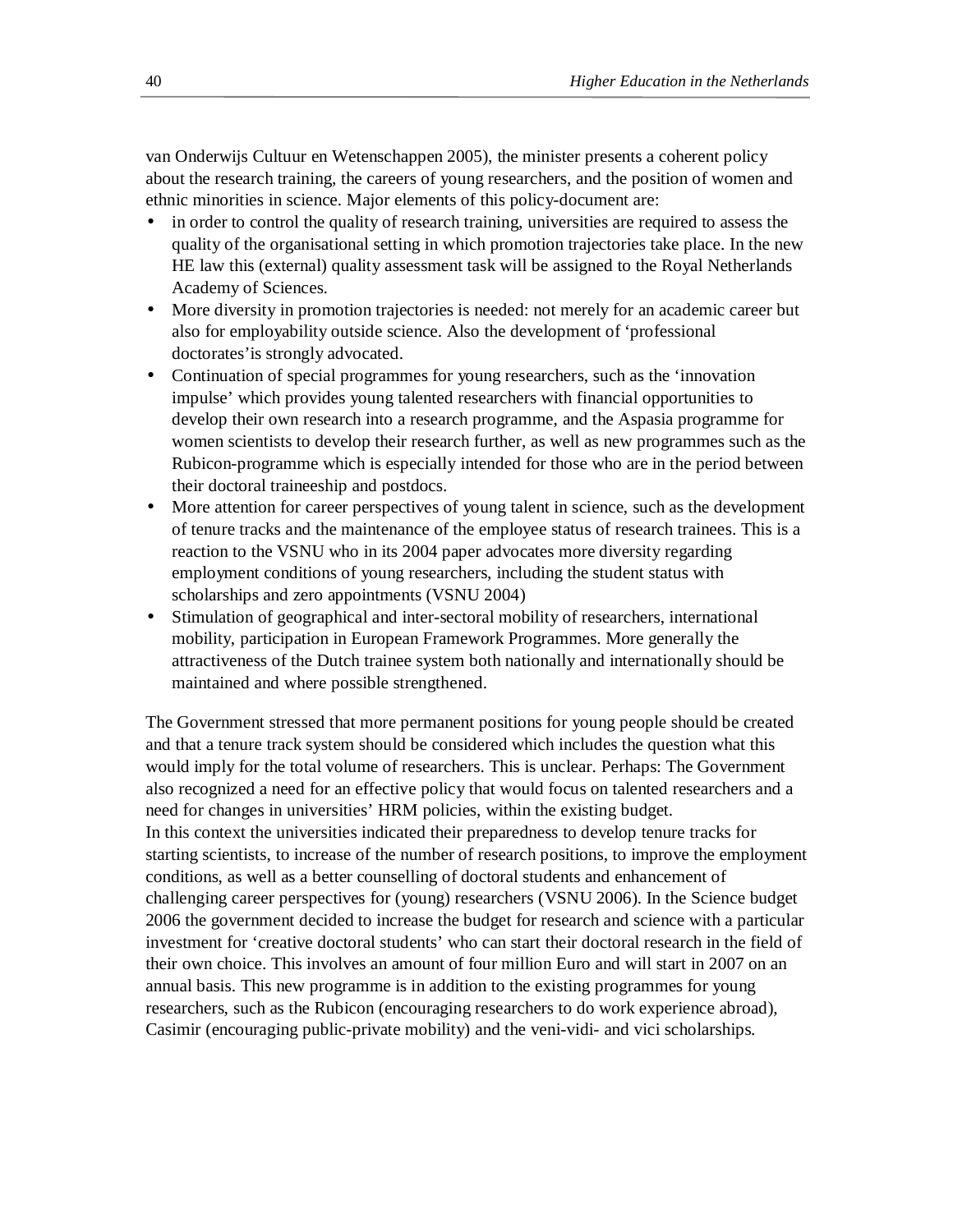van Onderwijs Cultuur en Wetenschappen 2005), the minister presents a coherent policy about the research training, the careers of young researchers, and the position of women and ethnic minorities in science. Major elements of this policy-document are:

- in order to control the quality of research training, universities are required to assess the quality of the organisational setting in which promotion trajectories take place. In the new HE law this (external) quality assessment task will be assigned to the Royal Netherlands Academy of Sciences.
- More diversity in promotion trajectories is needed: not merely for an academic career but also for employability outside science. Also the development of 'professional doctorates'is strongly advocated.
- Continuation of special programmes for young researchers, such as the 'innovation impulse' which provides young talented researchers with financial opportunities to develop their own research into a research programme, and the Aspasia programme for women scientists to develop their research further, as well as new programmes such as the Rubicon-programme which is especially intended for those who are in the period between their doctoral traineeship and postdocs.
- More attention for career perspectives of young talent in science, such as the development of tenure tracks and the maintenance of the employee status of research trainees. This is a reaction to the VSNU who in its 2004 paper advocates more diversity regarding employment conditions of young researchers, including the student status with scholarships and zero appointments (VSNU 2004)
- Stimulation of geographical and inter-sectoral mobility of researchers, international mobility, participation in European Framework Programmes. More generally the attractiveness of the Dutch trainee system both nationally and internationally should be maintained and where possible strengthened.

The Government stressed that more permanent positions for young people should be created and that a tenure track system should be considered which includes the question what this would imply for the total volume of researchers. This is unclear. Perhaps: The Government also recognized a need for an effective policy that would focus on talented researchers and a need for changes in universities' HRM policies, within the existing budget. In this context the universities indicated their preparedness to develop tenure tracks for starting scientists, to increase of the number of research positions, to improve the employment conditions, as well as a better counselling of doctoral students and enhancement of challenging career perspectives for (young) researchers (VSNU 2006). In the Science budget 2006 the government decided to increase the budget for research and science with a particular investment for 'creative doctoral students' who can start their doctoral research in the field of their own choice. This involves an amount of four million Euro and will start in 2007 on an annual basis. This new programme is in addition to the existing programmes for young researchers, such as the Rubicon (encouraging researchers to do work experience abroad), Casimir (encouraging public-private mobility) and the veni-vidi- and vici scholarships.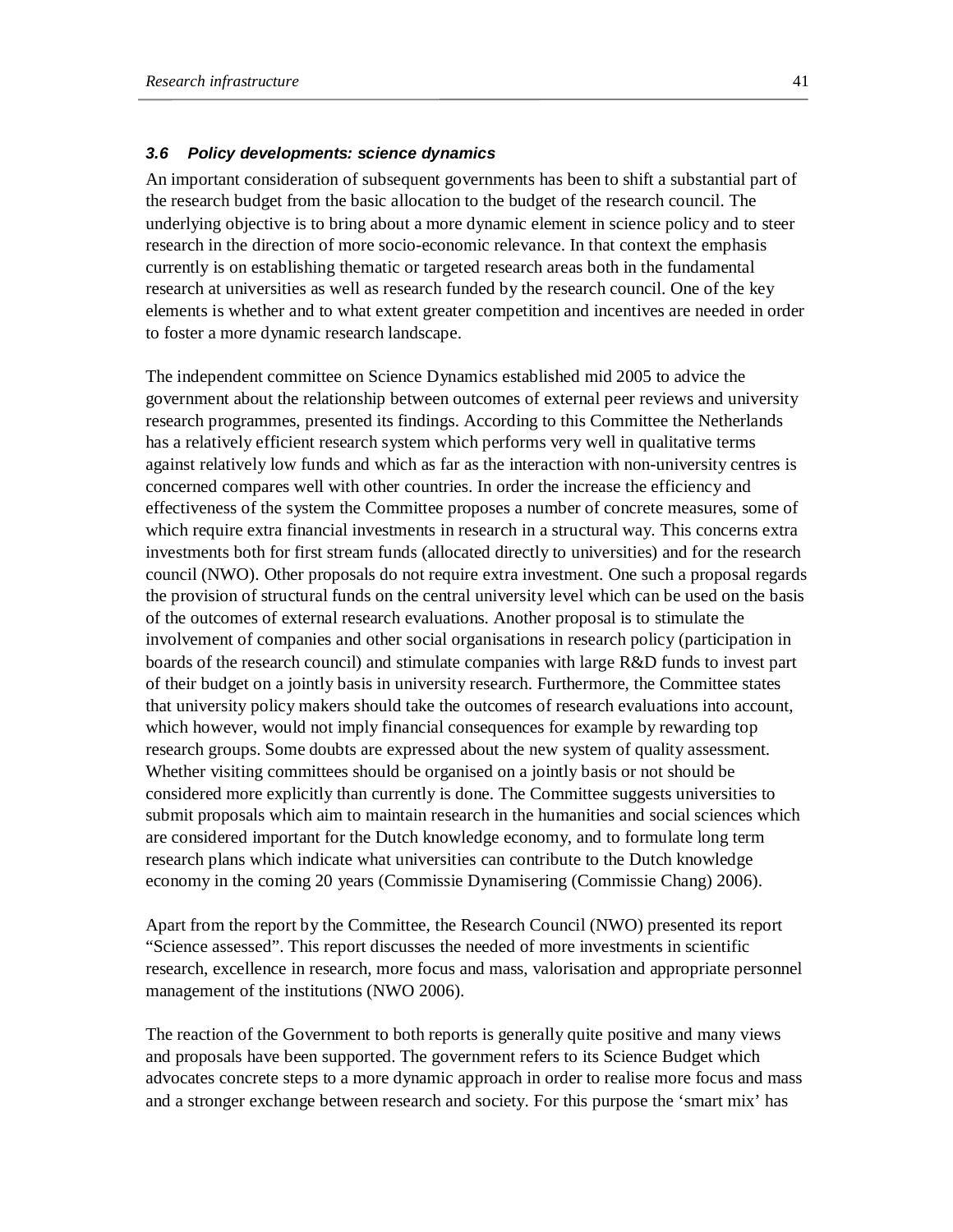### *3.6 Policy developments: science dynamics*

An important consideration of subsequent governments has been to shift a substantial part of the research budget from the basic allocation to the budget of the research council. The underlying objective is to bring about a more dynamic element in science policy and to steer research in the direction of more socio-economic relevance. In that context the emphasis currently is on establishing thematic or targeted research areas both in the fundamental research at universities as well as research funded by the research council. One of the key elements is whether and to what extent greater competition and incentives are needed in order to foster a more dynamic research landscape.

The independent committee on Science Dynamics established mid 2005 to advice the government about the relationship between outcomes of external peer reviews and university research programmes, presented its findings. According to this Committee the Netherlands has a relatively efficient research system which performs very well in qualitative terms against relatively low funds and which as far as the interaction with non-university centres is concerned compares well with other countries. In order the increase the efficiency and effectiveness of the system the Committee proposes a number of concrete measures, some of which require extra financial investments in research in a structural way. This concerns extra investments both for first stream funds (allocated directly to universities) and for the research council (NWO). Other proposals do not require extra investment. One such a proposal regards the provision of structural funds on the central university level which can be used on the basis of the outcomes of external research evaluations. Another proposal is to stimulate the involvement of companies and other social organisations in research policy (participation in boards of the research council) and stimulate companies with large R&D funds to invest part of their budget on a jointly basis in university research. Furthermore, the Committee states that university policy makers should take the outcomes of research evaluations into account, which however, would not imply financial consequences for example by rewarding top research groups. Some doubts are expressed about the new system of quality assessment. Whether visiting committees should be organised on a jointly basis or not should be considered more explicitly than currently is done. The Committee suggests universities to submit proposals which aim to maintain research in the humanities and social sciences which are considered important for the Dutch knowledge economy, and to formulate long term research plans which indicate what universities can contribute to the Dutch knowledge economy in the coming 20 years (Commissie Dynamisering (Commissie Chang) 2006).

Apart from the report by the Committee, the Research Council (NWO) presented its report "Science assessed". This report discusses the needed of more investments in scientific research, excellence in research, more focus and mass, valorisation and appropriate personnel management of the institutions (NWO 2006).

The reaction of the Government to both reports is generally quite positive and many views and proposals have been supported. The government refers to its Science Budget which advocates concrete steps to a more dynamic approach in order to realise more focus and mass and a stronger exchange between research and society. For this purpose the 'smart mix' has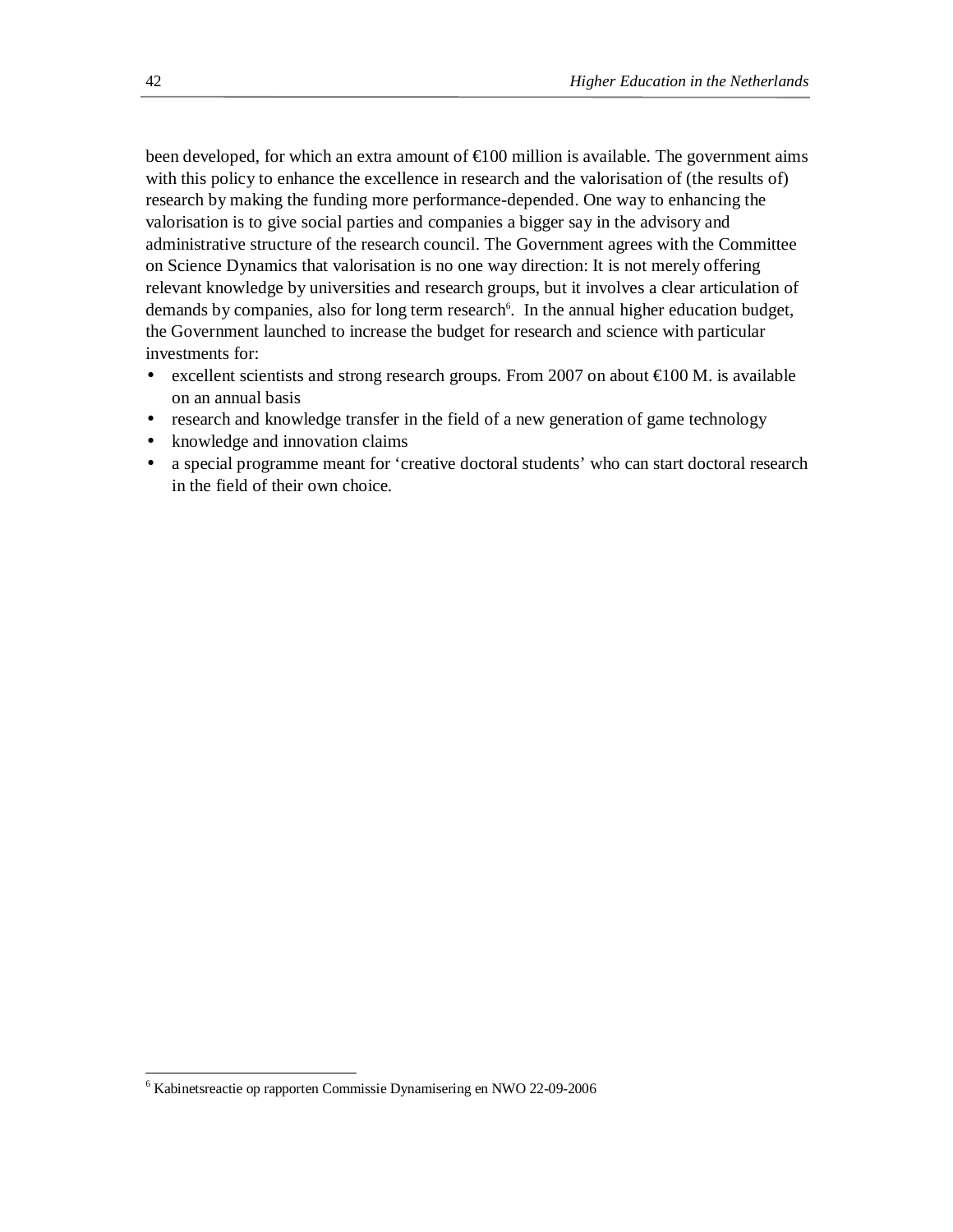been developed, for which an extra amount of €100 million is available. The government aims with this policy to enhance the excellence in research and the valorisation of (the results of) research by making the funding more performance-depended. One way to enhancing the valorisation is to give social parties and companies a bigger say in the advisory and administrative structure of the research council. The Government agrees with the Committee on Science Dynamics that valorisation is no one way direction: It is not merely offering relevant knowledge by universities and research groups, but it involves a clear articulation of demands by companies, also for long term research<sup>6</sup>. In the annual higher education budget, the Government launched to increase the budget for research and science with particular investments for:

- excellent scientists and strong research groups. From 2007 on about €100 M. is available on an annual basis
- research and knowledge transfer in the field of a new generation of game technology
- knowledge and innovation claims
- a special programme meant for 'creative doctoral students' who can start doctoral research in the field of their own choice.

 $\overline{a}$ 

<sup>6</sup> Kabinetsreactie op rapporten Commissie Dynamisering en NWO 22-09-2006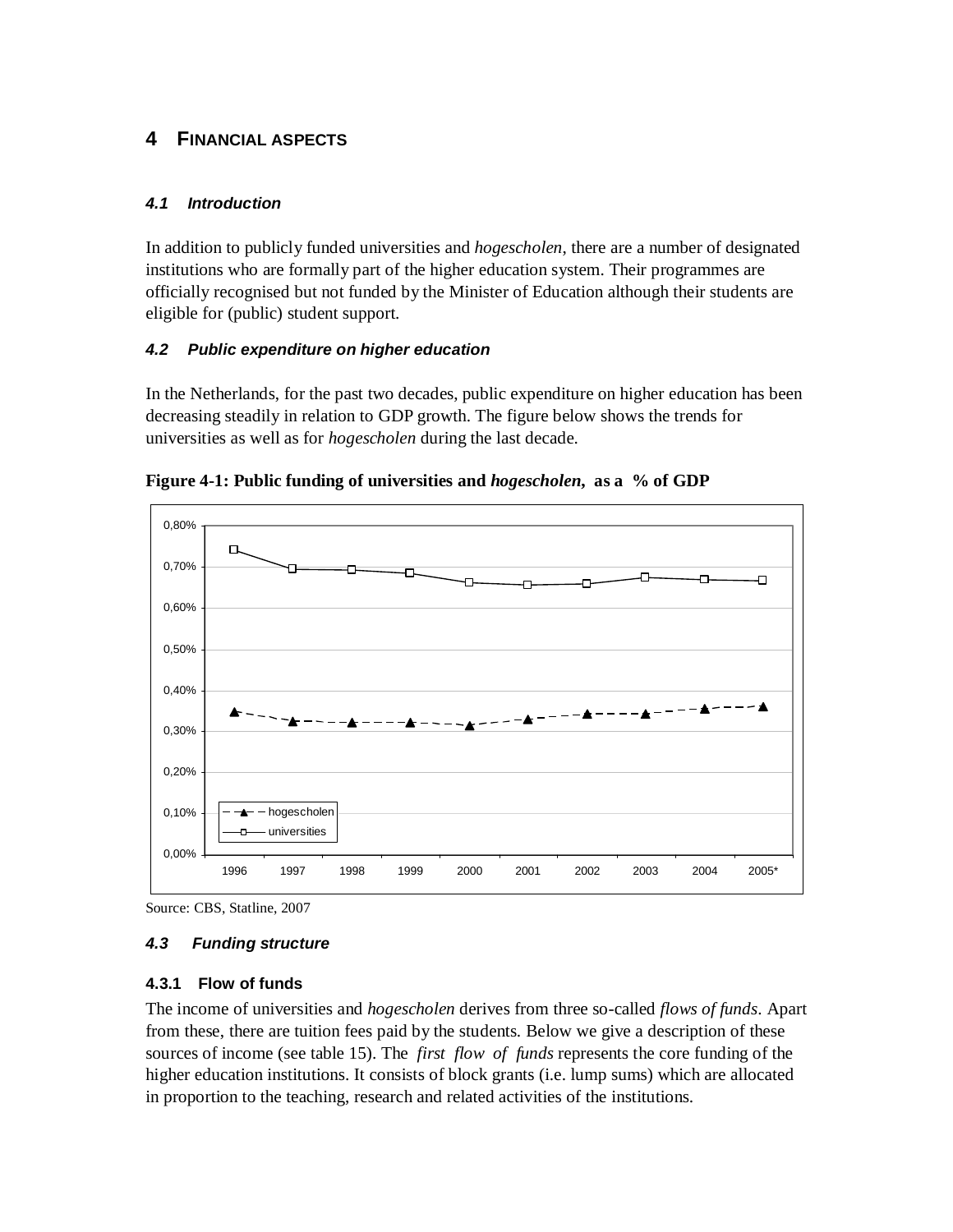# **4 FINANCIAL ASPECTS**

# *4.1 Introduction*

In addition to publicly funded universities and *hogescholen*, there are a number of designated institutions who are formally part of the higher education system. Their programmes are officially recognised but not funded by the Minister of Education although their students are eligible for (public) student support.

# *4.2 Public expenditure on higher education*

In the Netherlands, for the past two decades, public expenditure on higher education has been decreasing steadily in relation to GDP growth. The figure below shows the trends for universities as well as for *hogescholen* during the last decade.



**Figure 4-1: Public funding of universities and** *hogescholen***, as a % of GDP** 

# *4.3 Funding structure*

# **4.3.1 Flow of funds**

The income of universities and *hogescholen* derives from three so-called *flows of funds*. Apart from these, there are tuition fees paid by the students. Below we give a description of these sources of income (see table 15). The *first flow of funds* represents the core funding of the higher education institutions. It consists of block grants (i.e. lump sums) which are allocated in proportion to the teaching, research and related activities of the institutions.

Source: CBS, Statline, 2007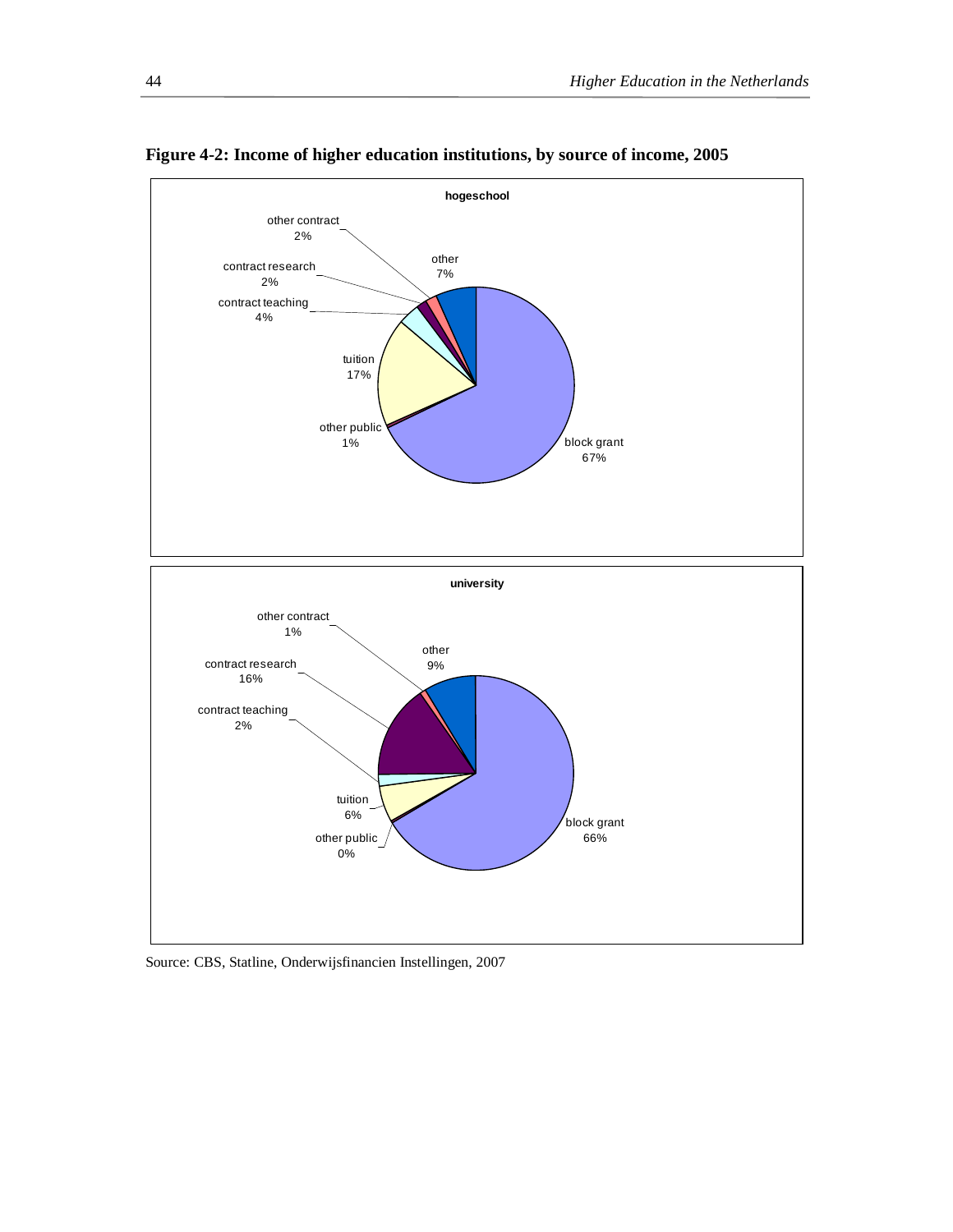

**Figure 4-2: Income of higher education institutions, by source of income, 2005** 

Source: CBS, Statline, Onderwijsfinancien Instellingen, 2007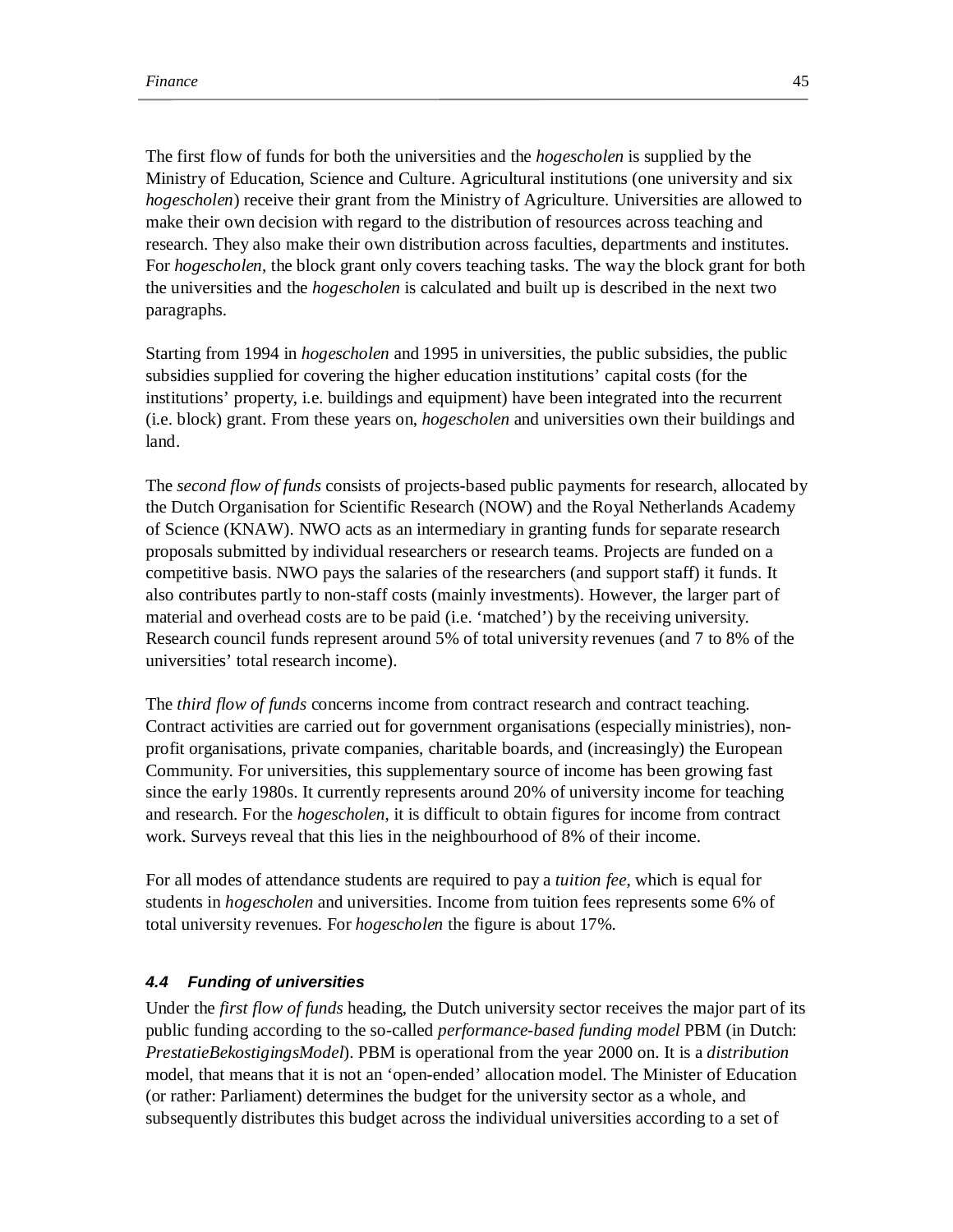The first flow of funds for both the universities and the *hogescholen* is supplied by the Ministry of Education, Science and Culture. Agricultural institutions (one university and six *hogescholen*) receive their grant from the Ministry of Agriculture. Universities are allowed to make their own decision with regard to the distribution of resources across teaching and research. They also make their own distribution across faculties, departments and institutes. For *hogescholen*, the block grant only covers teaching tasks. The way the block grant for both the universities and the *hogescholen* is calculated and built up is described in the next two paragraphs.

Starting from 1994 in *hogescholen* and 1995 in universities, the public subsidies, the public subsidies supplied for covering the higher education institutions' capital costs (for the institutions' property, i.e. buildings and equipment) have been integrated into the recurrent (i.e. block) grant. From these years on, *hogescholen* and universities own their buildings and land.

The *second flow of funds* consists of projects-based public payments for research, allocated by the Dutch Organisation for Scientific Research (NOW) and the Royal Netherlands Academy of Science (KNAW). NWO acts as an intermediary in granting funds for separate research proposals submitted by individual researchers or research teams. Projects are funded on a competitive basis. NWO pays the salaries of the researchers (and support staff) it funds. It also contributes partly to non-staff costs (mainly investments). However, the larger part of material and overhead costs are to be paid (i.e. 'matched') by the receiving university. Research council funds represent around 5% of total university revenues (and 7 to 8% of the universities' total research income).

The *third flow of funds* concerns income from contract research and contract teaching. Contract activities are carried out for government organisations (especially ministries), nonprofit organisations, private companies, charitable boards, and (increasingly) the European Community. For universities, this supplementary source of income has been growing fast since the early 1980s. It currently represents around 20% of university income for teaching and research. For the *hogescholen*, it is difficult to obtain figures for income from contract work. Surveys reveal that this lies in the neighbourhood of 8% of their income.

For all modes of attendance students are required to pay a *tuition fee*, which is equal for students in *hogescholen* and universities. Income from tuition fees represents some 6% of total university revenues. For *hogescholen* the figure is about 17%.

### *4.4 Funding of universities*

Under the *first flow of funds* heading, the Dutch university sector receives the major part of its public funding according to the so-called *performance-based funding model* PBM (in Dutch: *PrestatieBekostigingsModel*). PBM is operational from the year 2000 on. It is a *distribution* model, that means that it is not an 'open-ended' allocation model. The Minister of Education (or rather: Parliament) determines the budget for the university sector as a whole, and subsequently distributes this budget across the individual universities according to a set of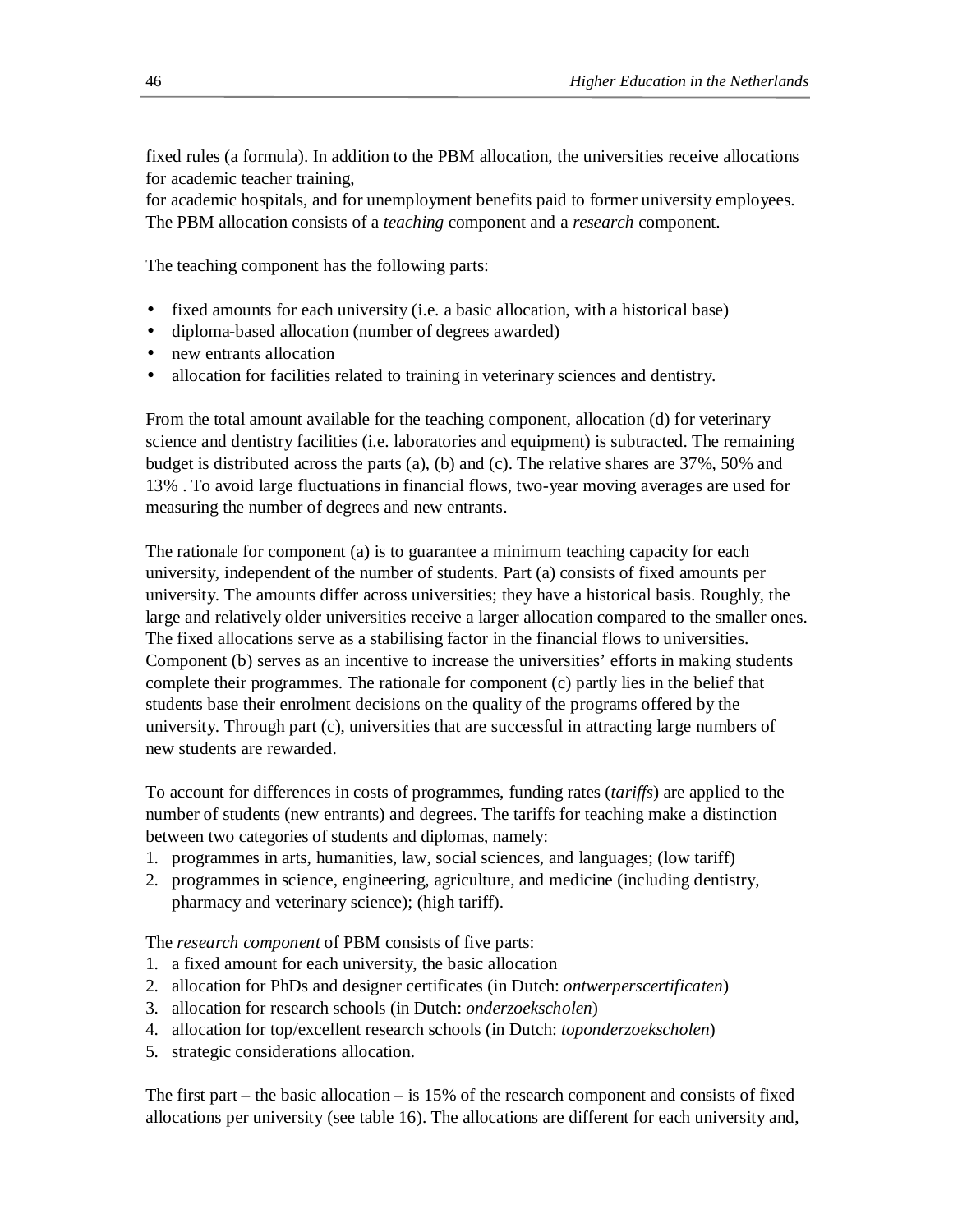fixed rules (a formula). In addition to the PBM allocation, the universities receive allocations for academic teacher training,

for academic hospitals, and for unemployment benefits paid to former university employees. The PBM allocation consists of a *teaching* component and a *research* component.

The teaching component has the following parts:

- fixed amounts for each university (i.e. a basic allocation, with a historical base)
- diploma-based allocation (number of degrees awarded)
- new entrants allocation
- allocation for facilities related to training in veterinary sciences and dentistry.

From the total amount available for the teaching component, allocation (d) for veterinary science and dentistry facilities (i.e. laboratories and equipment) is subtracted. The remaining budget is distributed across the parts (a), (b) and (c). The relative shares are 37%, 50% and 13% . To avoid large fluctuations in financial flows, two-year moving averages are used for measuring the number of degrees and new entrants.

The rationale for component (a) is to guarantee a minimum teaching capacity for each university, independent of the number of students. Part (a) consists of fixed amounts per university. The amounts differ across universities; they have a historical basis. Roughly, the large and relatively older universities receive a larger allocation compared to the smaller ones. The fixed allocations serve as a stabilising factor in the financial flows to universities. Component (b) serves as an incentive to increase the universities' efforts in making students complete their programmes. The rationale for component (c) partly lies in the belief that students base their enrolment decisions on the quality of the programs offered by the university. Through part (c), universities that are successful in attracting large numbers of new students are rewarded.

To account for differences in costs of programmes, funding rates (*tariffs*) are applied to the number of students (new entrants) and degrees. The tariffs for teaching make a distinction between two categories of students and diplomas, namely:

- 1. programmes in arts, humanities, law, social sciences, and languages; (low tariff)
- 2. programmes in science, engineering, agriculture, and medicine (including dentistry, pharmacy and veterinary science); (high tariff).

The *research component* of PBM consists of five parts:

- 1. a fixed amount for each university, the basic allocation
- 2. allocation for PhDs and designer certificates (in Dutch: *ontwerperscertificaten*)
- 3. allocation for research schools (in Dutch: *onderzoekscholen*)
- 4. allocation for top/excellent research schools (in Dutch: *toponderzoekscholen*)
- 5. strategic considerations allocation.

The first part – the basic allocation – is 15% of the research component and consists of fixed allocations per university (see table 16). The allocations are different for each university and,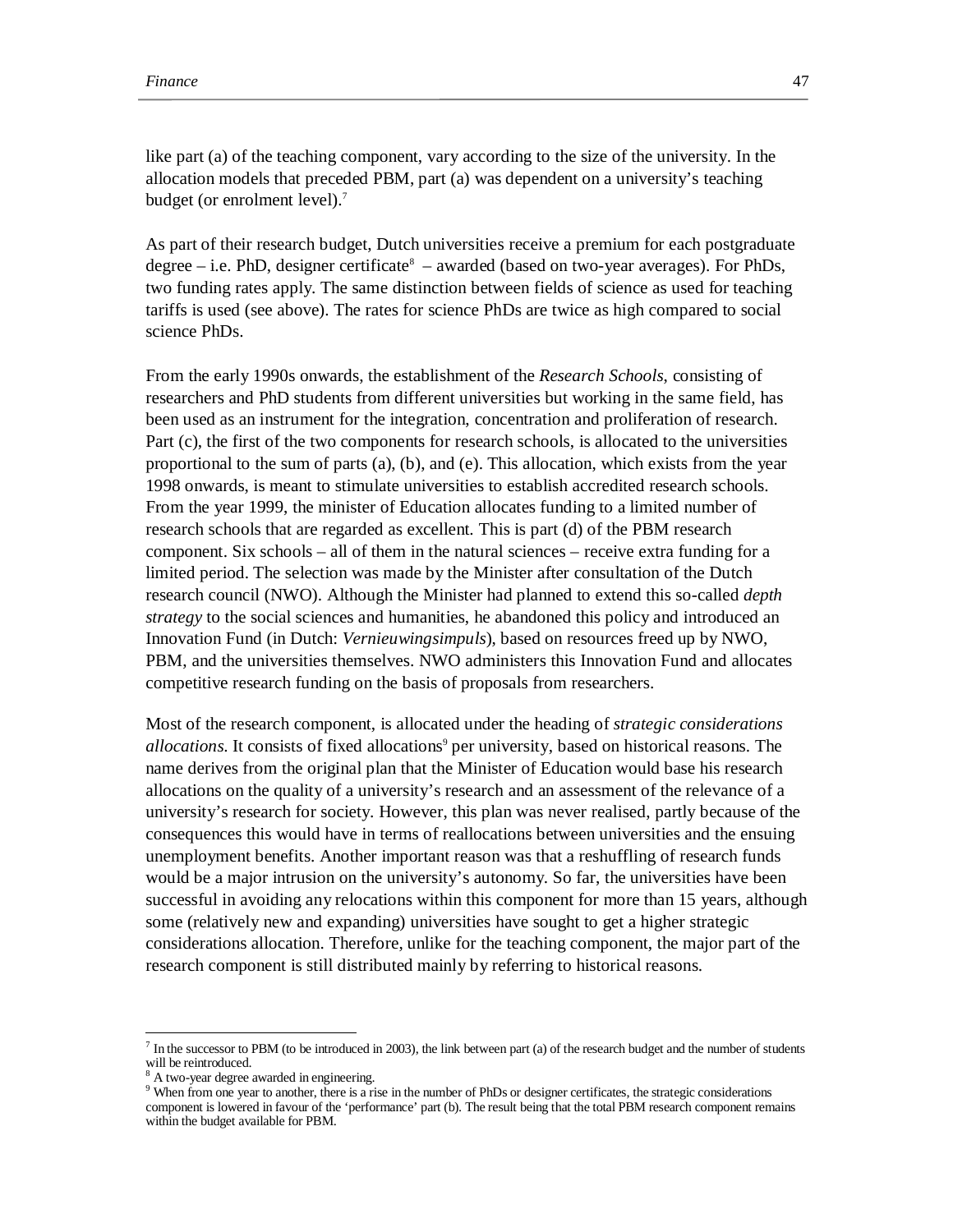like part (a) of the teaching component, vary according to the size of the university. In the allocation models that preceded PBM, part (a) was dependent on a university's teaching budget (or enrolment level).<sup>7</sup>

As part of their research budget, Dutch universities receive a premium for each postgraduate degree  $-$  i.e. PhD, designer certificate<sup>8</sup> – awarded (based on two-year averages). For PhDs, two funding rates apply. The same distinction between fields of science as used for teaching tariffs is used (see above). The rates for science PhDs are twice as high compared to social science PhDs.

From the early 1990s onwards, the establishment of the *Research Schools*, consisting of researchers and PhD students from different universities but working in the same field, has been used as an instrument for the integration, concentration and proliferation of research. Part (c), the first of the two components for research schools, is allocated to the universities proportional to the sum of parts (a), (b), and (e). This allocation, which exists from the year 1998 onwards, is meant to stimulate universities to establish accredited research schools. From the year 1999, the minister of Education allocates funding to a limited number of research schools that are regarded as excellent. This is part (d) of the PBM research component. Six schools – all of them in the natural sciences – receive extra funding for a limited period. The selection was made by the Minister after consultation of the Dutch research council (NWO). Although the Minister had planned to extend this so-called *depth strategy* to the social sciences and humanities, he abandoned this policy and introduced an Innovation Fund (in Dutch: *Vernieuwingsimpuls*), based on resources freed up by NWO, PBM, and the universities themselves. NWO administers this Innovation Fund and allocates competitive research funding on the basis of proposals from researchers.

Most of the research component, is allocated under the heading of *strategic considerations*  allocations. It consists of fixed allocations<sup>9</sup> per university, based on historical reasons. The name derives from the original plan that the Minister of Education would base his research allocations on the quality of a university's research and an assessment of the relevance of a university's research for society. However, this plan was never realised, partly because of the consequences this would have in terms of reallocations between universities and the ensuing unemployment benefits. Another important reason was that a reshuffling of research funds would be a major intrusion on the university's autonomy. So far, the universities have been successful in avoiding any relocations within this component for more than 15 years, although some (relatively new and expanding) universities have sought to get a higher strategic considerations allocation. Therefore, unlike for the teaching component, the major part of the research component is still distributed mainly by referring to historical reasons.

-

 $<sup>7</sup>$  In the successor to PBM (to be introduced in 2003), the link between part (a) of the research budget and the number of students</sup> will be reintroduced.

A two-year degree awarded in engineering.

<sup>&</sup>lt;sup>9</sup> When from one year to another, there is a rise in the number of PhDs or designer certificates, the strategic considerations component is lowered in favour of the 'performance' part (b). The result being that the total PBM research component remains within the budget available for PBM.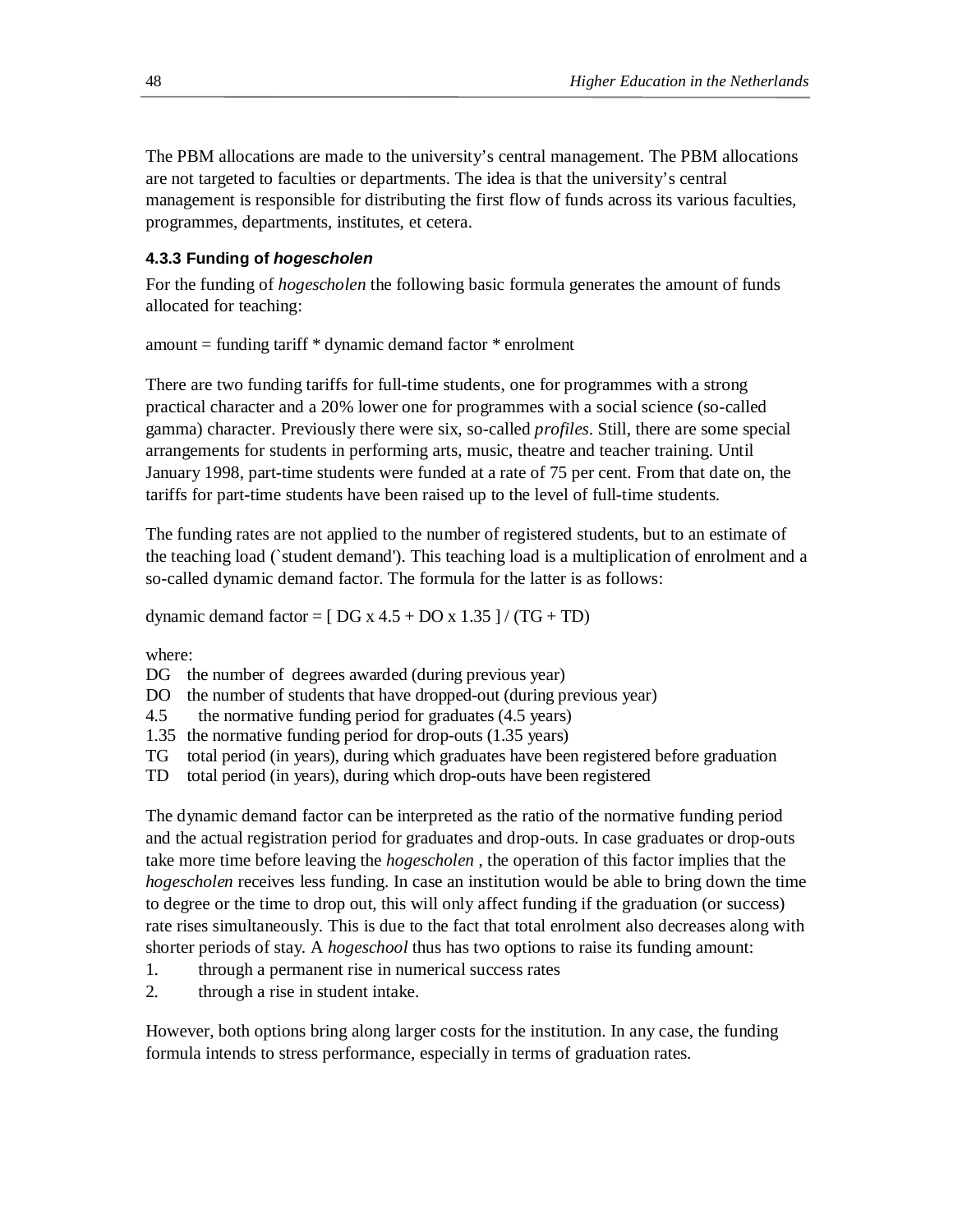The PBM allocations are made to the university's central management. The PBM allocations are not targeted to faculties or departments. The idea is that the university's central management is responsible for distributing the first flow of funds across its various faculties, programmes, departments, institutes, et cetera.

## **4.3.3 Funding of** *hogescholen*

For the funding of *hogescholen* the following basic formula generates the amount of funds allocated for teaching:

amount = funding tariff \* dynamic demand factor \* enrolment

There are two funding tariffs for full-time students, one for programmes with a strong practical character and a 20% lower one for programmes with a social science (so-called gamma) character. Previously there were six, so-called *profiles*. Still, there are some special arrangements for students in performing arts, music, theatre and teacher training. Until January 1998, part-time students were funded at a rate of 75 per cent. From that date on, the tariffs for part-time students have been raised up to the level of full-time students.

The funding rates are not applied to the number of registered students, but to an estimate of the teaching load (`student demand'). This teaching load is a multiplication of enrolment and a so-called dynamic demand factor. The formula for the latter is as follows:

dynamic demand factor =  $[DG x 4.5 + DO x 1.35]/(TG + TD)$ 

where:

DG the number of degrees awarded (during previous year)

DO the number of students that have dropped-out (during previous year)

4.5 the normative funding period for graduates (4.5 years)

1.35 the normative funding period for drop-outs (1.35 years)

TG total period (in years), during which graduates have been registered before graduation

TD total period (in years), during which drop-outs have been registered

The dynamic demand factor can be interpreted as the ratio of the normative funding period and the actual registration period for graduates and drop-outs. In case graduates or drop-outs take more time before leaving the *hogescholen* , the operation of this factor implies that the *hogescholen* receives less funding. In case an institution would be able to bring down the time to degree or the time to drop out, this will only affect funding if the graduation (or success) rate rises simultaneously. This is due to the fact that total enrolment also decreases along with shorter periods of stay. A *hogeschool* thus has two options to raise its funding amount:

- 1. through a permanent rise in numerical success rates
- 2. through a rise in student intake.

However, both options bring along larger costs for the institution. In any case, the funding formula intends to stress performance, especially in terms of graduation rates.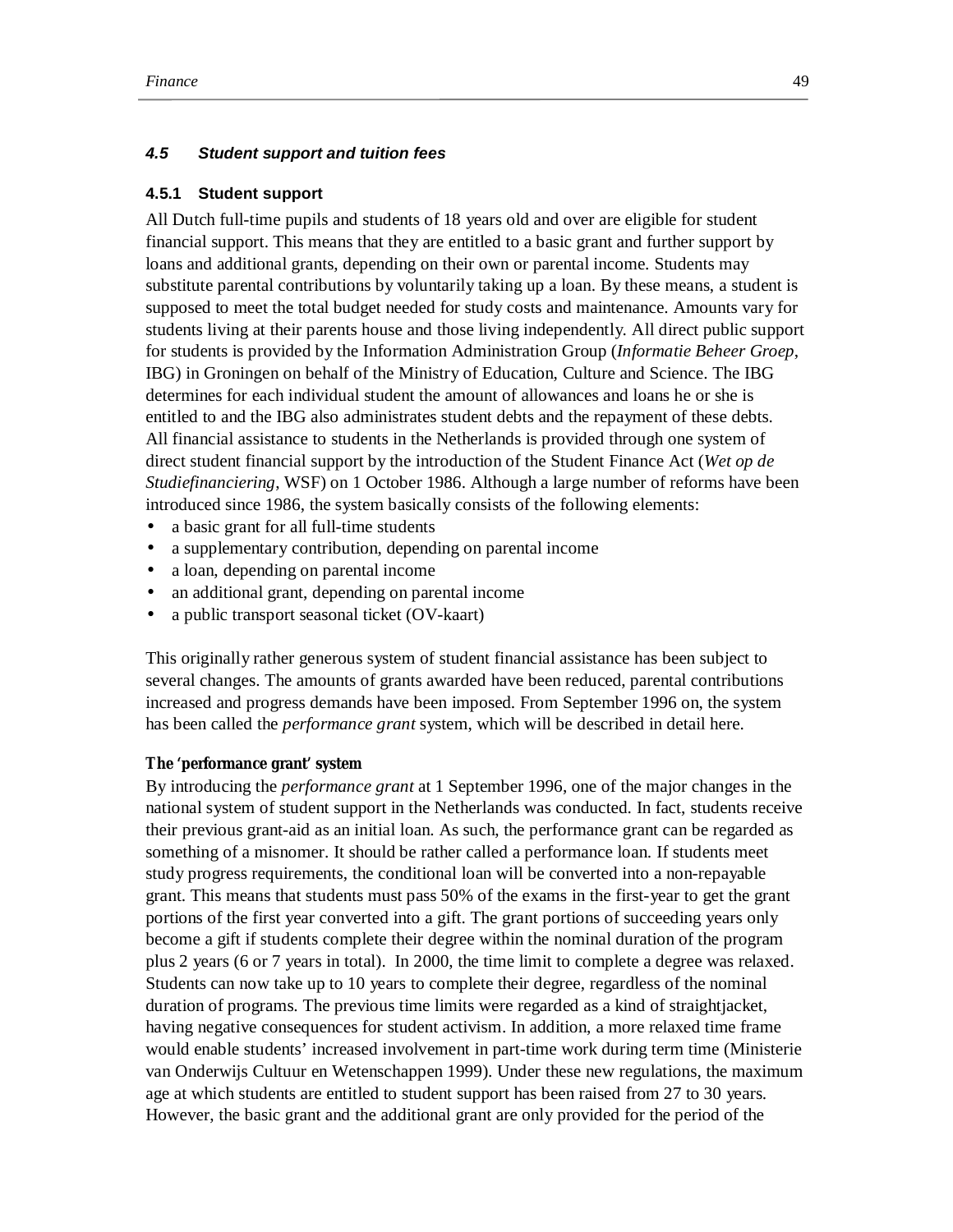### *4.5 Student support and tuition fees*

#### **4.5.1 Student support**

All Dutch full-time pupils and students of 18 years old and over are eligible for student financial support. This means that they are entitled to a basic grant and further support by loans and additional grants, depending on their own or parental income. Students may substitute parental contributions by voluntarily taking up a loan. By these means, a student is supposed to meet the total budget needed for study costs and maintenance. Amounts vary for students living at their parents house and those living independently. All direct public support for students is provided by the Information Administration Group (*Informatie Beheer Groep*, IBG) in Groningen on behalf of the Ministry of Education, Culture and Science. The IBG determines for each individual student the amount of allowances and loans he or she is entitled to and the IBG also administrates student debts and the repayment of these debts. All financial assistance to students in the Netherlands is provided through one system of direct student financial support by the introduction of the Student Finance Act (*Wet op de Studiefinanciering*, WSF) on 1 October 1986. Although a large number of reforms have been introduced since 1986, the system basically consists of the following elements:

- a basic grant for all full-time students
- a supplementary contribution, depending on parental income
- a loan, depending on parental income
- an additional grant, depending on parental income
- a public transport seasonal ticket (OV-kaart)

This originally rather generous system of student financial assistance has been subject to several changes. The amounts of grants awarded have been reduced, parental contributions increased and progress demands have been imposed. From September 1996 on, the system has been called the *performance grant* system, which will be described in detail here.

### **The 'performance grant' system**

By introducing the *performance grant* at 1 September 1996, one of the major changes in the national system of student support in the Netherlands was conducted. In fact, students receive their previous grant-aid as an initial loan. As such, the performance grant can be regarded as something of a misnomer. It should be rather called a performance loan. If students meet study progress requirements, the conditional loan will be converted into a non-repayable grant. This means that students must pass 50% of the exams in the first-year to get the grant portions of the first year converted into a gift. The grant portions of succeeding years only become a gift if students complete their degree within the nominal duration of the program plus 2 years (6 or 7 years in total). In 2000, the time limit to complete a degree was relaxed. Students can now take up to 10 years to complete their degree, regardless of the nominal duration of programs. The previous time limits were regarded as a kind of straightjacket, having negative consequences for student activism. In addition, a more relaxed time frame would enable students' increased involvement in part-time work during term time (Ministerie van Onderwijs Cultuur en Wetenschappen 1999). Under these new regulations, the maximum age at which students are entitled to student support has been raised from 27 to 30 years. However, the basic grant and the additional grant are only provided for the period of the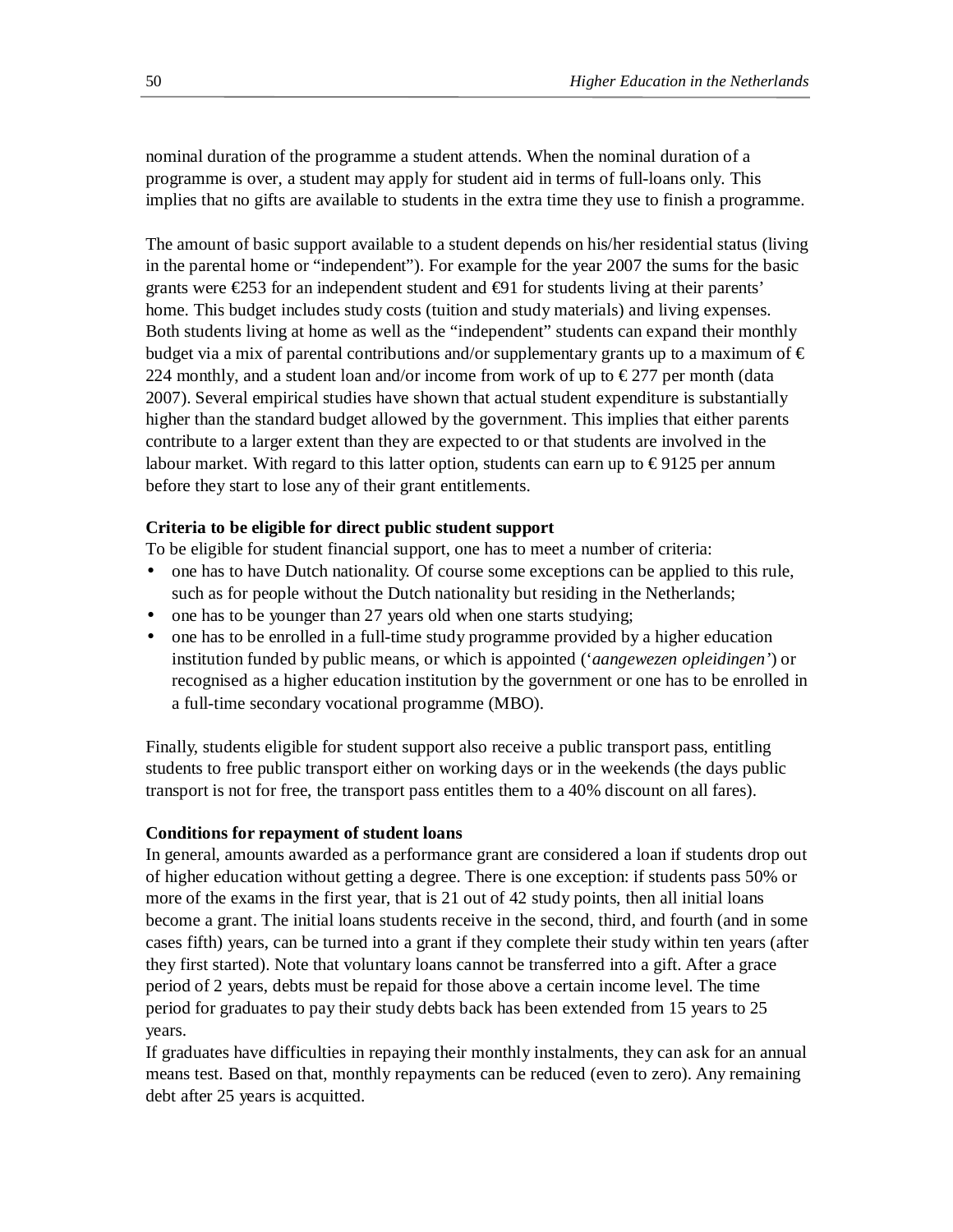nominal duration of the programme a student attends. When the nominal duration of a programme is over, a student may apply for student aid in terms of full-loans only. This implies that no gifts are available to students in the extra time they use to finish a programme.

The amount of basic support available to a student depends on his/her residential status (living in the parental home or "independent"). For example for the year 2007 the sums for the basic grants were  $\epsilon$ 253 for an independent student and  $\epsilon$ 91 for students living at their parents' home. This budget includes study costs (tuition and study materials) and living expenses. Both students living at home as well as the "independent" students can expand their monthly budget via a mix of parental contributions and/or supplementary grants up to a maximum of  $\epsilon$ 224 monthly, and a student loan and/or income from work of up to  $\epsilon$ 277 per month (data 2007). Several empirical studies have shown that actual student expenditure is substantially higher than the standard budget allowed by the government. This implies that either parents contribute to a larger extent than they are expected to or that students are involved in the labour market. With regard to this latter option, students can earn up to  $\epsilon$ 9125 per annum before they start to lose any of their grant entitlements.

## **Criteria to be eligible for direct public student support**

To be eligible for student financial support, one has to meet a number of criteria:

- one has to have Dutch nationality. Of course some exceptions can be applied to this rule, such as for people without the Dutch nationality but residing in the Netherlands;
- one has to be younger than 27 years old when one starts studying;
- one has to be enrolled in a full-time study programme provided by a higher education institution funded by public means, or which is appointed ('*aangewezen opleidingen'*) or recognised as a higher education institution by the government or one has to be enrolled in a full-time secondary vocational programme (MBO).

Finally, students eligible for student support also receive a public transport pass, entitling students to free public transport either on working days or in the weekends (the days public transport is not for free, the transport pass entitles them to a 40% discount on all fares).

## **Conditions for repayment of student loans**

In general, amounts awarded as a performance grant are considered a loan if students drop out of higher education without getting a degree. There is one exception: if students pass 50% or more of the exams in the first year, that is 21 out of 42 study points, then all initial loans become a grant. The initial loans students receive in the second, third, and fourth (and in some cases fifth) years, can be turned into a grant if they complete their study within ten years (after they first started). Note that voluntary loans cannot be transferred into a gift. After a grace period of 2 years, debts must be repaid for those above a certain income level. The time period for graduates to pay their study debts back has been extended from 15 years to 25 years.

If graduates have difficulties in repaying their monthly instalments, they can ask for an annual means test. Based on that, monthly repayments can be reduced (even to zero). Any remaining debt after 25 years is acquitted.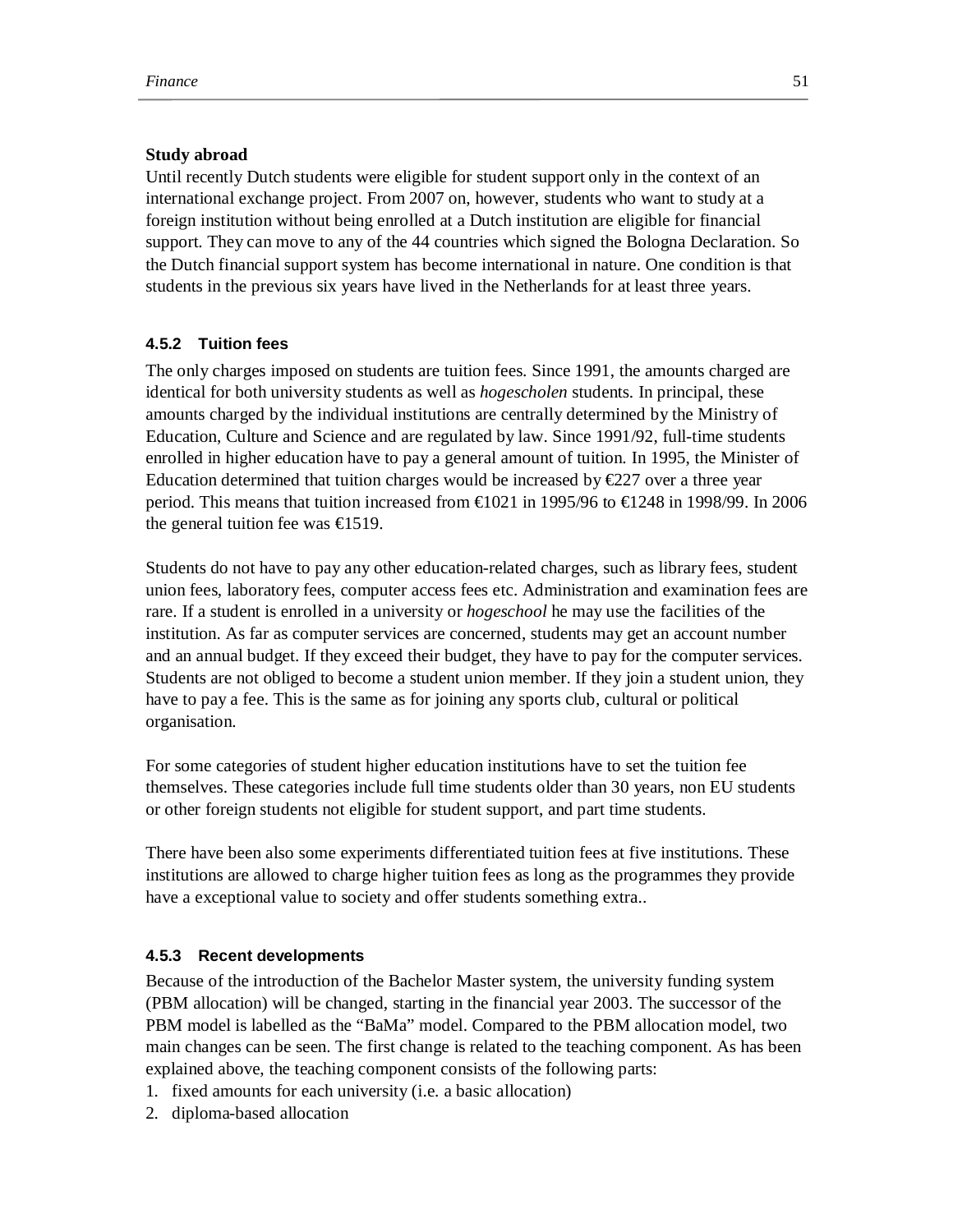### **Study abroad**

Until recently Dutch students were eligible for student support only in the context of an international exchange project. From 2007 on, however, students who want to study at a foreign institution without being enrolled at a Dutch institution are eligible for financial support. They can move to any of the 44 countries which signed the Bologna Declaration. So the Dutch financial support system has become international in nature. One condition is that students in the previous six years have lived in the Netherlands for at least three years.

## **4.5.2 Tuition fees**

The only charges imposed on students are tuition fees. Since 1991, the amounts charged are identical for both university students as well as *hogescholen* students. In principal, these amounts charged by the individual institutions are centrally determined by the Ministry of Education, Culture and Science and are regulated by law. Since 1991/92, full-time students enrolled in higher education have to pay a general amount of tuition. In 1995, the Minister of Education determined that tuition charges would be increased by  $E227$  over a three year period. This means that tuition increased from  $\text{\textsterling}021$  in 1995/96 to  $\text{\textsterling}248$  in 1998/99. In 2006 the general tuition fee was  $\text{£}19$ .

Students do not have to pay any other education-related charges, such as library fees, student union fees, laboratory fees, computer access fees etc. Administration and examination fees are rare. If a student is enrolled in a university or *hogeschool* he may use the facilities of the institution. As far as computer services are concerned, students may get an account number and an annual budget. If they exceed their budget, they have to pay for the computer services. Students are not obliged to become a student union member. If they join a student union, they have to pay a fee. This is the same as for joining any sports club, cultural or political organisation.

For some categories of student higher education institutions have to set the tuition fee themselves. These categories include full time students older than 30 years, non EU students or other foreign students not eligible for student support, and part time students.

There have been also some experiments differentiated tuition fees at five institutions. These institutions are allowed to charge higher tuition fees as long as the programmes they provide have a exceptional value to society and offer students something extra..

### **4.5.3 Recent developments**

Because of the introduction of the Bachelor Master system, the university funding system (PBM allocation) will be changed, starting in the financial year 2003. The successor of the PBM model is labelled as the "BaMa" model. Compared to the PBM allocation model, two main changes can be seen. The first change is related to the teaching component. As has been explained above, the teaching component consists of the following parts:

- 1. fixed amounts for each university (i.e. a basic allocation)
- 2. diploma-based allocation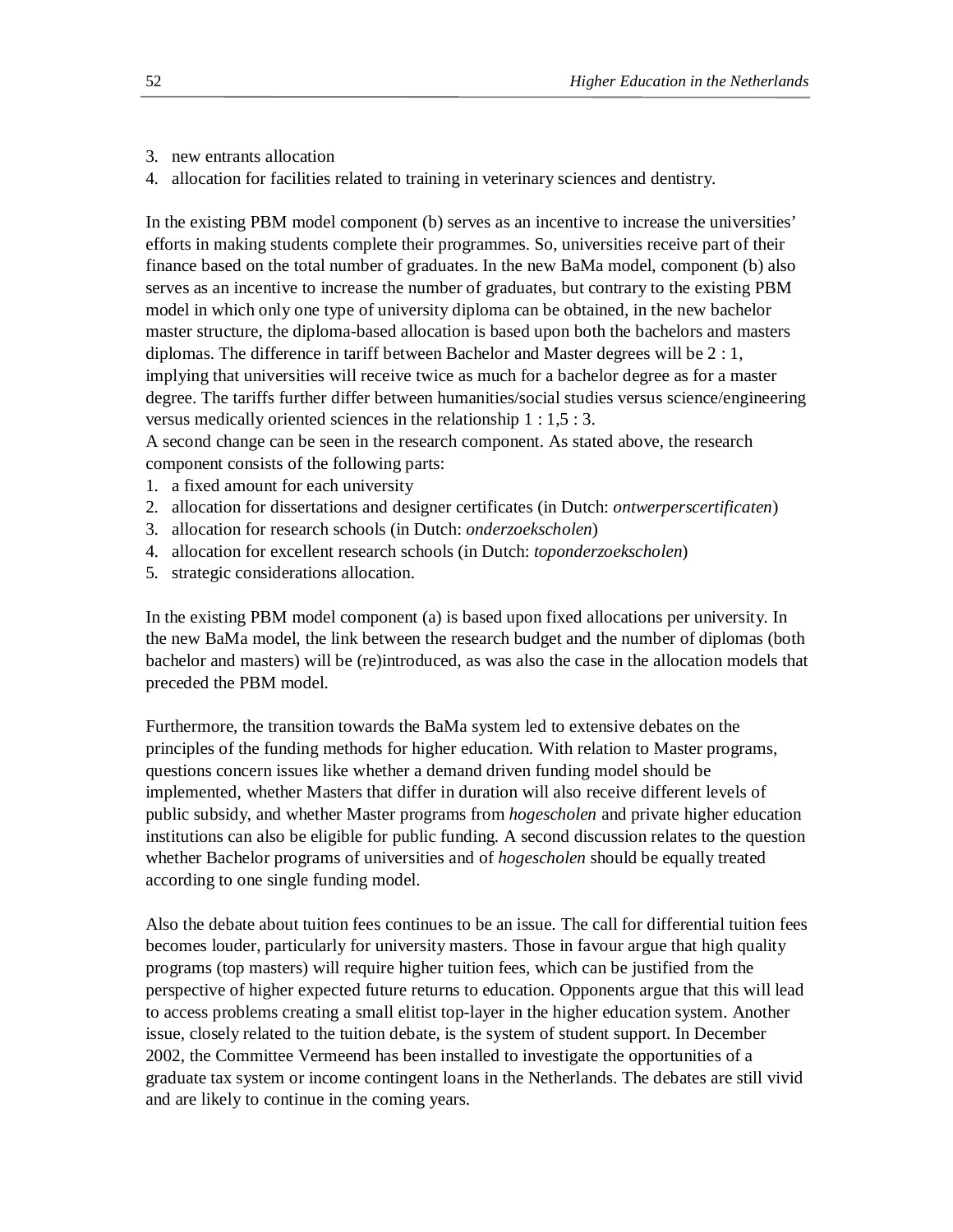- 3. new entrants allocation
- 4. allocation for facilities related to training in veterinary sciences and dentistry.

In the existing PBM model component (b) serves as an incentive to increase the universities' efforts in making students complete their programmes. So, universities receive part of their finance based on the total number of graduates. In the new BaMa model, component (b) also serves as an incentive to increase the number of graduates, but contrary to the existing PBM model in which only one type of university diploma can be obtained, in the new bachelor master structure, the diploma-based allocation is based upon both the bachelors and masters diplomas. The difference in tariff between Bachelor and Master degrees will be 2 : 1, implying that universities will receive twice as much for a bachelor degree as for a master degree. The tariffs further differ between humanities/social studies versus science/engineering versus medically oriented sciences in the relationship 1 : 1,5 : 3.

A second change can be seen in the research component. As stated above, the research component consists of the following parts:

- 1. a fixed amount for each university
- 2. allocation for dissertations and designer certificates (in Dutch: *ontwerperscertificaten*)
- 3. allocation for research schools (in Dutch: *onderzoekscholen*)
- 4. allocation for excellent research schools (in Dutch: *toponderzoekscholen*)
- 5. strategic considerations allocation.

In the existing PBM model component (a) is based upon fixed allocations per university. In the new BaMa model, the link between the research budget and the number of diplomas (both bachelor and masters) will be (re)introduced, as was also the case in the allocation models that preceded the PBM model.

Furthermore, the transition towards the BaMa system led to extensive debates on the principles of the funding methods for higher education. With relation to Master programs, questions concern issues like whether a demand driven funding model should be implemented, whether Masters that differ in duration will also receive different levels of public subsidy, and whether Master programs from *hogescholen* and private higher education institutions can also be eligible for public funding. A second discussion relates to the question whether Bachelor programs of universities and of *hogescholen* should be equally treated according to one single funding model.

Also the debate about tuition fees continues to be an issue. The call for differential tuition fees becomes louder, particularly for university masters. Those in favour argue that high quality programs (top masters) will require higher tuition fees, which can be justified from the perspective of higher expected future returns to education. Opponents argue that this will lead to access problems creating a small elitist top-layer in the higher education system. Another issue, closely related to the tuition debate, is the system of student support. In December 2002, the Committee Vermeend has been installed to investigate the opportunities of a graduate tax system or income contingent loans in the Netherlands. The debates are still vivid and are likely to continue in the coming years.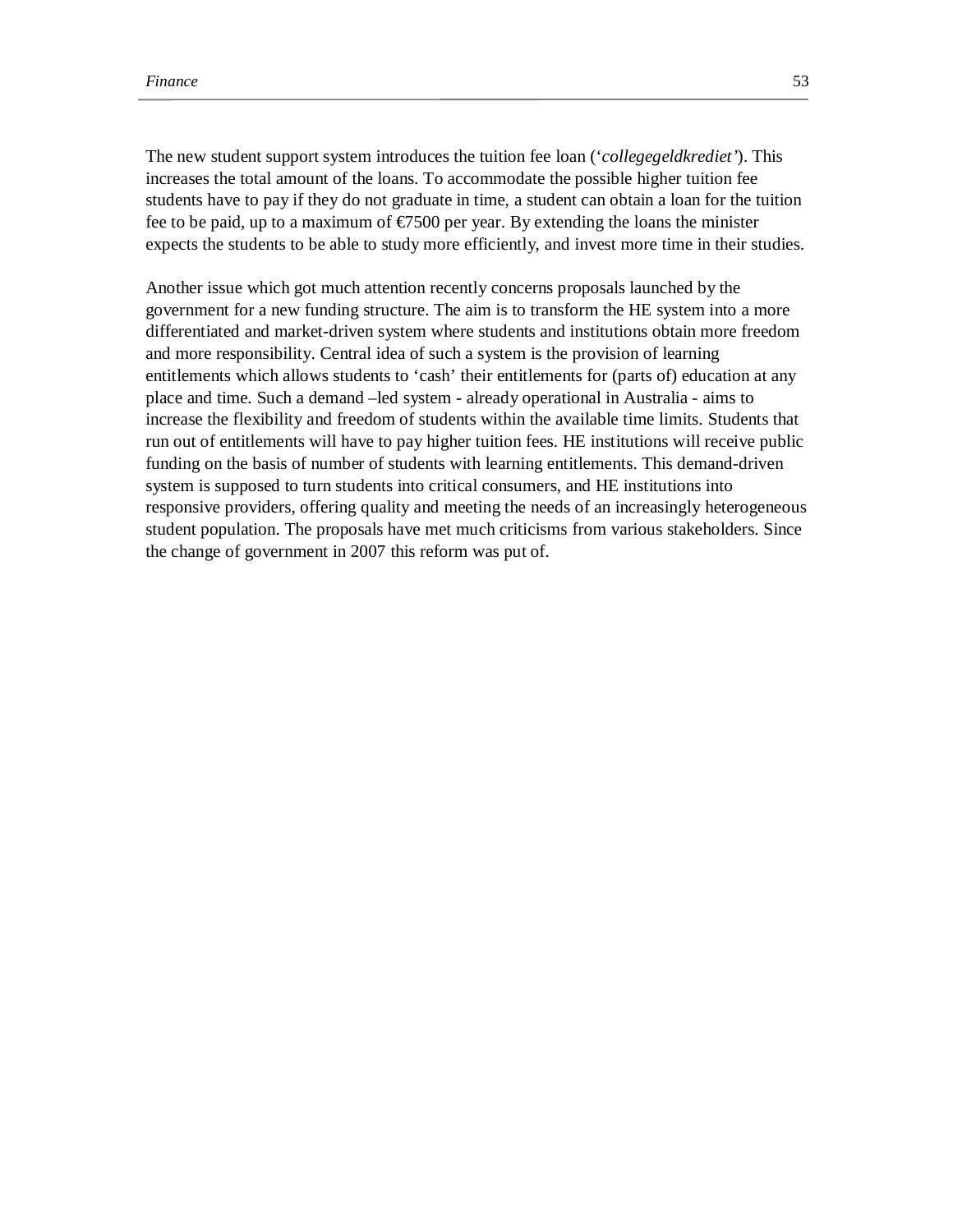The new student support system introduces the tuition fee loan ('*collegegeldkrediet'*). This increases the total amount of the loans. To accommodate the possible higher tuition fee students have to pay if they do not graduate in time, a student can obtain a loan for the tuition fee to be paid, up to a maximum of  $\epsilon$ 7500 per year. By extending the loans the minister expects the students to be able to study more efficiently, and invest more time in their studies.

Another issue which got much attention recently concerns proposals launched by the government for a new funding structure. The aim is to transform the HE system into a more differentiated and market-driven system where students and institutions obtain more freedom and more responsibility. Central idea of such a system is the provision of learning entitlements which allows students to 'cash' their entitlements for (parts of) education at any place and time. Such a demand –led system - already operational in Australia - aims to increase the flexibility and freedom of students within the available time limits. Students that run out of entitlements will have to pay higher tuition fees. HE institutions will receive public funding on the basis of number of students with learning entitlements. This demand-driven system is supposed to turn students into critical consumers, and HE institutions into responsive providers, offering quality and meeting the needs of an increasingly heterogeneous student population. The proposals have met much criticisms from various stakeholders. Since the change of government in 2007 this reform was put of.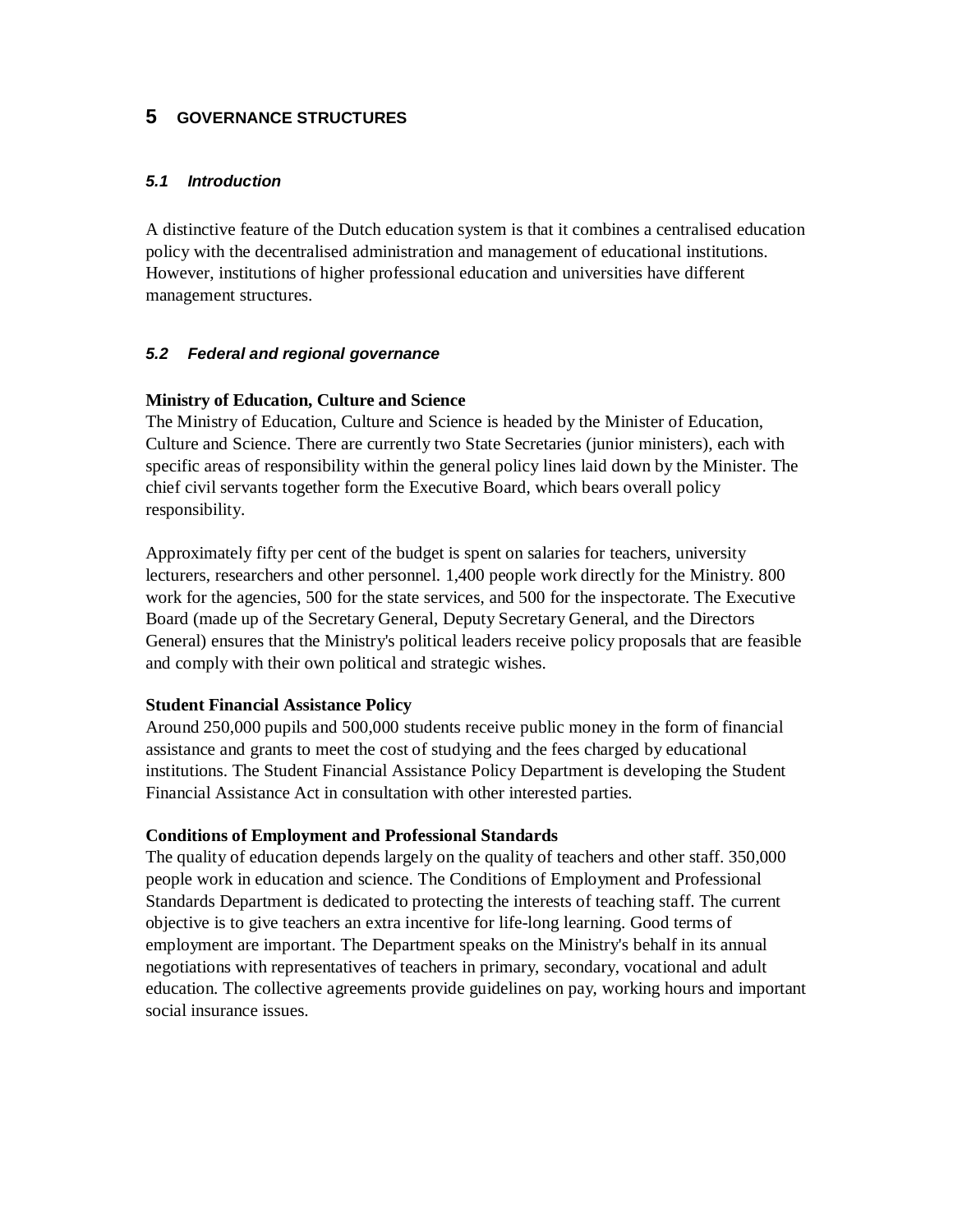# **5 GOVERNANCE STRUCTURES**

## *5.1 Introduction*

A distinctive feature of the Dutch education system is that it combines a centralised education policy with the decentralised administration and management of educational institutions. However, institutions of higher professional education and universities have different management structures.

# *5.2 Federal and regional governance*

## **Ministry of Education, Culture and Science**

The Ministry of Education, Culture and Science is headed by the Minister of Education, Culture and Science. There are currently two State Secretaries (junior ministers), each with specific areas of responsibility within the general policy lines laid down by the Minister. The chief civil servants together form the Executive Board, which bears overall policy responsibility.

Approximately fifty per cent of the budget is spent on salaries for teachers, university lecturers, researchers and other personnel. 1,400 people work directly for the Ministry. 800 work for the agencies, 500 for the state services, and 500 for the inspectorate. The Executive Board (made up of the Secretary General, Deputy Secretary General, and the Directors General) ensures that the Ministry's political leaders receive policy proposals that are feasible and comply with their own political and strategic wishes.

## **Student Financial Assistance Policy**

Around 250,000 pupils and 500,000 students receive public money in the form of financial assistance and grants to meet the cost of studying and the fees charged by educational institutions. The Student Financial Assistance Policy Department is developing the Student Financial Assistance Act in consultation with other interested parties.

## **Conditions of Employment and Professional Standards**

The quality of education depends largely on the quality of teachers and other staff. 350,000 people work in education and science. The Conditions of Employment and Professional Standards Department is dedicated to protecting the interests of teaching staff. The current objective is to give teachers an extra incentive for life-long learning. Good terms of employment are important. The Department speaks on the Ministry's behalf in its annual negotiations with representatives of teachers in primary, secondary, vocational and adult education. The collective agreements provide guidelines on pay, working hours and important social insurance issues.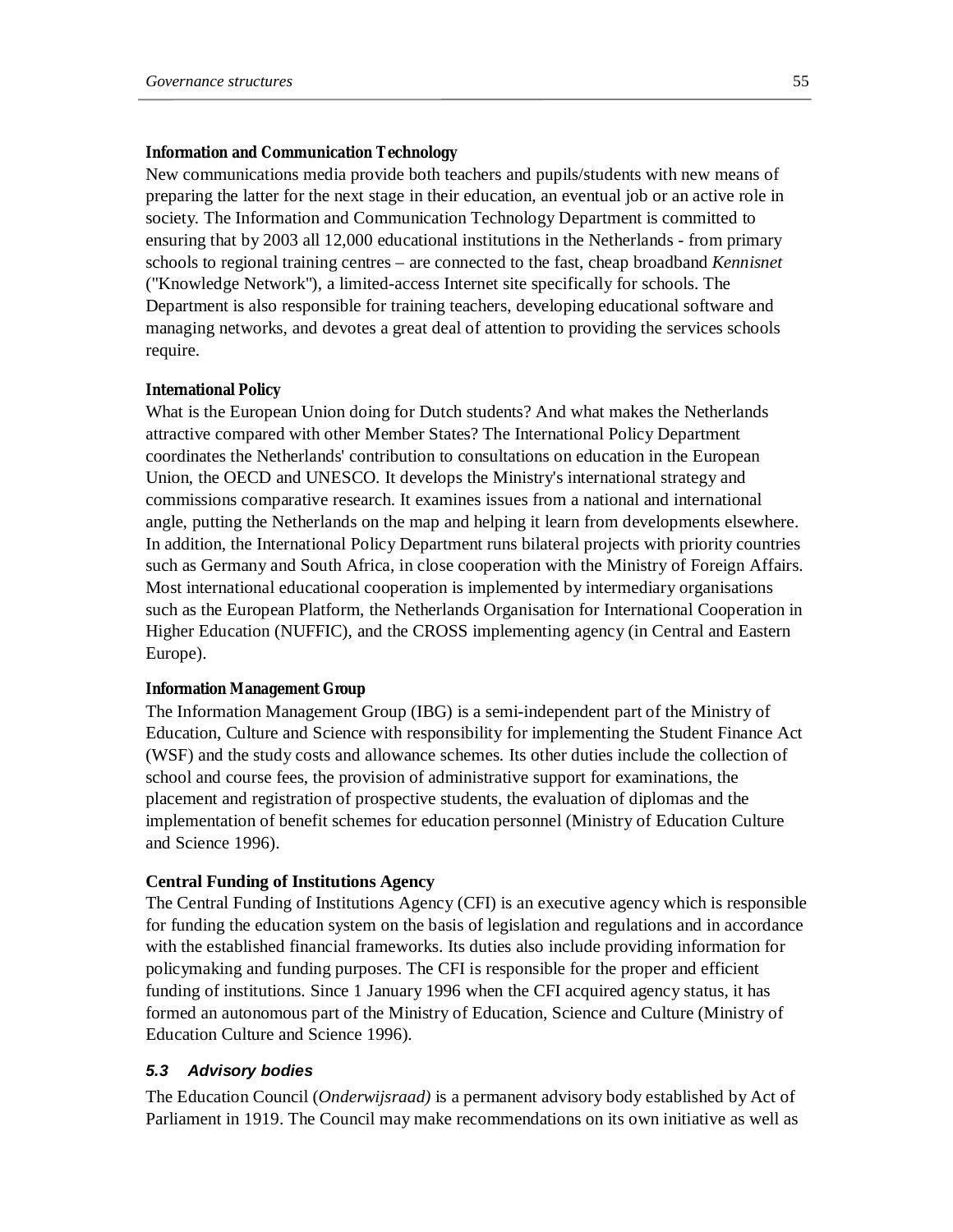### **Information and Communication Technology**

New communications media provide both teachers and pupils/students with new means of preparing the latter for the next stage in their education, an eventual job or an active role in society. The Information and Communication Technology Department is committed to ensuring that by 2003 all 12,000 educational institutions in the Netherlands - from primary schools to regional training centres – are connected to the fast, cheap broadband *Kennisnet* ("Knowledge Network"), a limited-access Internet site specifically for schools. The Department is also responsible for training teachers, developing educational software and managing networks, and devotes a great deal of attention to providing the services schools require.

#### **International Policy**

What is the European Union doing for Dutch students? And what makes the Netherlands attractive compared with other Member States? The International Policy Department coordinates the Netherlands' contribution to consultations on education in the European Union, the OECD and UNESCO. It develops the Ministry's international strategy and commissions comparative research. It examines issues from a national and international angle, putting the Netherlands on the map and helping it learn from developments elsewhere. In addition, the International Policy Department runs bilateral projects with priority countries such as Germany and South Africa, in close cooperation with the Ministry of Foreign Affairs. Most international educational cooperation is implemented by intermediary organisations such as the European Platform, the Netherlands Organisation for International Cooperation in Higher Education (NUFFIC), and the CROSS implementing agency (in Central and Eastern Europe).

#### **Information Management Group**

The Information Management Group (IBG) is a semi-independent part of the Ministry of Education, Culture and Science with responsibility for implementing the Student Finance Act (WSF) and the study costs and allowance schemes. Its other duties include the collection of school and course fees, the provision of administrative support for examinations, the placement and registration of prospective students, the evaluation of diplomas and the implementation of benefit schemes for education personnel (Ministry of Education Culture and Science 1996).

### **Central Funding of Institutions Agency**

The Central Funding of Institutions Agency (CFI) is an executive agency which is responsible for funding the education system on the basis of legislation and regulations and in accordance with the established financial frameworks. Its duties also include providing information for policymaking and funding purposes. The CFI is responsible for the proper and efficient funding of institutions. Since 1 January 1996 when the CFI acquired agency status, it has formed an autonomous part of the Ministry of Education, Science and Culture (Ministry of Education Culture and Science 1996).

### *5.3 Advisory bodies*

The Education Council (*Onderwijsraad)* is a permanent advisory body established by Act of Parliament in 1919. The Council may make recommendations on its own initiative as well as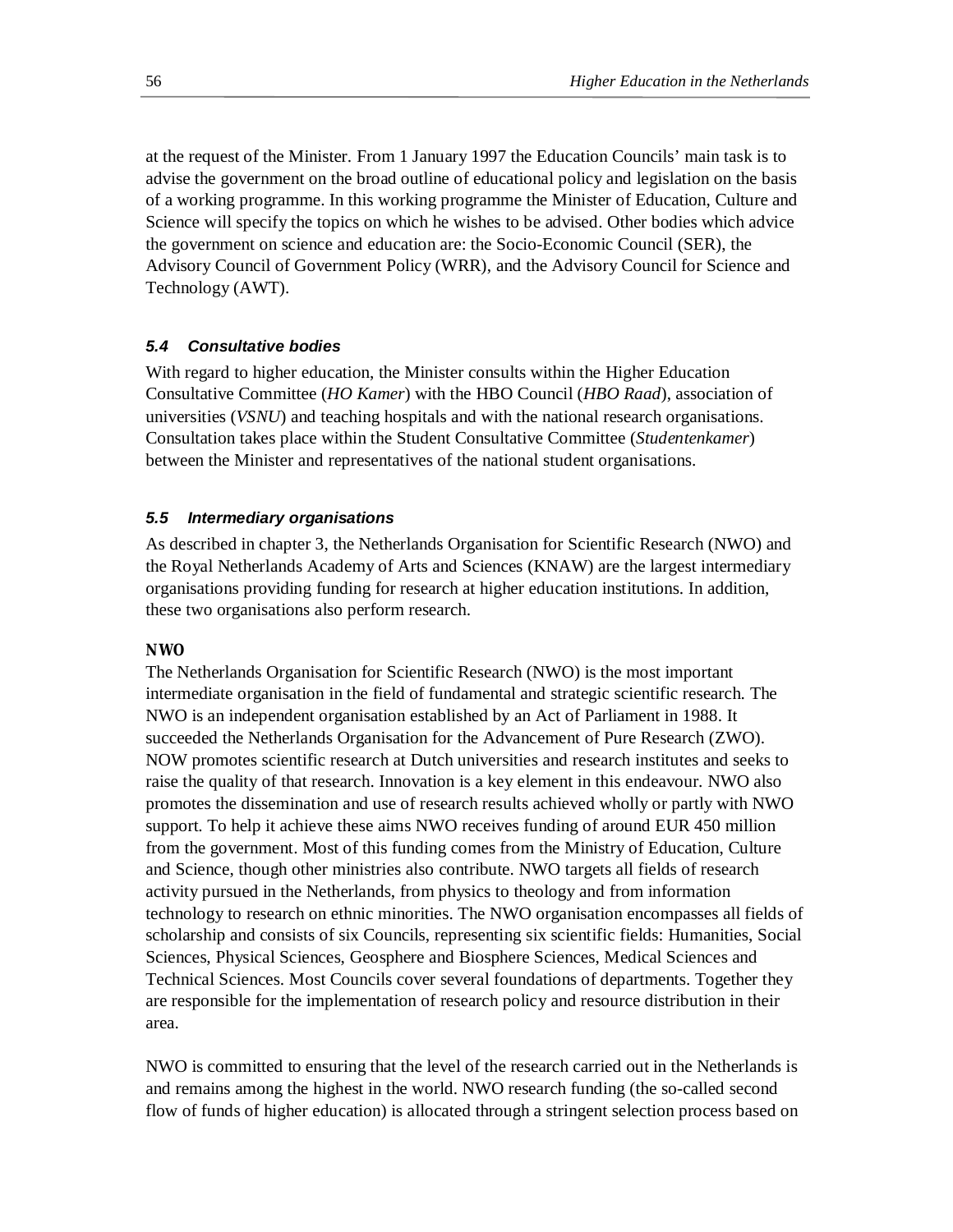at the request of the Minister. From 1 January 1997 the Education Councils' main task is to advise the government on the broad outline of educational policy and legislation on the basis of a working programme. In this working programme the Minister of Education, Culture and Science will specify the topics on which he wishes to be advised. Other bodies which advice the government on science and education are: the Socio-Economic Council (SER), the Advisory Council of Government Policy (WRR), and the Advisory Council for Science and Technology (AWT).

## *5.4 Consultative bodies*

With regard to higher education, the Minister consults within the Higher Education Consultative Committee (*HO Kamer*) with the HBO Council (*HBO Raad*), association of universities (*VSNU*) and teaching hospitals and with the national research organisations. Consultation takes place within the Student Consultative Committee (*Studentenkamer*) between the Minister and representatives of the national student organisations.

## *5.5 Intermediary organisations*

As described in chapter 3, the Netherlands Organisation for Scientific Research (NWO) and the Royal Netherlands Academy of Arts and Sciences (KNAW) are the largest intermediary organisations providing funding for research at higher education institutions. In addition, these two organisations also perform research.

## **NWO**

The Netherlands Organisation for Scientific Research (NWO) is the most important intermediate organisation in the field of fundamental and strategic scientific research. The NWO is an independent organisation established by an Act of Parliament in 1988. It succeeded the Netherlands Organisation for the Advancement of Pure Research (ZWO). NOW promotes scientific research at Dutch universities and research institutes and seeks to raise the quality of that research. Innovation is a key element in this endeavour. NWO also promotes the dissemination and use of research results achieved wholly or partly with NWO support. To help it achieve these aims NWO receives funding of around EUR 450 million from the government. Most of this funding comes from the Ministry of Education, Culture and Science, though other ministries also contribute. NWO targets all fields of research activity pursued in the Netherlands, from physics to theology and from information technology to research on ethnic minorities. The NWO organisation encompasses all fields of scholarship and consists of six Councils, representing six scientific fields: Humanities, Social Sciences, Physical Sciences, Geosphere and Biosphere Sciences, Medical Sciences and Technical Sciences. Most Councils cover several foundations of departments. Together they are responsible for the implementation of research policy and resource distribution in their area.

NWO is committed to ensuring that the level of the research carried out in the Netherlands is and remains among the highest in the world. NWO research funding (the so-called second flow of funds of higher education) is allocated through a stringent selection process based on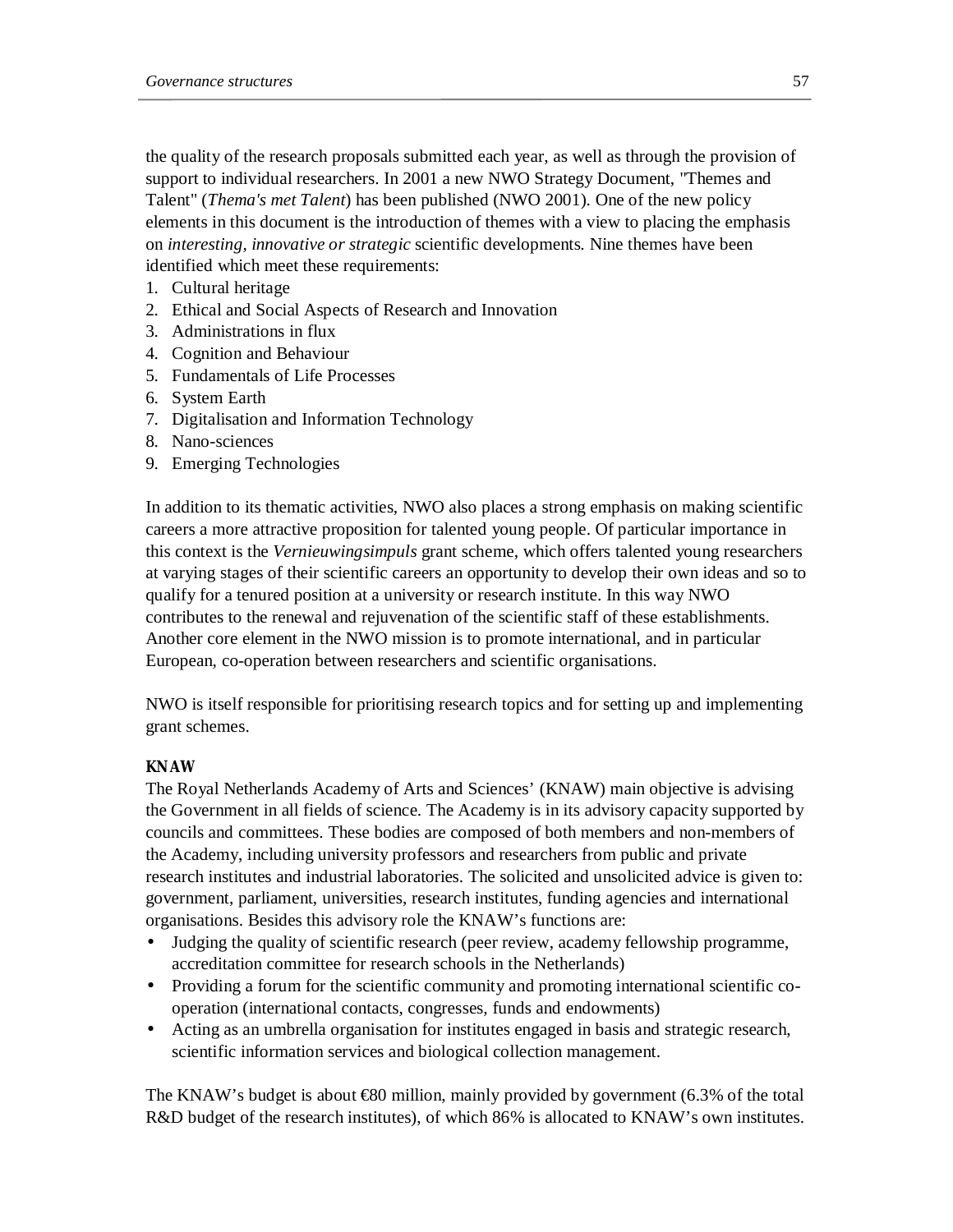the quality of the research proposals submitted each year, as well as through the provision of support to individual researchers. In 2001 a new NWO Strategy Document, "Themes and Talent" (*Thema's met Talent*) has been published (NWO 2001). One of the new policy elements in this document is the introduction of themes with a view to placing the emphasis on *interesting, innovative or strategic* scientific developments. Nine themes have been identified which meet these requirements:

- 1. Cultural heritage
- 2. Ethical and Social Aspects of Research and Innovation
- 3. Administrations in flux
- 4. Cognition and Behaviour
- 5. Fundamentals of Life Processes
- 6. System Earth
- 7. Digitalisation and Information Technology
- 8. Nano-sciences
- 9. Emerging Technologies

In addition to its thematic activities, NWO also places a strong emphasis on making scientific careers a more attractive proposition for talented young people. Of particular importance in this context is the *Vernieuwingsimpuls* grant scheme, which offers talented young researchers at varying stages of their scientific careers an opportunity to develop their own ideas and so to qualify for a tenured position at a university or research institute. In this way NWO contributes to the renewal and rejuvenation of the scientific staff of these establishments. Another core element in the NWO mission is to promote international, and in particular European, co-operation between researchers and scientific organisations.

NWO is itself responsible for prioritising research topics and for setting up and implementing grant schemes.

# **KNAW**

The Royal Netherlands Academy of Arts and Sciences' (KNAW) main objective is advising the Government in all fields of science. The Academy is in its advisory capacity supported by councils and committees. These bodies are composed of both members and non-members of the Academy, including university professors and researchers from public and private research institutes and industrial laboratories. The solicited and unsolicited advice is given to: government, parliament, universities, research institutes, funding agencies and international organisations. Besides this advisory role the KNAW's functions are:

- Judging the quality of scientific research (peer review, academy fellowship programme, accreditation committee for research schools in the Netherlands)
- Providing a forum for the scientific community and promoting international scientific cooperation (international contacts, congresses, funds and endowments)
- Acting as an umbrella organisation for institutes engaged in basis and strategic research, scientific information services and biological collection management.

The KNAW's budget is about  $680$  million, mainly provided by government (6.3% of the total R&D budget of the research institutes), of which 86% is allocated to KNAW's own institutes.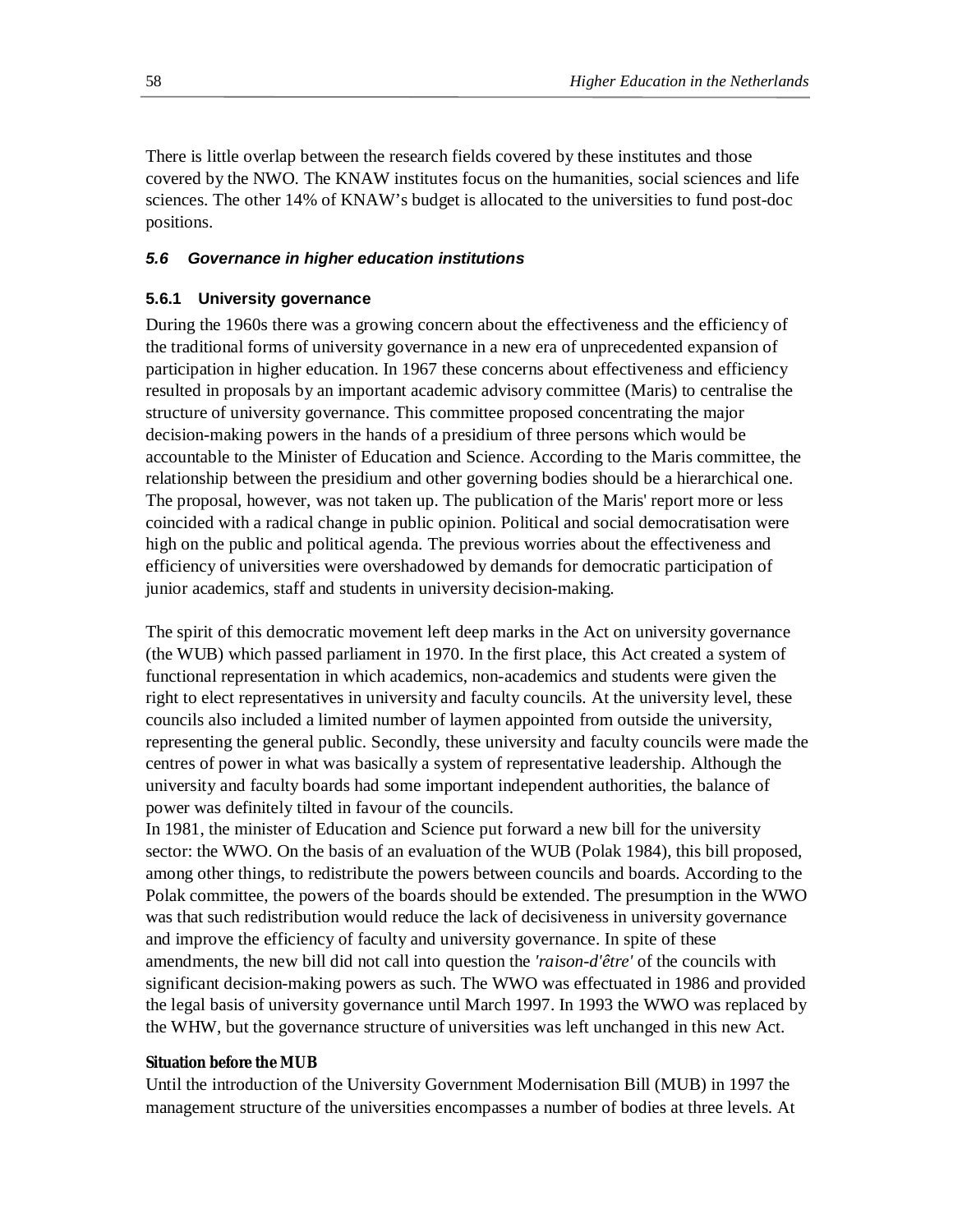There is little overlap between the research fields covered by these institutes and those covered by the NWO. The KNAW institutes focus on the humanities, social sciences and life sciences. The other 14% of KNAW's budget is allocated to the universities to fund post-doc positions.

### *5.6 Governance in higher education institutions*

### **5.6.1 University governance**

During the 1960s there was a growing concern about the effectiveness and the efficiency of the traditional forms of university governance in a new era of unprecedented expansion of participation in higher education. In 1967 these concerns about effectiveness and efficiency resulted in proposals by an important academic advisory committee (Maris) to centralise the structure of university governance. This committee proposed concentrating the major decision-making powers in the hands of a presidium of three persons which would be accountable to the Minister of Education and Science. According to the Maris committee, the relationship between the presidium and other governing bodies should be a hierarchical one. The proposal, however, was not taken up. The publication of the Maris' report more or less coincided with a radical change in public opinion. Political and social democratisation were high on the public and political agenda. The previous worries about the effectiveness and efficiency of universities were overshadowed by demands for democratic participation of junior academics, staff and students in university decision-making.

The spirit of this democratic movement left deep marks in the Act on university governance (the WUB) which passed parliament in 1970. In the first place, this Act created a system of functional representation in which academics, non-academics and students were given the right to elect representatives in university and faculty councils. At the university level, these councils also included a limited number of laymen appointed from outside the university, representing the general public. Secondly, these university and faculty councils were made the centres of power in what was basically a system of representative leadership. Although the university and faculty boards had some important independent authorities, the balance of power was definitely tilted in favour of the councils.

In 1981, the minister of Education and Science put forward a new bill for the university sector: the WWO. On the basis of an evaluation of the WUB (Polak 1984), this bill proposed, among other things, to redistribute the powers between councils and boards. According to the Polak committee, the powers of the boards should be extended. The presumption in the WWO was that such redistribution would reduce the lack of decisiveness in university governance and improve the efficiency of faculty and university governance. In spite of these amendments, the new bill did not call into question the *'raison-d'être'* of the councils with significant decision-making powers as such. The WWO was effectuated in 1986 and provided the legal basis of university governance until March 1997. In 1993 the WWO was replaced by the WHW, but the governance structure of universities was left unchanged in this new Act.

### **Situation before the MUB**

Until the introduction of the University Government Modernisation Bill (MUB) in 1997 the management structure of the universities encompasses a number of bodies at three levels. At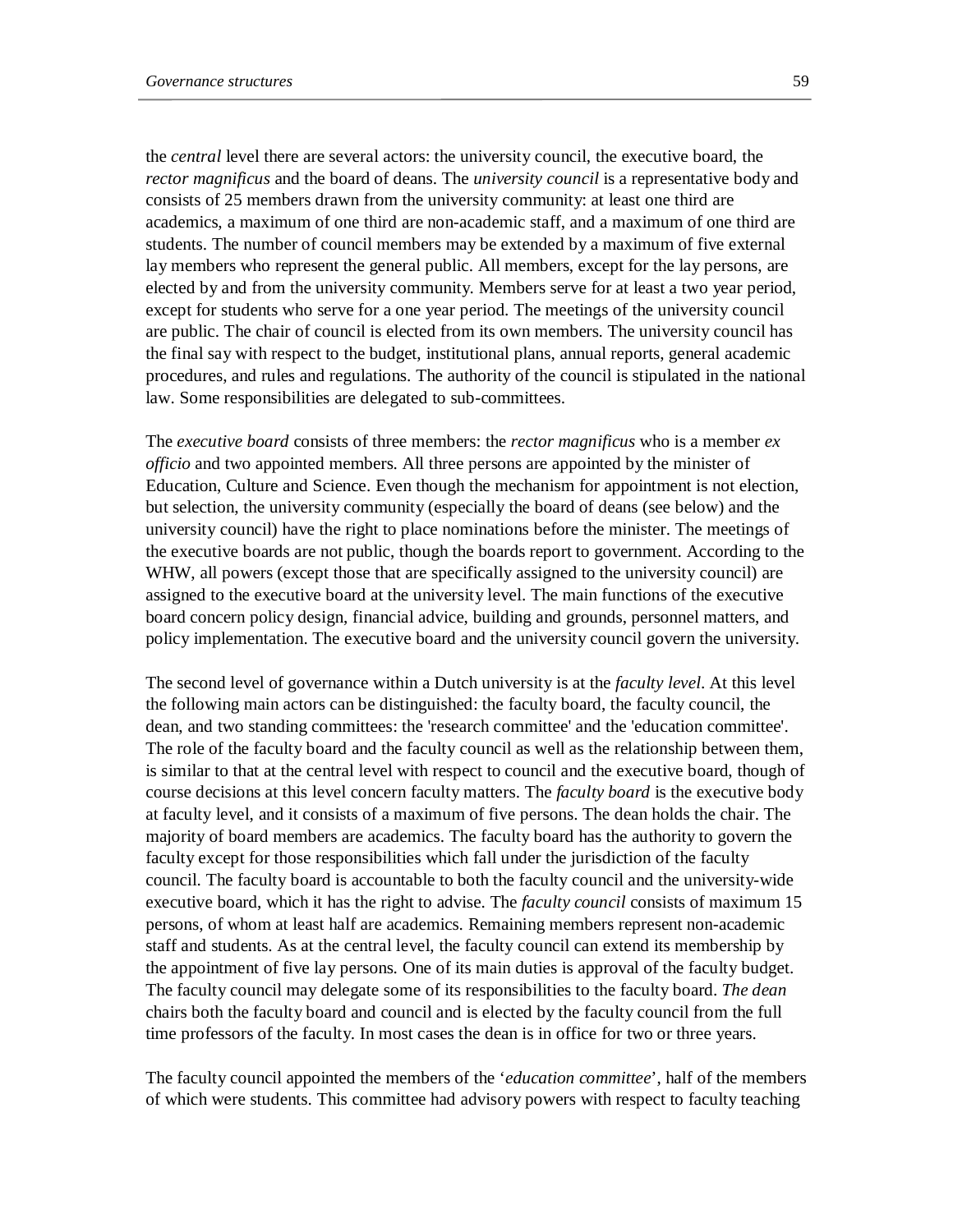the *central* level there are several actors: the university council, the executive board, the *rector magnificus* and the board of deans. The *university council* is a representative body and consists of 25 members drawn from the university community: at least one third are academics, a maximum of one third are non-academic staff, and a maximum of one third are students. The number of council members may be extended by a maximum of five external lay members who represent the general public. All members, except for the lay persons, are elected by and from the university community. Members serve for at least a two year period, except for students who serve for a one year period. The meetings of the university council are public. The chair of council is elected from its own members. The university council has the final say with respect to the budget, institutional plans, annual reports, general academic procedures, and rules and regulations. The authority of the council is stipulated in the national law. Some responsibilities are delegated to sub-committees.

The *executive board* consists of three members: the *rector magnificus* who is a member *ex officio* and two appointed members. All three persons are appointed by the minister of Education, Culture and Science. Even though the mechanism for appointment is not election, but selection, the university community (especially the board of deans (see below) and the university council) have the right to place nominations before the minister. The meetings of the executive boards are not public, though the boards report to government. According to the WHW, all powers (except those that are specifically assigned to the university council) are assigned to the executive board at the university level. The main functions of the executive board concern policy design, financial advice, building and grounds, personnel matters, and policy implementation. The executive board and the university council govern the university.

The second level of governance within a Dutch university is at the *faculty level*. At this level the following main actors can be distinguished: the faculty board, the faculty council, the dean, and two standing committees: the 'research committee' and the 'education committee'. The role of the faculty board and the faculty council as well as the relationship between them, is similar to that at the central level with respect to council and the executive board, though of course decisions at this level concern faculty matters. The *faculty board* is the executive body at faculty level, and it consists of a maximum of five persons. The dean holds the chair. The majority of board members are academics. The faculty board has the authority to govern the faculty except for those responsibilities which fall under the jurisdiction of the faculty council. The faculty board is accountable to both the faculty council and the university-wide executive board, which it has the right to advise. The *faculty council* consists of maximum 15 persons, of whom at least half are academics. Remaining members represent non-academic staff and students. As at the central level, the faculty council can extend its membership by the appointment of five lay persons. One of its main duties is approval of the faculty budget. The faculty council may delegate some of its responsibilities to the faculty board. *The dean* chairs both the faculty board and council and is elected by the faculty council from the full time professors of the faculty. In most cases the dean is in office for two or three years.

The faculty council appointed the members of the '*education committee*', half of the members of which were students. This committee had advisory powers with respect to faculty teaching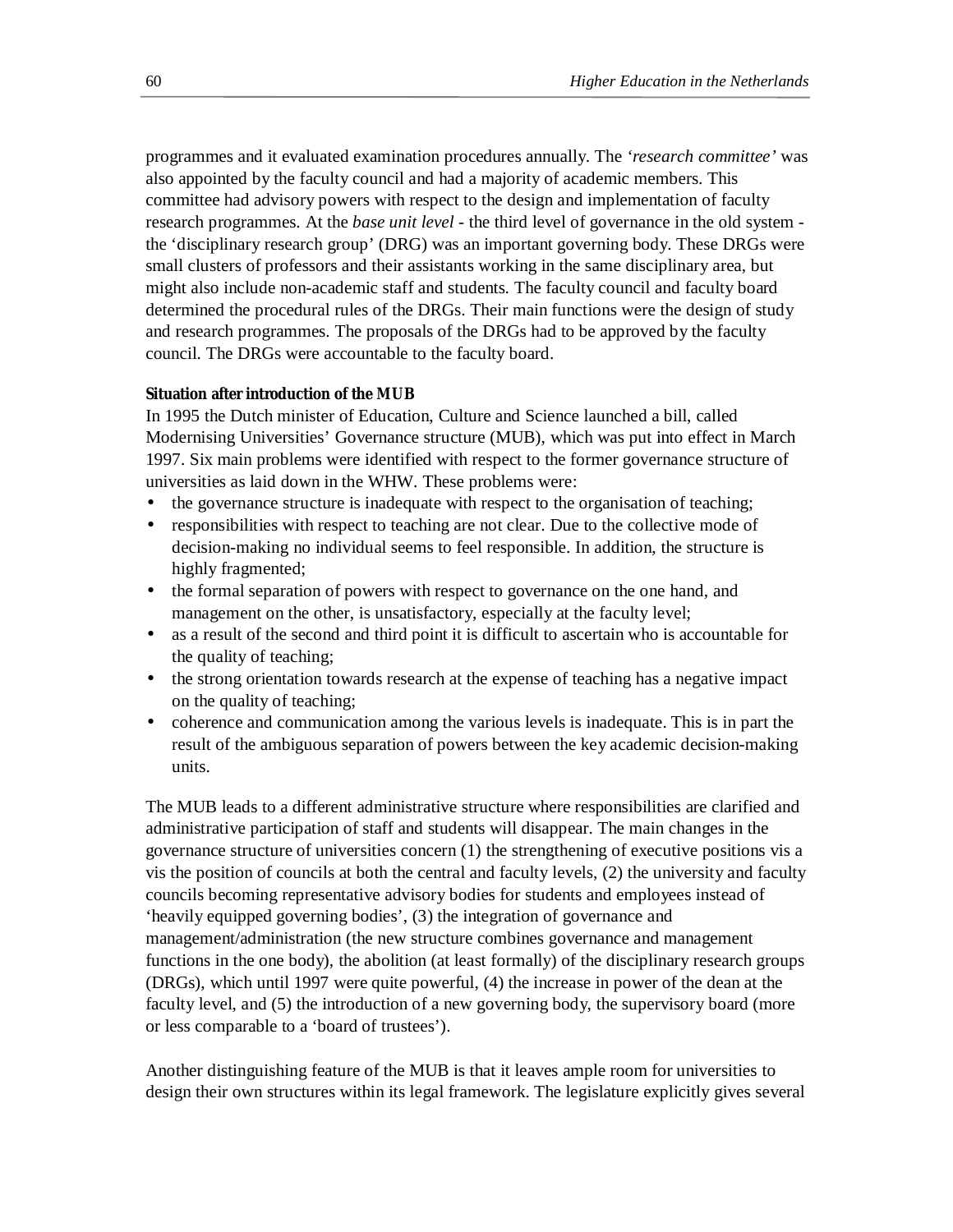programmes and it evaluated examination procedures annually. The *'research committee'* was also appointed by the faculty council and had a majority of academic members. This committee had advisory powers with respect to the design and implementation of faculty research programmes. At the *base unit level* - the third level of governance in the old system the 'disciplinary research group' (DRG) was an important governing body. These DRGs were small clusters of professors and their assistants working in the same disciplinary area, but might also include non-academic staff and students. The faculty council and faculty board determined the procedural rules of the DRGs. Their main functions were the design of study and research programmes. The proposals of the DRGs had to be approved by the faculty council. The DRGs were accountable to the faculty board.

### **Situation after introduction of the MUB**

In 1995 the Dutch minister of Education, Culture and Science launched a bill, called Modernising Universities' Governance structure (MUB), which was put into effect in March 1997. Six main problems were identified with respect to the former governance structure of universities as laid down in the WHW. These problems were:

- the governance structure is inadequate with respect to the organisation of teaching;
- responsibilities with respect to teaching are not clear. Due to the collective mode of decision-making no individual seems to feel responsible. In addition, the structure is highly fragmented;
- the formal separation of powers with respect to governance on the one hand, and management on the other, is unsatisfactory, especially at the faculty level;
- as a result of the second and third point it is difficult to ascertain who is accountable for the quality of teaching;
- the strong orientation towards research at the expense of teaching has a negative impact on the quality of teaching;
- coherence and communication among the various levels is inadequate. This is in part the result of the ambiguous separation of powers between the key academic decision-making units.

The MUB leads to a different administrative structure where responsibilities are clarified and administrative participation of staff and students will disappear. The main changes in the governance structure of universities concern (1) the strengthening of executive positions vis a vis the position of councils at both the central and faculty levels, (2) the university and faculty councils becoming representative advisory bodies for students and employees instead of 'heavily equipped governing bodies', (3) the integration of governance and management/administration (the new structure combines governance and management functions in the one body), the abolition (at least formally) of the disciplinary research groups (DRGs), which until 1997 were quite powerful, (4) the increase in power of the dean at the faculty level, and (5) the introduction of a new governing body, the supervisory board (more or less comparable to a 'board of trustees').

Another distinguishing feature of the MUB is that it leaves ample room for universities to design their own structures within its legal framework. The legislature explicitly gives several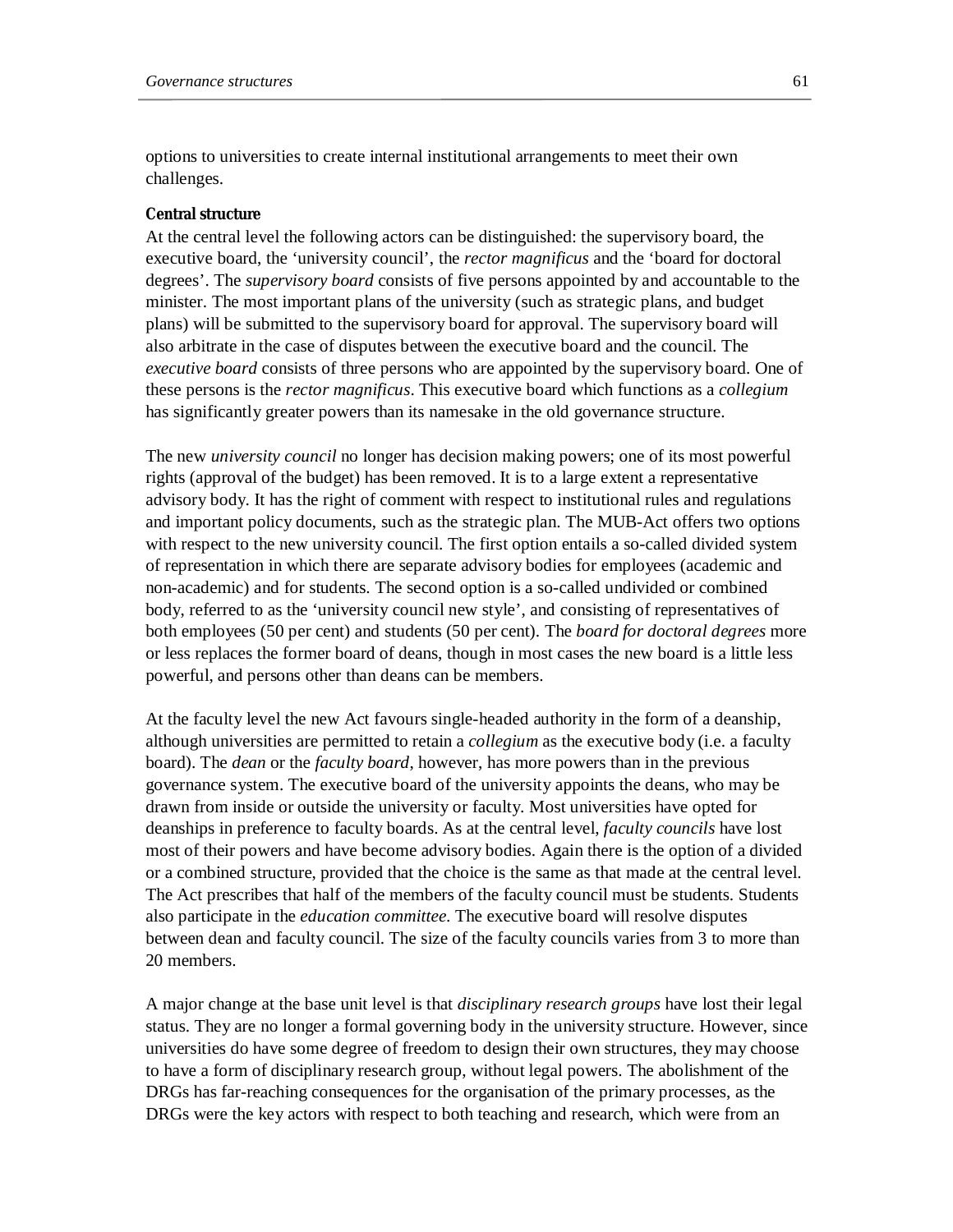options to universities to create internal institutional arrangements to meet their own challenges.

### **Central structure**

At the central level the following actors can be distinguished: the supervisory board, the executive board, the 'university council', the *rector magnificus* and the 'board for doctoral degrees'. The *supervisory board* consists of five persons appointed by and accountable to the minister. The most important plans of the university (such as strategic plans, and budget plans) will be submitted to the supervisory board for approval. The supervisory board will also arbitrate in the case of disputes between the executive board and the council. The *executive board* consists of three persons who are appointed by the supervisory board. One of these persons is the *rector magnificus*. This executive board which functions as a *collegium* has significantly greater powers than its namesake in the old governance structure.

The new *university council* no longer has decision making powers; one of its most powerful rights (approval of the budget) has been removed. It is to a large extent a representative advisory body. It has the right of comment with respect to institutional rules and regulations and important policy documents, such as the strategic plan. The MUB-Act offers two options with respect to the new university council. The first option entails a so-called divided system of representation in which there are separate advisory bodies for employees (academic and non-academic) and for students. The second option is a so-called undivided or combined body, referred to as the 'university council new style', and consisting of representatives of both employees (50 per cent) and students (50 per cent). The *board for doctoral degrees* more or less replaces the former board of deans, though in most cases the new board is a little less powerful, and persons other than deans can be members.

At the faculty level the new Act favours single-headed authority in the form of a deanship, although universities are permitted to retain a *collegium* as the executive body (i.e. a faculty board). The *dean* or the *faculty board*, however, has more powers than in the previous governance system. The executive board of the university appoints the deans, who may be drawn from inside or outside the university or faculty. Most universities have opted for deanships in preference to faculty boards. As at the central level, *faculty councils* have lost most of their powers and have become advisory bodies. Again there is the option of a divided or a combined structure, provided that the choice is the same as that made at the central level. The Act prescribes that half of the members of the faculty council must be students. Students also participate in the *education committee*. The executive board will resolve disputes between dean and faculty council. The size of the faculty councils varies from 3 to more than 20 members.

A major change at the base unit level is that *disciplinary research groups* have lost their legal status. They are no longer a formal governing body in the university structure. However, since universities do have some degree of freedom to design their own structures, they may choose to have a form of disciplinary research group, without legal powers. The abolishment of the DRGs has far-reaching consequences for the organisation of the primary processes, as the DRGs were the key actors with respect to both teaching and research, which were from an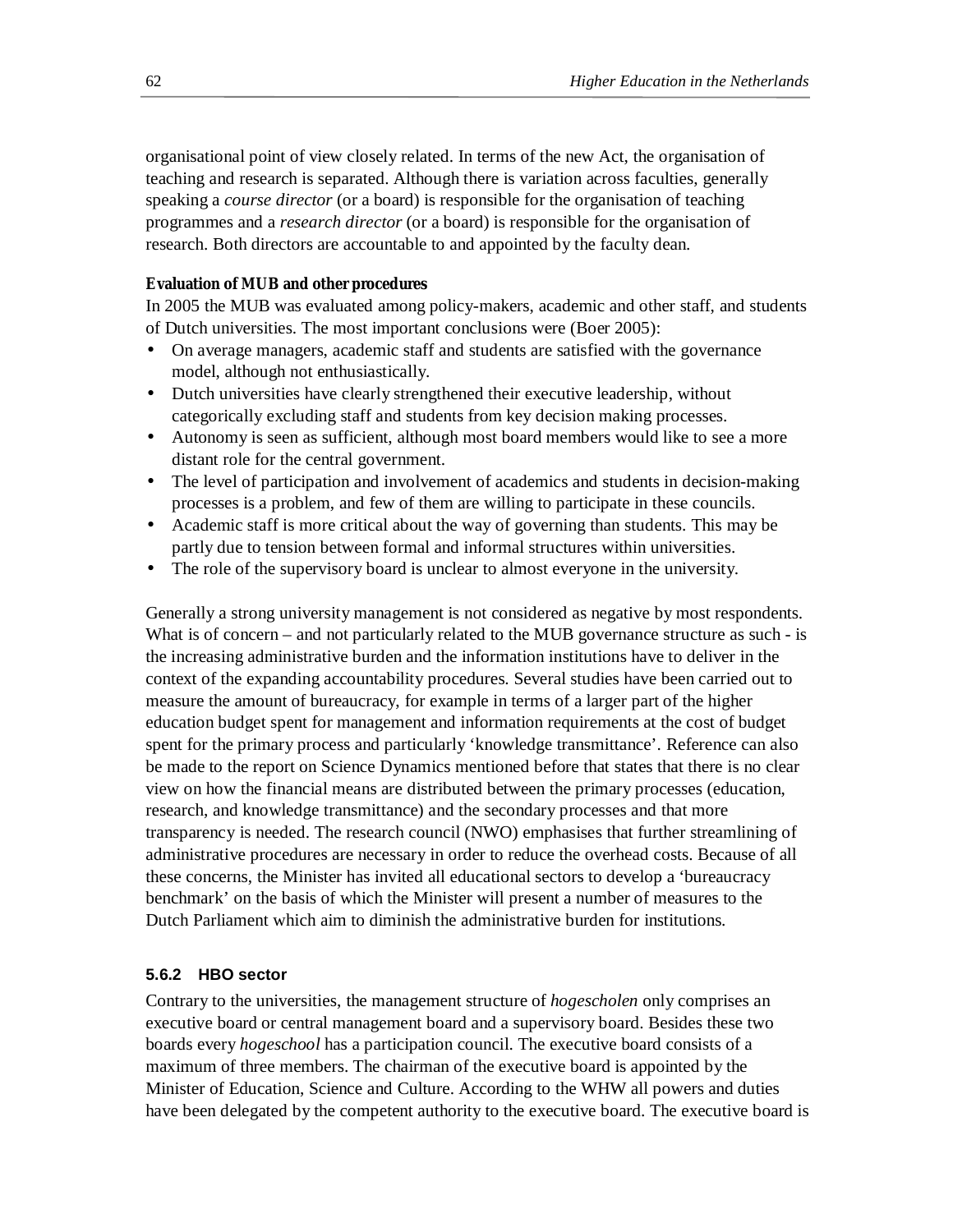organisational point of view closely related. In terms of the new Act, the organisation of teaching and research is separated. Although there is variation across faculties, generally speaking a *course director* (or a board) is responsible for the organisation of teaching programmes and a *research director* (or a board) is responsible for the organisation of research. Both directors are accountable to and appointed by the faculty dean.

### **Evaluation of MUB and other procedures**

In 2005 the MUB was evaluated among policy-makers, academic and other staff, and students of Dutch universities. The most important conclusions were (Boer 2005):

- On average managers, academic staff and students are satisfied with the governance model, although not enthusiastically.
- Dutch universities have clearly strengthened their executive leadership, without categorically excluding staff and students from key decision making processes.
- Autonomy is seen as sufficient, although most board members would like to see a more distant role for the central government.
- The level of participation and involvement of academics and students in decision-making processes is a problem, and few of them are willing to participate in these councils.
- Academic staff is more critical about the way of governing than students. This may be partly due to tension between formal and informal structures within universities.
- The role of the supervisory board is unclear to almost everyone in the university.

Generally a strong university management is not considered as negative by most respondents. What is of concern – and not particularly related to the MUB governance structure as such - is the increasing administrative burden and the information institutions have to deliver in the context of the expanding accountability procedures. Several studies have been carried out to measure the amount of bureaucracy, for example in terms of a larger part of the higher education budget spent for management and information requirements at the cost of budget spent for the primary process and particularly 'knowledge transmittance'. Reference can also be made to the report on Science Dynamics mentioned before that states that there is no clear view on how the financial means are distributed between the primary processes (education, research, and knowledge transmittance) and the secondary processes and that more transparency is needed. The research council (NWO) emphasises that further streamlining of administrative procedures are necessary in order to reduce the overhead costs. Because of all these concerns, the Minister has invited all educational sectors to develop a 'bureaucracy benchmark' on the basis of which the Minister will present a number of measures to the Dutch Parliament which aim to diminish the administrative burden for institutions.

### **5.6.2 HBO sector**

Contrary to the universities, the management structure of *hogescholen* only comprises an executive board or central management board and a supervisory board. Besides these two boards every *hogeschool* has a participation council. The executive board consists of a maximum of three members. The chairman of the executive board is appointed by the Minister of Education, Science and Culture. According to the WHW all powers and duties have been delegated by the competent authority to the executive board. The executive board is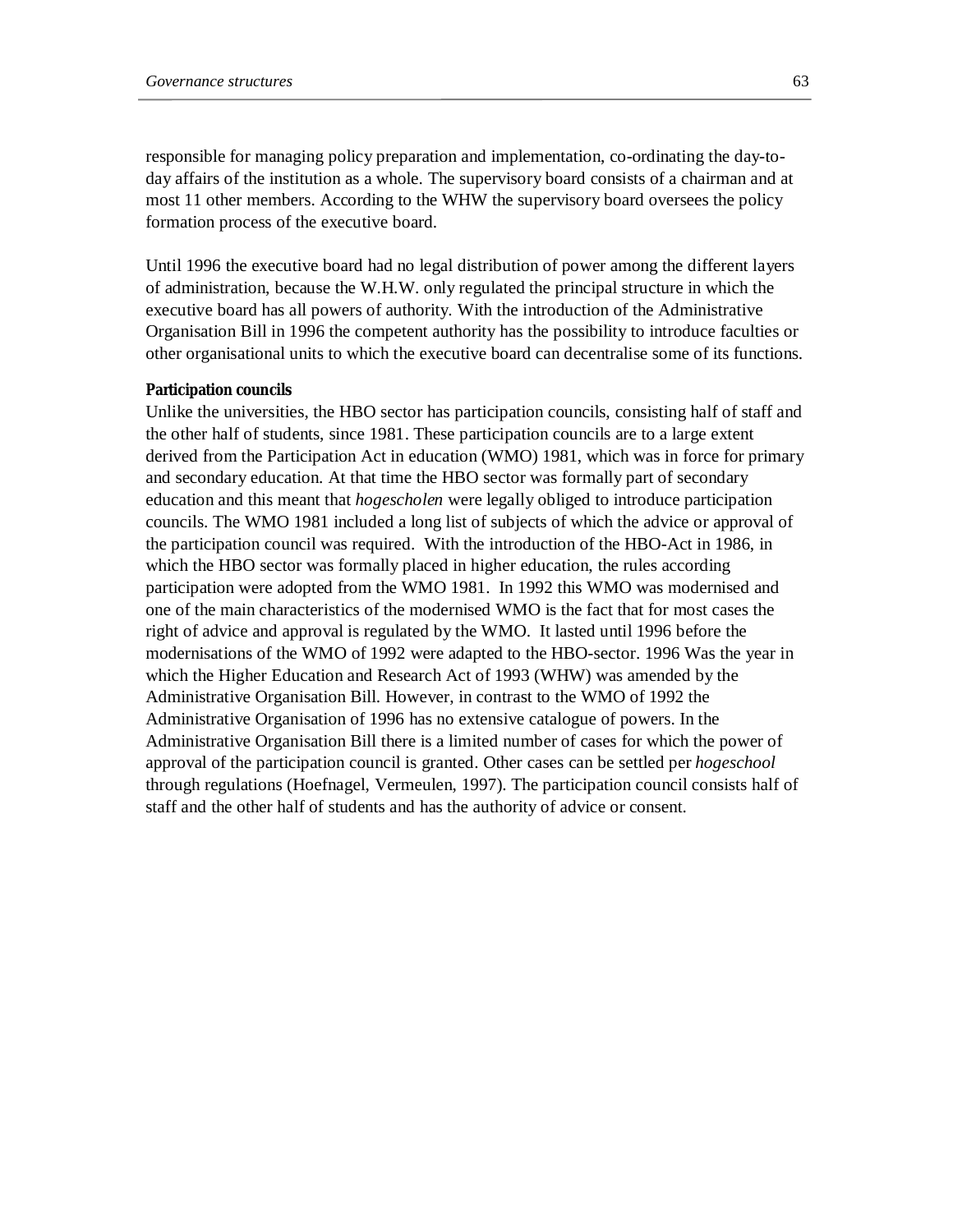responsible for managing policy preparation and implementation, co-ordinating the day-today affairs of the institution as a whole. The supervisory board consists of a chairman and at most 11 other members. According to the WHW the supervisory board oversees the policy formation process of the executive board.

Until 1996 the executive board had no legal distribution of power among the different layers of administration, because the W.H.W. only regulated the principal structure in which the executive board has all powers of authority. With the introduction of the Administrative Organisation Bill in 1996 the competent authority has the possibility to introduce faculties or other organisational units to which the executive board can decentralise some of its functions.

#### **Participation councils**

Unlike the universities, the HBO sector has participation councils, consisting half of staff and the other half of students, since 1981. These participation councils are to a large extent derived from the Participation Act in education (WMO) 1981, which was in force for primary and secondary education. At that time the HBO sector was formally part of secondary education and this meant that *hogescholen* were legally obliged to introduce participation councils. The WMO 1981 included a long list of subjects of which the advice or approval of the participation council was required. With the introduction of the HBO-Act in 1986, in which the HBO sector was formally placed in higher education, the rules according participation were adopted from the WMO 1981. In 1992 this WMO was modernised and one of the main characteristics of the modernised WMO is the fact that for most cases the right of advice and approval is regulated by the WMO. It lasted until 1996 before the modernisations of the WMO of 1992 were adapted to the HBO-sector. 1996 Was the year in which the Higher Education and Research Act of 1993 (WHW) was amended by the Administrative Organisation Bill. However, in contrast to the WMO of 1992 the Administrative Organisation of 1996 has no extensive catalogue of powers. In the Administrative Organisation Bill there is a limited number of cases for which the power of approval of the participation council is granted. Other cases can be settled per *hogeschool* through regulations (Hoefnagel, Vermeulen, 1997). The participation council consists half of staff and the other half of students and has the authority of advice or consent.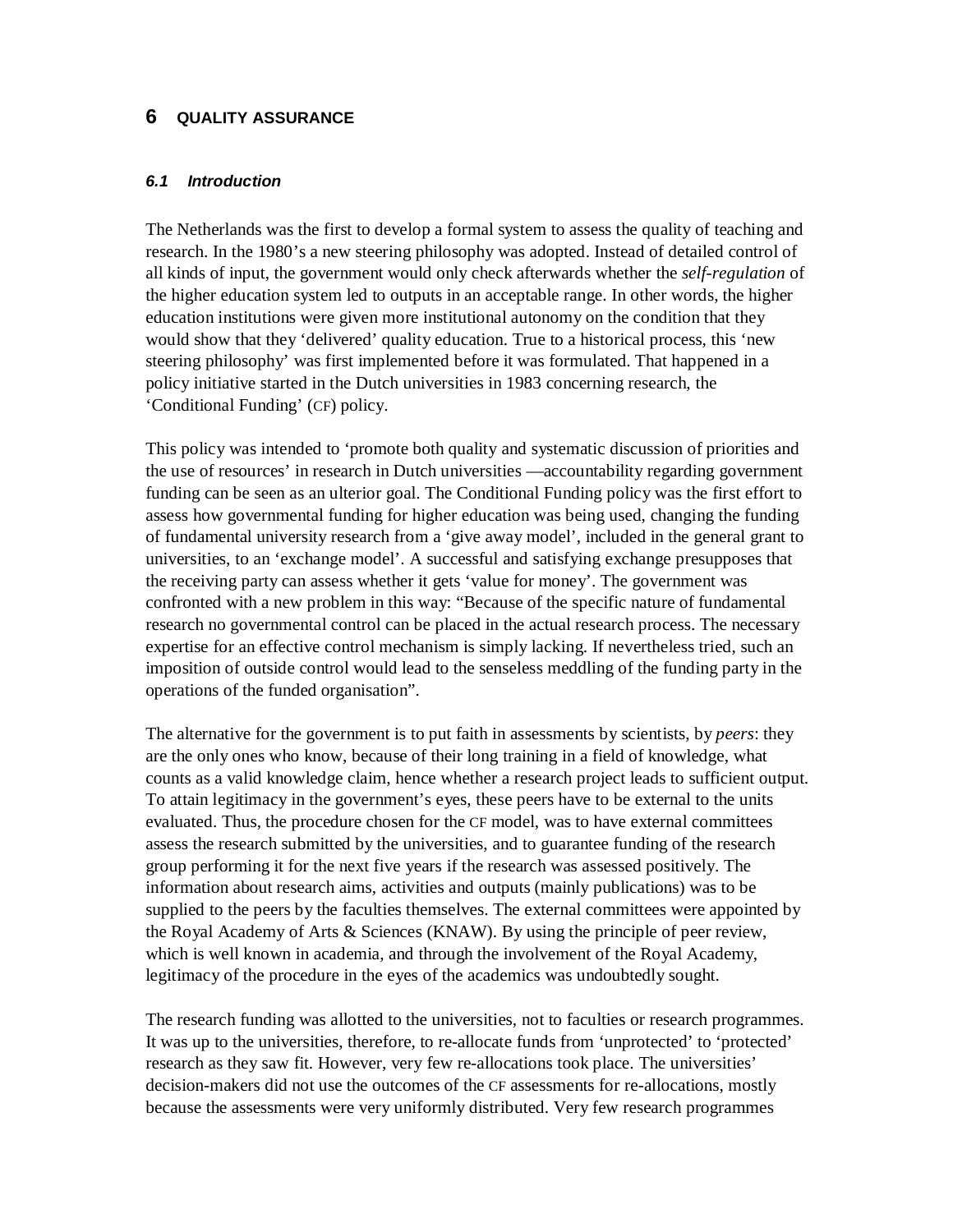## **6 QUALITY ASSURANCE**

### *6.1 Introduction*

The Netherlands was the first to develop a formal system to assess the quality of teaching and research. In the 1980's a new steering philosophy was adopted. Instead of detailed control of all kinds of input, the government would only check afterwards whether the *self-regulation* of the higher education system led to outputs in an acceptable range. In other words, the higher education institutions were given more institutional autonomy on the condition that they would show that they 'delivered' quality education. True to a historical process, this 'new steering philosophy' was first implemented before it was formulated. That happened in a policy initiative started in the Dutch universities in 1983 concerning research, the 'Conditional Funding' (CF) policy.

This policy was intended to 'promote both quality and systematic discussion of priorities and the use of resources' in research in Dutch universities —accountability regarding government funding can be seen as an ulterior goal. The Conditional Funding policy was the first effort to assess how governmental funding for higher education was being used, changing the funding of fundamental university research from a 'give away model', included in the general grant to universities, to an 'exchange model'. A successful and satisfying exchange presupposes that the receiving party can assess whether it gets 'value for money'. The government was confronted with a new problem in this way: "Because of the specific nature of fundamental research no governmental control can be placed in the actual research process. The necessary expertise for an effective control mechanism is simply lacking. If nevertheless tried, such an imposition of outside control would lead to the senseless meddling of the funding party in the operations of the funded organisation".

The alternative for the government is to put faith in assessments by scientists, by *peers*: they are the only ones who know, because of their long training in a field of knowledge, what counts as a valid knowledge claim, hence whether a research project leads to sufficient output. To attain legitimacy in the government's eyes, these peers have to be external to the units evaluated. Thus, the procedure chosen for the CF model, was to have external committees assess the research submitted by the universities, and to guarantee funding of the research group performing it for the next five years if the research was assessed positively. The information about research aims, activities and outputs (mainly publications) was to be supplied to the peers by the faculties themselves. The external committees were appointed by the Royal Academy of Arts & Sciences (KNAW). By using the principle of peer review, which is well known in academia, and through the involvement of the Royal Academy, legitimacy of the procedure in the eyes of the academics was undoubtedly sought.

The research funding was allotted to the universities, not to faculties or research programmes. It was up to the universities, therefore, to re-allocate funds from 'unprotected' to 'protected' research as they saw fit. However, very few re-allocations took place. The universities' decision-makers did not use the outcomes of the CF assessments for re-allocations, mostly because the assessments were very uniformly distributed. Very few research programmes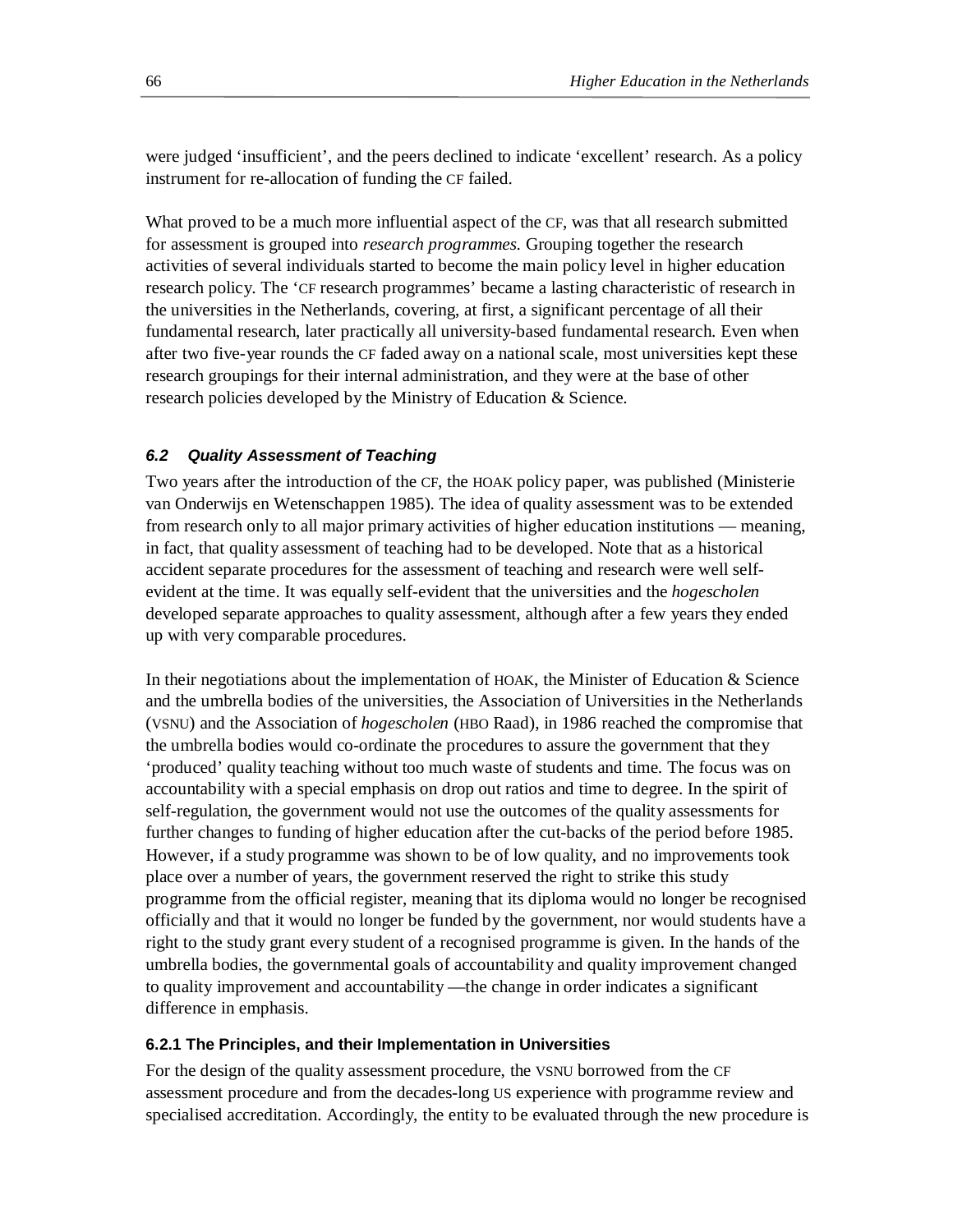were judged 'insufficient', and the peers declined to indicate 'excellent' research. As a policy instrument for re-allocation of funding the CF failed.

What proved to be a much more influential aspect of the CF, was that all research submitted for assessment is grouped into *research programmes*. Grouping together the research activities of several individuals started to become the main policy level in higher education research policy. The 'CF research programmes' became a lasting characteristic of research in the universities in the Netherlands, covering, at first, a significant percentage of all their fundamental research, later practically all university-based fundamental research. Even when after two five-year rounds the CF faded away on a national scale, most universities kept these research groupings for their internal administration, and they were at the base of other research policies developed by the Ministry of Education & Science.

## *6.2 Quality Assessment of Teaching*

Two years after the introduction of the CF, the HOAK policy paper, was published (Ministerie van Onderwijs en Wetenschappen 1985). The idea of quality assessment was to be extended from research only to all major primary activities of higher education institutions — meaning, in fact, that quality assessment of teaching had to be developed. Note that as a historical accident separate procedures for the assessment of teaching and research were well selfevident at the time. It was equally self-evident that the universities and the *hogescholen* developed separate approaches to quality assessment, although after a few years they ended up with very comparable procedures.

In their negotiations about the implementation of HOAK, the Minister of Education  $\&$  Science and the umbrella bodies of the universities, the Association of Universities in the Netherlands (VSNU) and the Association of *hogescholen* (HBO Raad), in 1986 reached the compromise that the umbrella bodies would co-ordinate the procedures to assure the government that they 'produced' quality teaching without too much waste of students and time. The focus was on accountability with a special emphasis on drop out ratios and time to degree. In the spirit of self-regulation, the government would not use the outcomes of the quality assessments for further changes to funding of higher education after the cut-backs of the period before 1985. However, if a study programme was shown to be of low quality, and no improvements took place over a number of years, the government reserved the right to strike this study programme from the official register, meaning that its diploma would no longer be recognised officially and that it would no longer be funded by the government, nor would students have a right to the study grant every student of a recognised programme is given. In the hands of the umbrella bodies, the governmental goals of accountability and quality improvement changed to quality improvement and accountability —the change in order indicates a significant difference in emphasis.

## **6.2.1 The Principles, and their Implementation in Universities**

For the design of the quality assessment procedure, the VSNU borrowed from the CF assessment procedure and from the decades-long US experience with programme review and specialised accreditation. Accordingly, the entity to be evaluated through the new procedure is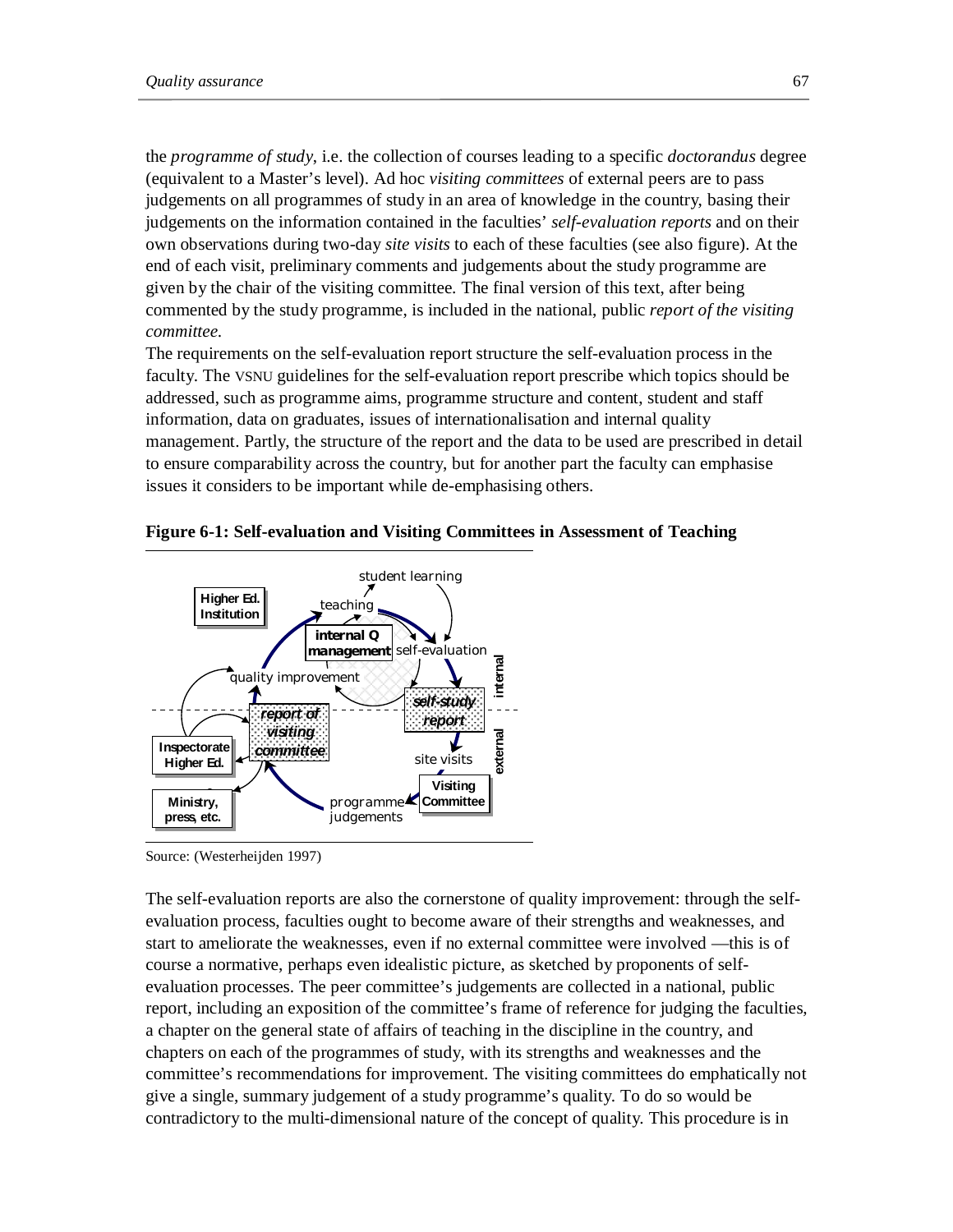the *programme of study*, i.e. the collection of courses leading to a specific *doctorandus* degree (equivalent to a Master's level). Ad hoc *visiting committees* of external peers are to pass judgements on all programmes of study in an area of knowledge in the country, basing their judgements on the information contained in the faculties' *self-evaluation reports* and on their own observations during two-day *site visits* to each of these faculties (see also figure). At the end of each visit, preliminary comments and judgements about the study programme are given by the chair of the visiting committee. The final version of this text, after being commented by the study programme, is included in the national, public *report of the visiting committee*.

The requirements on the self-evaluation report structure the self-evaluation process in the faculty. The VSNU guidelines for the self-evaluation report prescribe which topics should be addressed, such as programme aims, programme structure and content, student and staff information, data on graduates, issues of internationalisation and internal quality management. Partly, the structure of the report and the data to be used are prescribed in detail to ensure comparability across the country, but for another part the faculty can emphasise issues it considers to be important while de-emphasising others.



#### **Figure 6-1: Self-evaluation and Visiting Committees in Assessment of Teaching**

The self-evaluation reports are also the cornerstone of quality improvement: through the selfevaluation process, faculties ought to become aware of their strengths and weaknesses, and start to ameliorate the weaknesses, even if no external committee were involved —this is of course a normative, perhaps even idealistic picture, as sketched by proponents of selfevaluation processes. The peer committee's judgements are collected in a national, public report, including an exposition of the committee's frame of reference for judging the faculties, a chapter on the general state of affairs of teaching in the discipline in the country, and chapters on each of the programmes of study, with its strengths and weaknesses and the committee's recommendations for improvement. The visiting committees do emphatically not give a single, summary judgement of a study programme's quality. To do so would be contradictory to the multi-dimensional nature of the concept of quality. This procedure is in

Source: (Westerheijden 1997)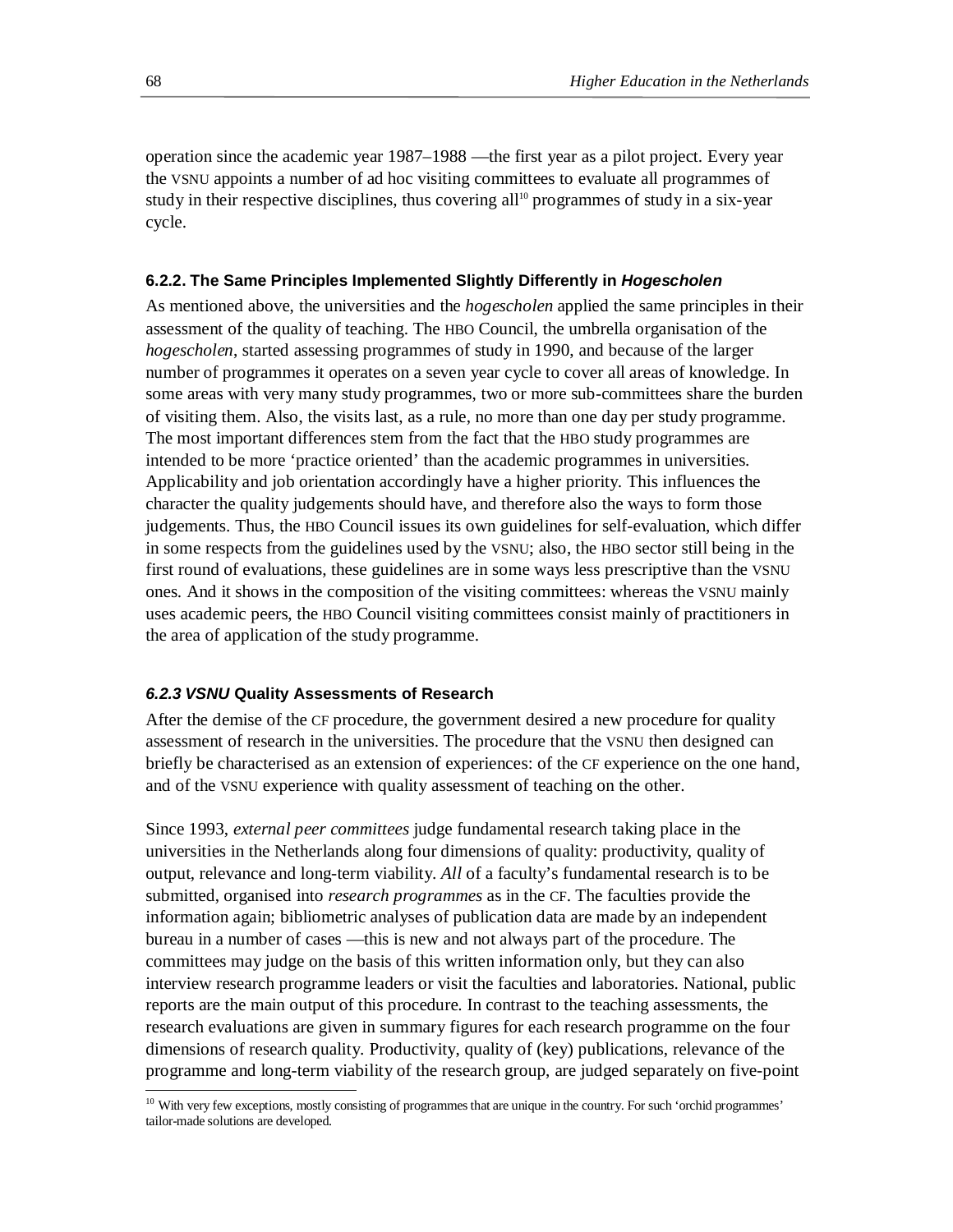operation since the academic year 1987–1988 —the first year as a pilot project. Every year the VSNU appoints a number of ad hoc visiting committees to evaluate all programmes of study in their respective disciplines, thus covering all<sup>10</sup> programmes of study in a six-year cycle.

### **6.2.2. The Same Principles Implemented Slightly Differently in** *Hogescholen*

As mentioned above, the universities and the *hogescholen* applied the same principles in their assessment of the quality of teaching. The HBO Council, the umbrella organisation of the *hogescholen*, started assessing programmes of study in 1990, and because of the larger number of programmes it operates on a seven year cycle to cover all areas of knowledge. In some areas with very many study programmes, two or more sub-committees share the burden of visiting them. Also, the visits last, as a rule, no more than one day per study programme. The most important differences stem from the fact that the HBO study programmes are intended to be more 'practice oriented' than the academic programmes in universities. Applicability and job orientation accordingly have a higher priority. This influences the character the quality judgements should have, and therefore also the ways to form those judgements. Thus, the HBO Council issues its own guidelines for self-evaluation, which differ in some respects from the guidelines used by the VSNU; also, the HBO sector still being in the first round of evaluations, these guidelines are in some ways less prescriptive than the VSNU ones. And it shows in the composition of the visiting committees: whereas the VSNU mainly uses academic peers, the HBO Council visiting committees consist mainly of practitioners in the area of application of the study programme.

### *6.2.3 VSNU* **Quality Assessments of Research**

After the demise of the CF procedure, the government desired a new procedure for quality assessment of research in the universities. The procedure that the VSNU then designed can briefly be characterised as an extension of experiences: of the CF experience on the one hand, and of the VSNU experience with quality assessment of teaching on the other.

Since 1993, *external peer committees* judge fundamental research taking place in the universities in the Netherlands along four dimensions of quality: productivity, quality of output, relevance and long-term viability. *All* of a faculty's fundamental research is to be submitted, organised into *research programmes* as in the CF. The faculties provide the information again; bibliometric analyses of publication data are made by an independent bureau in a number of cases —this is new and not always part of the procedure. The committees may judge on the basis of this written information only, but they can also interview research programme leaders or visit the faculties and laboratories. National, public reports are the main output of this procedure. In contrast to the teaching assessments, the research evaluations are given in summary figures for each research programme on the four dimensions of research quality. Productivity, quality of (key) publications, relevance of the programme and long-term viability of the research group, are judged separately on five-point

-

<sup>&</sup>lt;sup>10</sup> With very few exceptions, mostly consisting of programmes that are unique in the country. For such 'orchid programmes' tailor-made solutions are developed.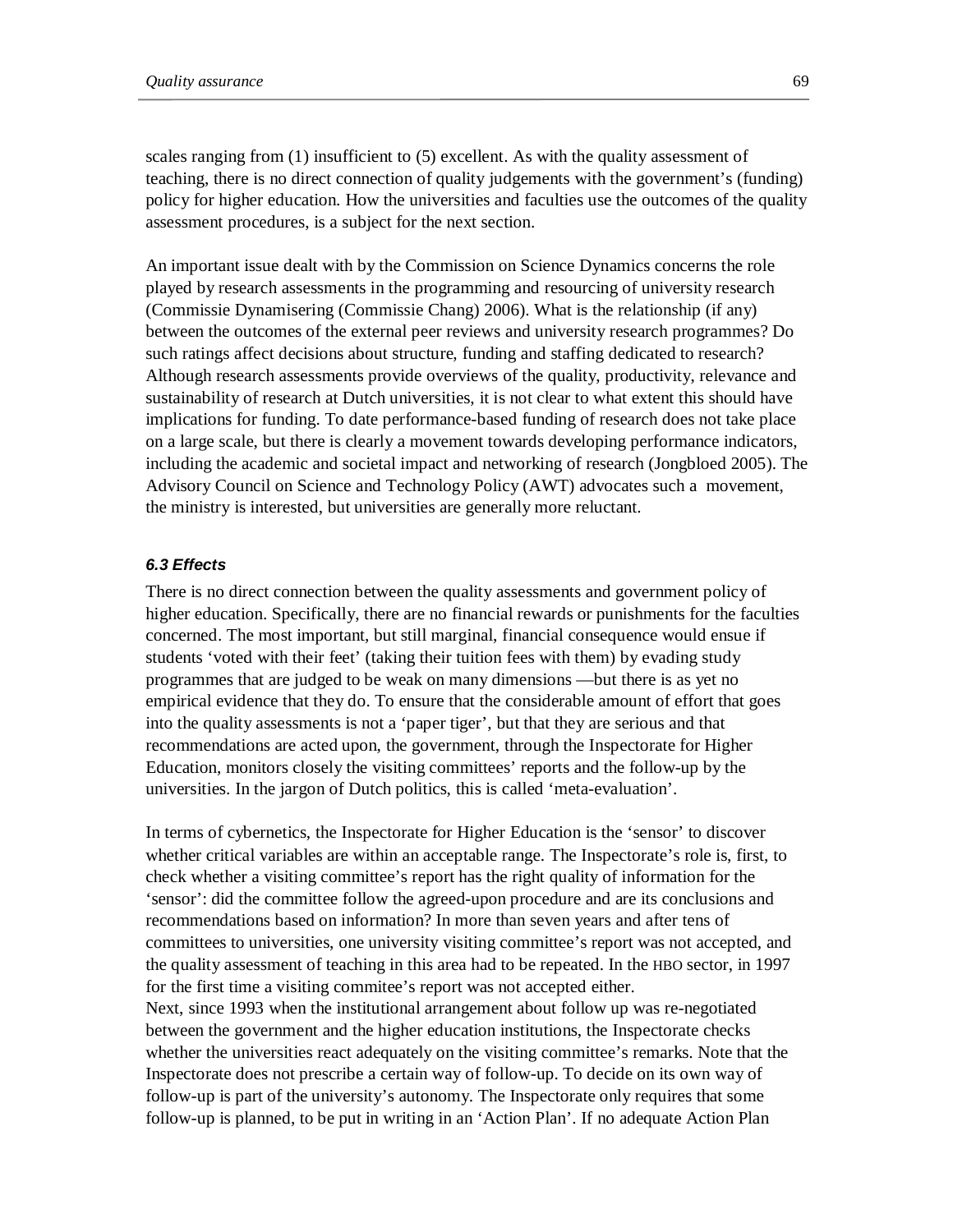scales ranging from (1) insufficient to (5) excellent. As with the quality assessment of teaching, there is no direct connection of quality judgements with the government's (funding) policy for higher education. How the universities and faculties use the outcomes of the quality assessment procedures, is a subject for the next section.

An important issue dealt with by the Commission on Science Dynamics concerns the role played by research assessments in the programming and resourcing of university research (Commissie Dynamisering (Commissie Chang) 2006). What is the relationship (if any) between the outcomes of the external peer reviews and university research programmes? Do such ratings affect decisions about structure, funding and staffing dedicated to research? Although research assessments provide overviews of the quality, productivity, relevance and sustainability of research at Dutch universities, it is not clear to what extent this should have implications for funding. To date performance-based funding of research does not take place on a large scale, but there is clearly a movement towards developing performance indicators, including the academic and societal impact and networking of research (Jongbloed 2005). The Advisory Council on Science and Technology Policy (AWT) advocates such a movement, the ministry is interested, but universities are generally more reluctant.

## *6.3 Effects*

There is no direct connection between the quality assessments and government policy of higher education. Specifically, there are no financial rewards or punishments for the faculties concerned. The most important, but still marginal, financial consequence would ensue if students 'voted with their feet' (taking their tuition fees with them) by evading study programmes that are judged to be weak on many dimensions —but there is as yet no empirical evidence that they do. To ensure that the considerable amount of effort that goes into the quality assessments is not a 'paper tiger', but that they are serious and that recommendations are acted upon, the government, through the Inspectorate for Higher Education, monitors closely the visiting committees' reports and the follow-up by the universities. In the jargon of Dutch politics, this is called 'meta-evaluation'.

In terms of cybernetics, the Inspectorate for Higher Education is the 'sensor' to discover whether critical variables are within an acceptable range. The Inspectorate's role is, first, to check whether a visiting committee's report has the right quality of information for the 'sensor': did the committee follow the agreed-upon procedure and are its conclusions and recommendations based on information? In more than seven years and after tens of committees to universities, one university visiting committee's report was not accepted, and the quality assessment of teaching in this area had to be repeated. In the HBO sector, in 1997 for the first time a visiting commitee's report was not accepted either. Next, since 1993 when the institutional arrangement about follow up was re-negotiated between the government and the higher education institutions, the Inspectorate checks whether the universities react adequately on the visiting committee's remarks. Note that the

Inspectorate does not prescribe a certain way of follow-up. To decide on its own way of follow-up is part of the university's autonomy. The Inspectorate only requires that some follow-up is planned, to be put in writing in an 'Action Plan'. If no adequate Action Plan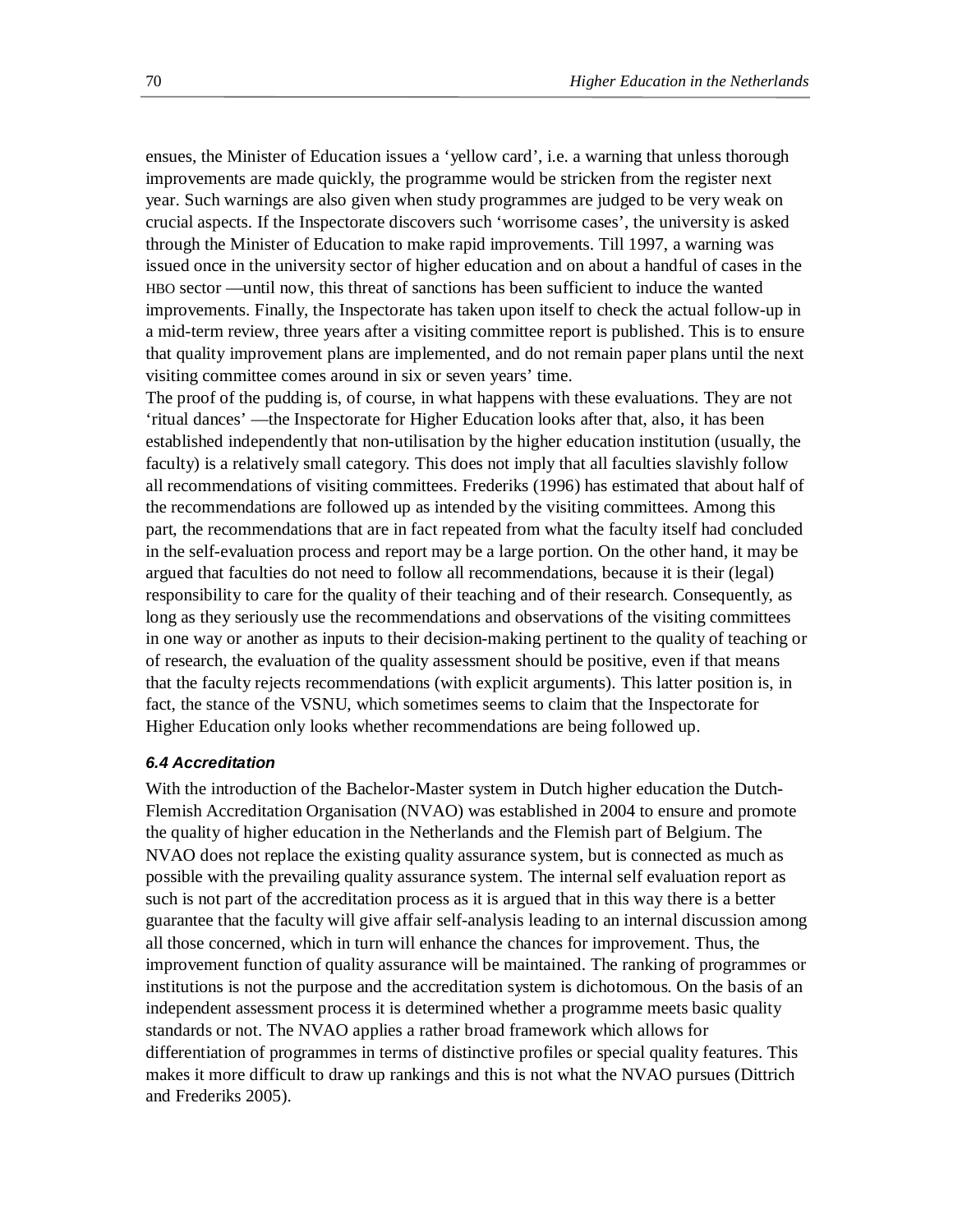ensues, the Minister of Education issues a 'yellow card', i.e. a warning that unless thorough improvements are made quickly, the programme would be stricken from the register next year. Such warnings are also given when study programmes are judged to be very weak on crucial aspects. If the Inspectorate discovers such 'worrisome cases', the university is asked through the Minister of Education to make rapid improvements. Till 1997, a warning was issued once in the university sector of higher education and on about a handful of cases in the HBO sector —until now, this threat of sanctions has been sufficient to induce the wanted improvements. Finally, the Inspectorate has taken upon itself to check the actual follow-up in a mid-term review, three years after a visiting committee report is published. This is to ensure that quality improvement plans are implemented, and do not remain paper plans until the next visiting committee comes around in six or seven years' time.

The proof of the pudding is, of course, in what happens with these evaluations. They are not 'ritual dances' —the Inspectorate for Higher Education looks after that, also, it has been established independently that non-utilisation by the higher education institution (usually, the faculty) is a relatively small category. This does not imply that all faculties slavishly follow all recommendations of visiting committees. Frederiks (1996) has estimated that about half of the recommendations are followed up as intended by the visiting committees. Among this part, the recommendations that are in fact repeated from what the faculty itself had concluded in the self-evaluation process and report may be a large portion. On the other hand, it may be argued that faculties do not need to follow all recommendations, because it is their (legal) responsibility to care for the quality of their teaching and of their research. Consequently, as long as they seriously use the recommendations and observations of the visiting committees in one way or another as inputs to their decision-making pertinent to the quality of teaching or of research, the evaluation of the quality assessment should be positive, even if that means that the faculty rejects recommendations (with explicit arguments). This latter position is, in fact, the stance of the VSNU, which sometimes seems to claim that the Inspectorate for Higher Education only looks whether recommendations are being followed up.

### *6.4 Accreditation*

With the introduction of the Bachelor-Master system in Dutch higher education the Dutch-Flemish Accreditation Organisation (NVAO) was established in 2004 to ensure and promote the quality of higher education in the Netherlands and the Flemish part of Belgium. The NVAO does not replace the existing quality assurance system, but is connected as much as possible with the prevailing quality assurance system. The internal self evaluation report as such is not part of the accreditation process as it is argued that in this way there is a better guarantee that the faculty will give affair self-analysis leading to an internal discussion among all those concerned, which in turn will enhance the chances for improvement. Thus, the improvement function of quality assurance will be maintained. The ranking of programmes or institutions is not the purpose and the accreditation system is dichotomous. On the basis of an independent assessment process it is determined whether a programme meets basic quality standards or not. The NVAO applies a rather broad framework which allows for differentiation of programmes in terms of distinctive profiles or special quality features. This makes it more difficult to draw up rankings and this is not what the NVAO pursues (Dittrich and Frederiks 2005).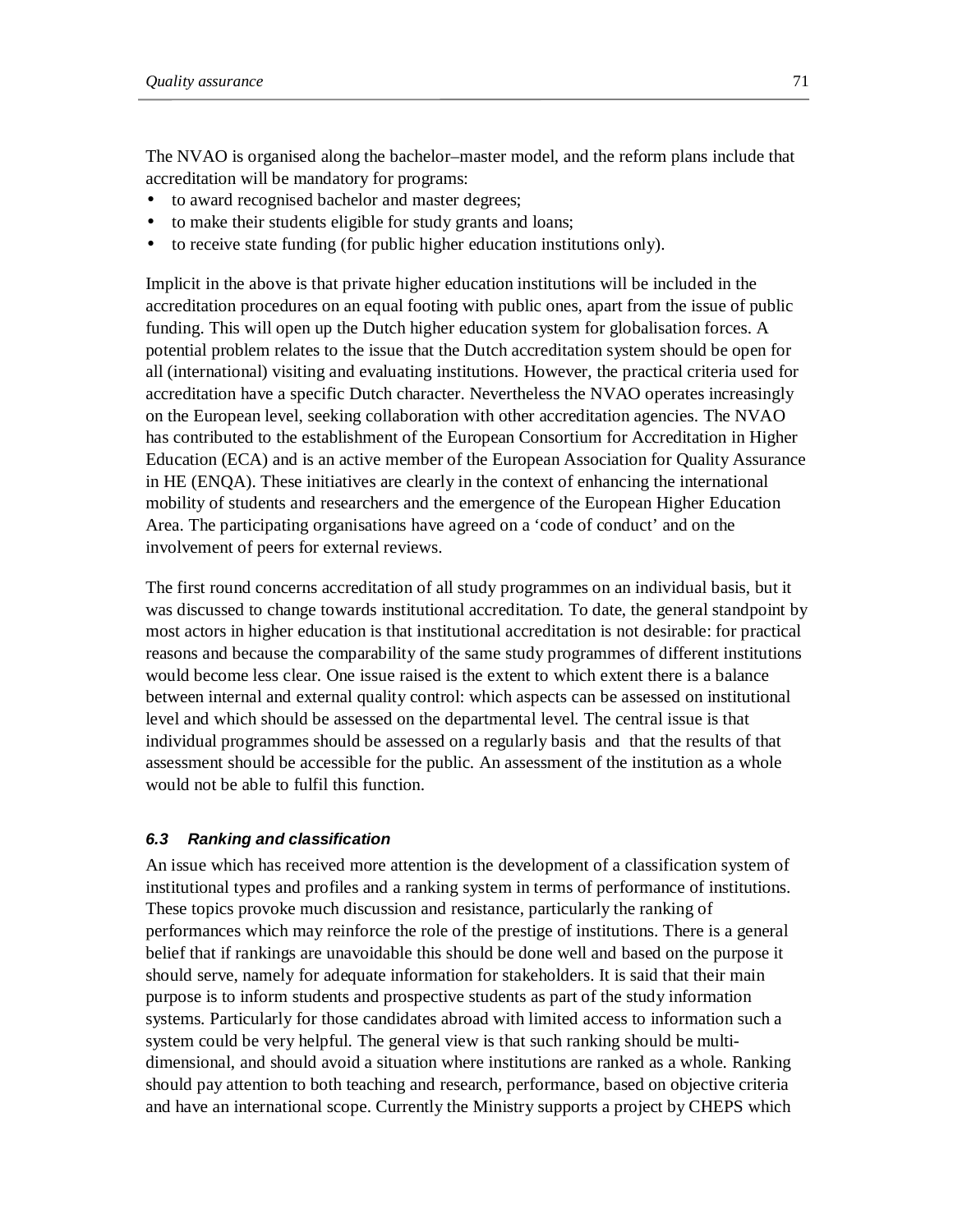The NVAO is organised along the bachelor–master model, and the reform plans include that accreditation will be mandatory for programs:

- to award recognised bachelor and master degrees;
- to make their students eligible for study grants and loans;
- to receive state funding (for public higher education institutions only).

Implicit in the above is that private higher education institutions will be included in the accreditation procedures on an equal footing with public ones, apart from the issue of public funding. This will open up the Dutch higher education system for globalisation forces. A potential problem relates to the issue that the Dutch accreditation system should be open for all (international) visiting and evaluating institutions. However, the practical criteria used for accreditation have a specific Dutch character. Nevertheless the NVAO operates increasingly on the European level, seeking collaboration with other accreditation agencies. The NVAO has contributed to the establishment of the European Consortium for Accreditation in Higher Education (ECA) and is an active member of the European Association for Quality Assurance in HE (ENQA). These initiatives are clearly in the context of enhancing the international mobility of students and researchers and the emergence of the European Higher Education Area. The participating organisations have agreed on a 'code of conduct' and on the involvement of peers for external reviews.

The first round concerns accreditation of all study programmes on an individual basis, but it was discussed to change towards institutional accreditation. To date, the general standpoint by most actors in higher education is that institutional accreditation is not desirable: for practical reasons and because the comparability of the same study programmes of different institutions would become less clear. One issue raised is the extent to which extent there is a balance between internal and external quality control: which aspects can be assessed on institutional level and which should be assessed on the departmental level. The central issue is that individual programmes should be assessed on a regularly basis and that the results of that assessment should be accessible for the public. An assessment of the institution as a whole would not be able to fulfil this function.

# *6.3 Ranking and classification*

An issue which has received more attention is the development of a classification system of institutional types and profiles and a ranking system in terms of performance of institutions. These topics provoke much discussion and resistance, particularly the ranking of performances which may reinforce the role of the prestige of institutions. There is a general belief that if rankings are unavoidable this should be done well and based on the purpose it should serve, namely for adequate information for stakeholders. It is said that their main purpose is to inform students and prospective students as part of the study information systems. Particularly for those candidates abroad with limited access to information such a system could be very helpful. The general view is that such ranking should be multidimensional, and should avoid a situation where institutions are ranked as a whole. Ranking should pay attention to both teaching and research, performance, based on objective criteria and have an international scope. Currently the Ministry supports a project by CHEPS which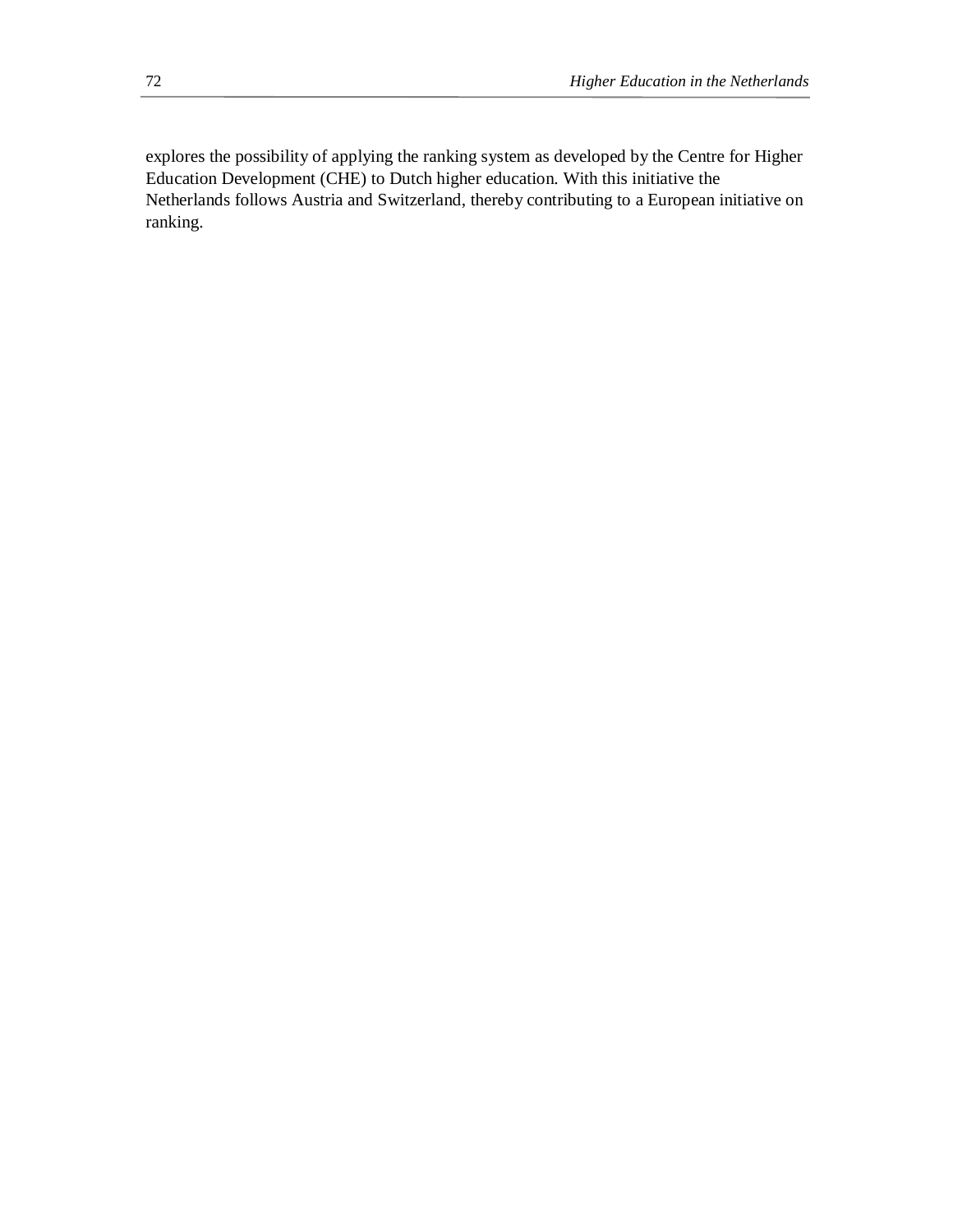explores the possibility of applying the ranking system as developed by the Centre for Higher Education Development (CHE) to Dutch higher education. With this initiative the Netherlands follows Austria and Switzerland, thereby contributing to a European initiative on ranking.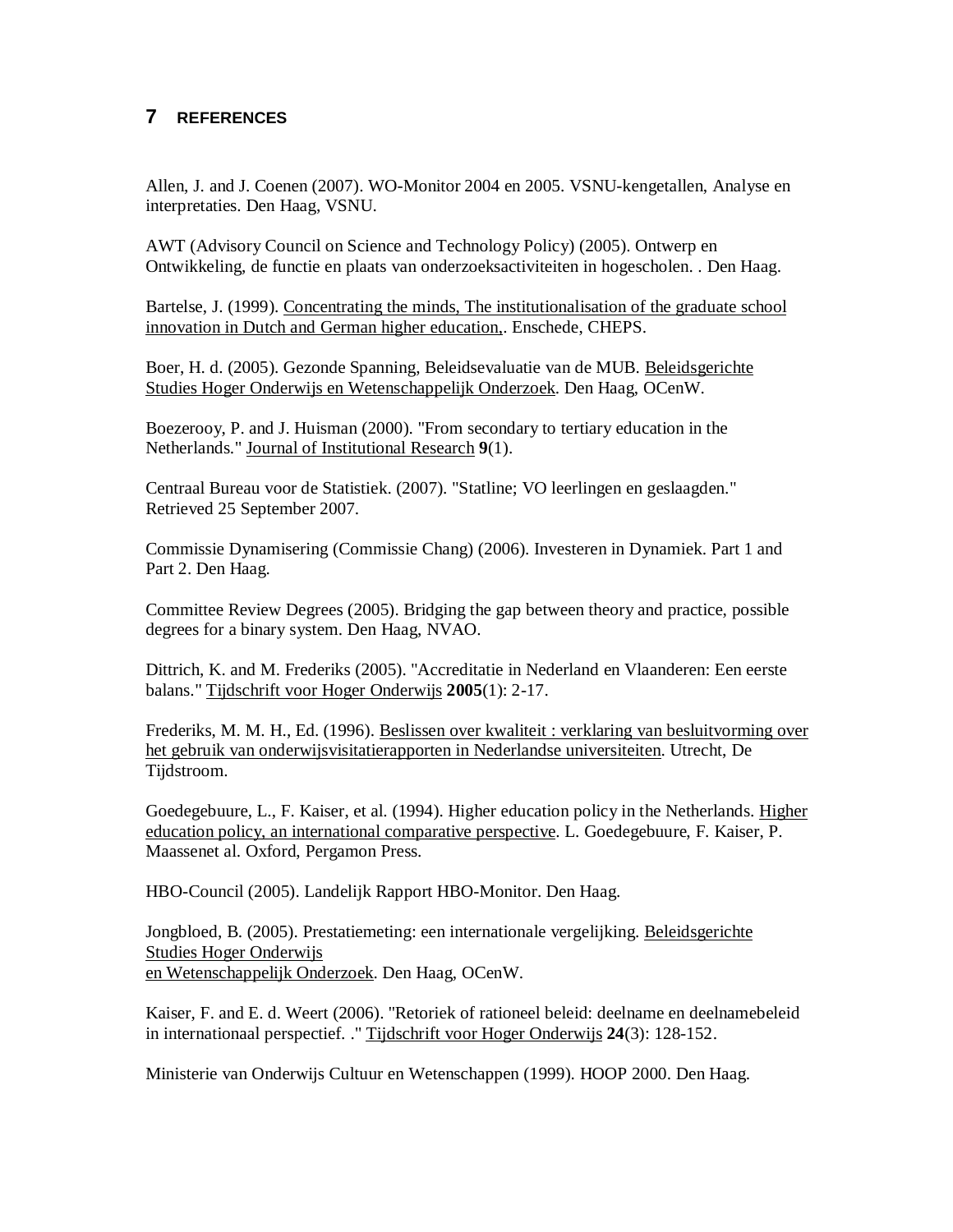## **7 REFERENCES**

Allen, J. and J. Coenen (2007). WO-Monitor 2004 en 2005. VSNU-kengetallen, Analyse en interpretaties. Den Haag, VSNU.

AWT (Advisory Council on Science and Technology Policy) (2005). Ontwerp en Ontwikkeling, de functie en plaats van onderzoeksactiviteiten in hogescholen. . Den Haag.

Bartelse, J. (1999). Concentrating the minds, The institutionalisation of the graduate school innovation in Dutch and German higher education,. Enschede, CHEPS.

Boer, H. d. (2005). Gezonde Spanning, Beleidsevaluatie van de MUB. Beleidsgerichte Studies Hoger Onderwijs en Wetenschappelijk Onderzoek. Den Haag, OCenW.

Boezerooy, P. and J. Huisman (2000). "From secondary to tertiary education in the Netherlands." Journal of Institutional Research **9**(1).

Centraal Bureau voor de Statistiek. (2007). "Statline; VO leerlingen en geslaagden." Retrieved 25 September 2007.

Commissie Dynamisering (Commissie Chang) (2006). Investeren in Dynamiek. Part 1 and Part 2. Den Haag.

Committee Review Degrees (2005). Bridging the gap between theory and practice, possible degrees for a binary system. Den Haag, NVAO.

Dittrich, K. and M. Frederiks (2005). "Accreditatie in Nederland en Vlaanderen: Een eerste balans." Tijdschrift voor Hoger Onderwijs **2005**(1): 2-17.

Frederiks, M. M. H., Ed. (1996). Beslissen over kwaliteit : verklaring van besluitvorming over het gebruik van onderwijsvisitatierapporten in Nederlandse universiteiten. Utrecht, De Tijdstroom.

Goedegebuure, L., F. Kaiser, et al. (1994). Higher education policy in the Netherlands. Higher education policy, an international comparative perspective. L. Goedegebuure, F. Kaiser, P. Maassenet al. Oxford, Pergamon Press.

HBO-Council (2005). Landelijk Rapport HBO-Monitor. Den Haag.

Jongbloed, B. (2005). Prestatiemeting: een internationale vergelijking. Beleidsgerichte Studies Hoger Onderwijs en Wetenschappelijk Onderzoek. Den Haag, OCenW.

Kaiser, F. and E. d. Weert (2006). "Retoriek of rationeel beleid: deelname en deelnamebeleid in internationaal perspectief. ." Tijdschrift voor Hoger Onderwijs **24**(3): 128-152.

Ministerie van Onderwijs Cultuur en Wetenschappen (1999). HOOP 2000. Den Haag.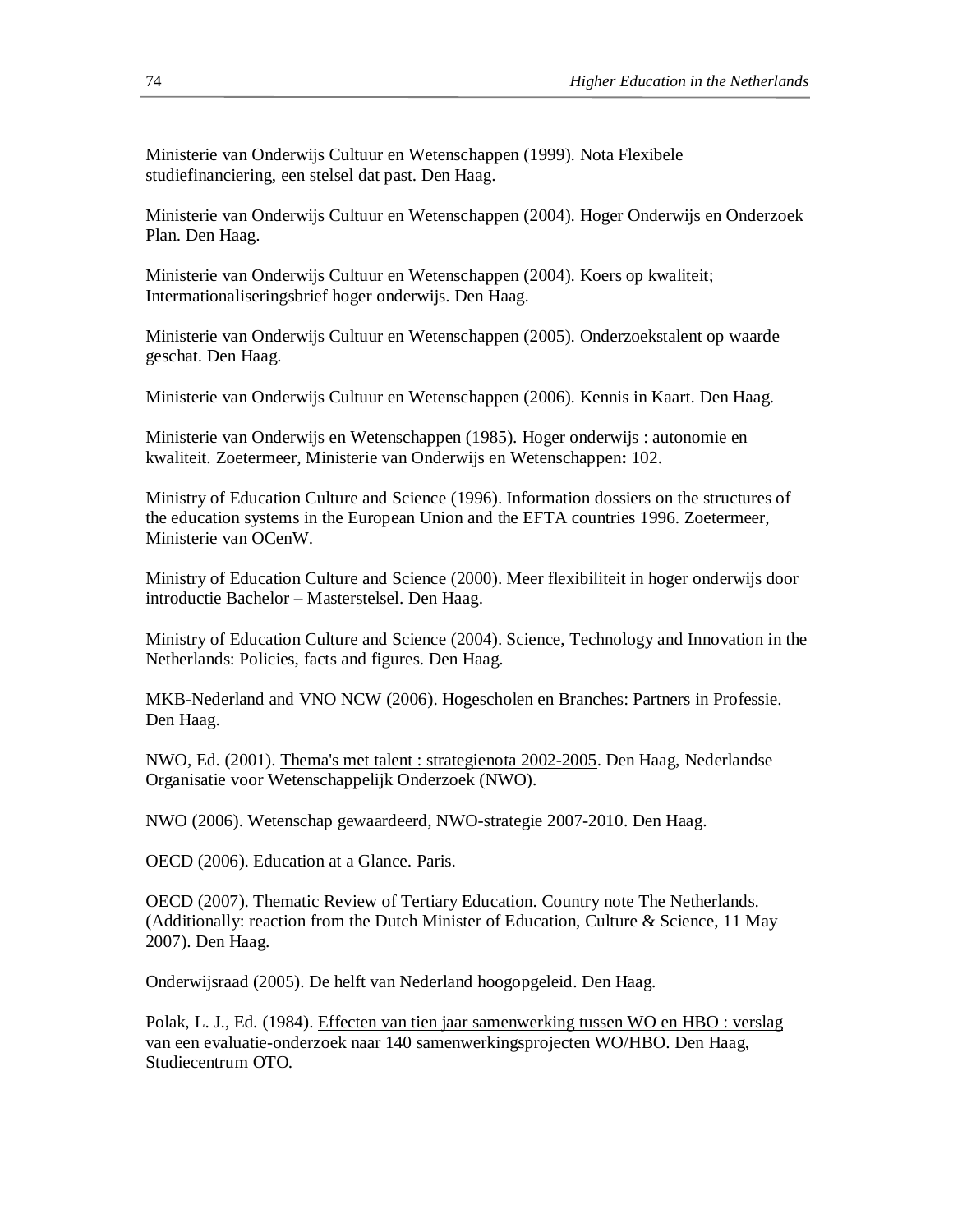Ministerie van Onderwijs Cultuur en Wetenschappen (1999). Nota Flexibele studiefinanciering, een stelsel dat past. Den Haag.

Ministerie van Onderwijs Cultuur en Wetenschappen (2004). Hoger Onderwijs en Onderzoek Plan. Den Haag.

Ministerie van Onderwijs Cultuur en Wetenschappen (2004). Koers op kwaliteit; Intermationaliseringsbrief hoger onderwijs. Den Haag.

Ministerie van Onderwijs Cultuur en Wetenschappen (2005). Onderzoekstalent op waarde geschat. Den Haag.

Ministerie van Onderwijs Cultuur en Wetenschappen (2006). Kennis in Kaart. Den Haag.

Ministerie van Onderwijs en Wetenschappen (1985). Hoger onderwijs : autonomie en kwaliteit. Zoetermeer, Ministerie van Onderwijs en Wetenschappen**:** 102.

Ministry of Education Culture and Science (1996). Information dossiers on the structures of the education systems in the European Union and the EFTA countries 1996. Zoetermeer, Ministerie van OCenW.

Ministry of Education Culture and Science (2000). Meer flexibiliteit in hoger onderwijs door introductie Bachelor – Masterstelsel. Den Haag.

Ministry of Education Culture and Science (2004). Science, Technology and Innovation in the Netherlands: Policies, facts and figures. Den Haag.

MKB-Nederland and VNO NCW (2006). Hogescholen en Branches: Partners in Professie. Den Haag.

NWO, Ed. (2001). Thema's met talent : strategienota 2002-2005. Den Haag, Nederlandse Organisatie voor Wetenschappelijk Onderzoek (NWO).

NWO (2006). Wetenschap gewaardeerd, NWO-strategie 2007-2010. Den Haag.

OECD (2006). Education at a Glance. Paris.

OECD (2007). Thematic Review of Tertiary Education. Country note The Netherlands. (Additionally: reaction from the Dutch Minister of Education, Culture & Science, 11 May 2007). Den Haag.

Onderwijsraad (2005). De helft van Nederland hoogopgeleid. Den Haag.

Polak, L. J., Ed. (1984). Effecten van tien jaar samenwerking tussen WO en HBO : verslag van een evaluatie-onderzoek naar 140 samenwerkingsprojecten WO/HBO. Den Haag, Studiecentrum OTO.